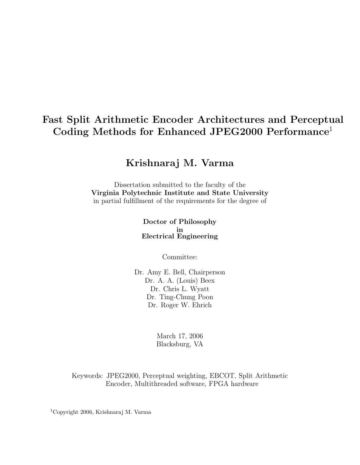# Fast Split Arithmetic Encoder Architectures and Perceptual Coding Methods for Enhanced JPEG2000 Performance<sup>1</sup>

# Krishnaraj M. Varma

Dissertation submitted to the faculty of the Virginia Polytechnic Institute and State University in partial fulfillment of the requirements for the degree of

> Doctor of Philosophy in Electrical Engineering

> > Committee:

Dr. Amy E. Bell, Chairperson Dr. A. A. (Louis) Beex Dr. Chris L. Wyatt Dr. Ting-Chung Poon Dr. Roger W. Ehrich

> March 17, 2006 Blacksburg, VA

Keywords: JPEG2000, Perceptual weighting, EBCOT, Split Arithmetic Encoder, Multithreaded software, FPGA hardware

<sup>1</sup>Copyright 2006, Krishnaraj M. Varma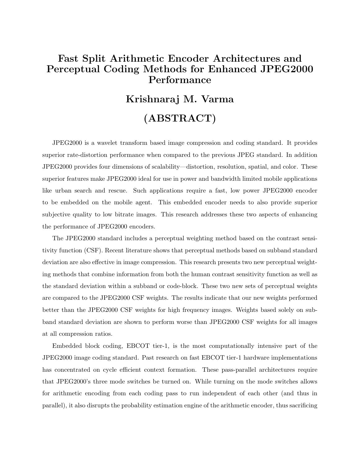# Fast Split Arithmetic Encoder Architectures and Perceptual Coding Methods for Enhanced JPEG2000 Performance

# Krishnaraj M. Varma (ABSTRACT)

JPEG2000 is a wavelet transform based image compression and coding standard. It provides superior rate-distortion performance when compared to the previous JPEG standard. In addition JPEG2000 provides four dimensions of scalability—distortion, resolution, spatial, and color. These superior features make JPEG2000 ideal for use in power and bandwidth limited mobile applications like urban search and rescue. Such applications require a fast, low power JPEG2000 encoder to be embedded on the mobile agent. This embedded encoder needs to also provide superior subjective quality to low bitrate images. This research addresses these two aspects of enhancing the performance of JPEG2000 encoders.

The JPEG2000 standard includes a perceptual weighting method based on the contrast sensitivity function (CSF). Recent literature shows that perceptual methods based on subband standard deviation are also effective in image compression. This research presents two new perceptual weighting methods that combine information from both the human contrast sensitivity function as well as the standard deviation within a subband or code-block. These two new sets of perceptual weights are compared to the JPEG2000 CSF weights. The results indicate that our new weights performed better than the JPEG2000 CSF weights for high frequency images. Weights based solely on subband standard deviation are shown to perform worse than JPEG2000 CSF weights for all images at all compression ratios.

Embedded block coding, EBCOT tier-1, is the most computationally intensive part of the JPEG2000 image coding standard. Past research on fast EBCOT tier-1 hardware implementations has concentrated on cycle efficient context formation. These pass-parallel architectures require that JPEG2000's three mode switches be turned on. While turning on the mode switches allows for arithmetic encoding from each coding pass to run independent of each other (and thus in parallel), it also disrupts the probability estimation engine of the arithmetic encoder, thus sacrificing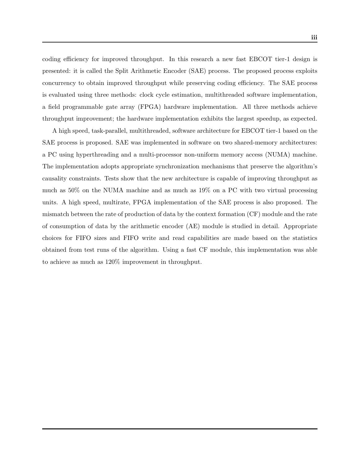coding efficiency for improved throughput. In this research a new fast EBCOT tier-1 design is presented: it is called the Split Arithmetic Encoder (SAE) process. The proposed process exploits concurrency to obtain improved throughput while preserving coding efficiency. The SAE process is evaluated using three methods: clock cycle estimation, multithreaded software implementation, a field programmable gate array (FPGA) hardware implementation. All three methods achieve throughput improvement; the hardware implementation exhibits the largest speedup, as expected.

A high speed, task-parallel, multithreaded, software architecture for EBCOT tier-1 based on the SAE process is proposed. SAE was implemented in software on two shared-memory architectures: a PC using hyperthreading and a multi-processor non-uniform memory access (NUMA) machine. The implementation adopts appropriate synchronization mechanisms that preserve the algorithm's causality constraints. Tests show that the new architecture is capable of improving throughput as much as 50% on the NUMA machine and as much as 19% on a PC with two virtual processing units. A high speed, multirate, FPGA implementation of the SAE process is also proposed. The mismatch between the rate of production of data by the context formation (CF) module and the rate of consumption of data by the arithmetic encoder (AE) module is studied in detail. Appropriate choices for FIFO sizes and FIFO write and read capabilities are made based on the statistics obtained from test runs of the algorithm. Using a fast CF module, this implementation was able to achieve as much as 120% improvement in throughput.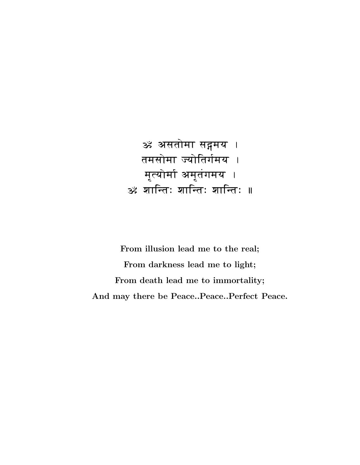<mark>ॐ अ</mark>सतोमा सङ्गमय । तमसोमा ज्योतिर्गमय । m-(yomA am-t\gmy . <u>ॐ शान्तिः शान्तिः ॥</u>

From illusion lead me to the real; From darkness lead me to light; From death lead me to immortality; And may there be Peace..Peace..Perfect Peace.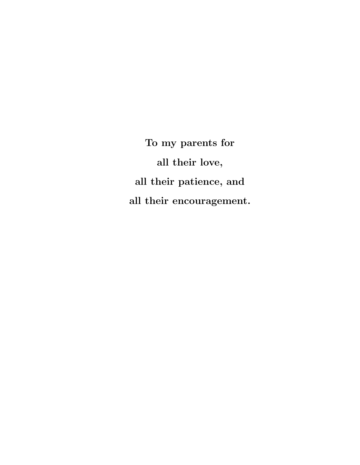To my parents for all their love, all their patience, and all their encouragement.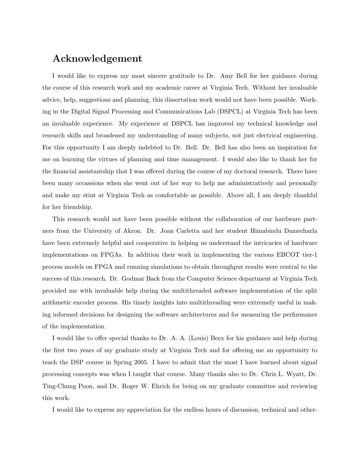## Acknowledgement

I would like to express my most sincere gratitude to Dr. Amy Bell for her guidance during the course of this research work and my academic career at Virginia Tech. Without her invaluable advice, help, suggestions and planning, this dissertation work would not have been possible. Working in the Digital Signal Processing and Communications Lab (DSPCL) at Virginia Tech has been an invaluable experience. My experience at DSPCL has improved my technical knowledge and research skills and broadened my understanding of many subjects, not just electrical engineering. For this opportunity I am deeply indebted to Dr. Bell. Dr. Bell has also been an inspiration for me on learning the virtues of planning and time management. I would also like to thank her for the financial assistantship that I was offered during the course of my doctoral research. There have been many occassions when she went out of her way to help me administratively and personally and make my stint at Virginia Tech as comfortable as possible. Above all, I am deeply thankful for her friendship.

This research would not have been possible without the collaboration of our hardware partners from the University of Akron. Dr. Joan Carletta and her student Himabindu Damecharla have been extremely helpful and cooperative in helping us understand the intricacies of hardware implementations on FPGAs. In addition their work in implementing the various EBCOT tier-1 process models on FPGA and running simulations to obtain throughput results were central to the success of this research. Dr. Godmar Back from the Computer Science department at Virginia Tech provided me with invaluable help during the multithreaded software implementation of the split arithmetic encoder process. His timely insights into multithreading were extremely useful in making informed decisions for designing the software architectures and for measuring the performance of the implementation.

I would like to offer special thanks to Dr. A. A. (Louis) Beex for his guidance and help during the first two years of my graduate study at Virginia Tech and for offering me an opportunity to teach the DSP course in Spring 2005. I have to admit that the most I have learned about signal processing concepts was when I taught that course. Many thanks also to Dr. Chris L. Wyatt, Dr. Ting-Chung Poon, and Dr. Roger W. Ehrich for being on my graduate committee and reviewing this work.

I would like to express my appreciation for the endless hours of discussion, technical and other-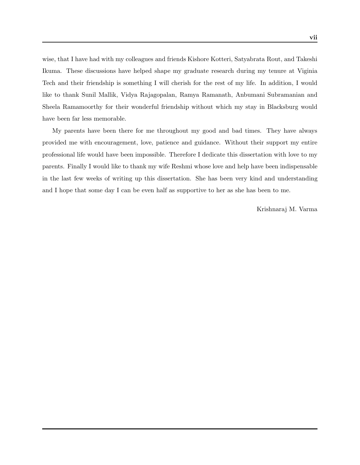wise, that I have had with my colleagues and friends Kishore Kotteri, Satyabrata Rout, and Takeshi Ikuma. These discussions have helped shape my graduate research during my tenure at Viginia Tech and their friendship is something I will cherish for the rest of my life. In addition, I would like to thank Sunil Mallik, Vidya Rajagopalan, Ramya Ramanath, Anbumani Subramanian and Sheela Ramamoorthy for their wonderful friendship without which my stay in Blacksburg would have been far less memorable.

My parents have been there for me throughout my good and bad times. They have always provided me with encouragement, love, patience and guidance. Without their support my entire professional life would have been impossible. Therefore I dedicate this dissertation with love to my parents. Finally I would like to thank my wife Reshmi whose love and help have been indispensable in the last few weeks of writing up this dissertation. She has been very kind and understanding and I hope that some day I can be even half as supportive to her as she has been to me.

Krishnaraj M. Varma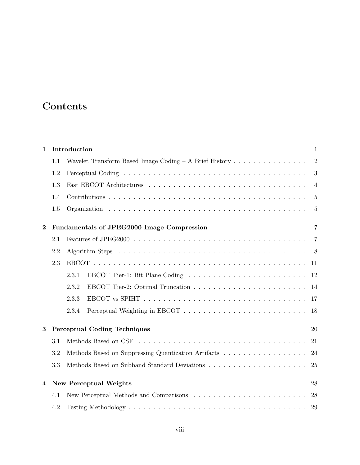# **Contents**

| $\mathbf{1}$ |     | Introduction                                                                                               | $\mathbf{1}$   |
|--------------|-----|------------------------------------------------------------------------------------------------------------|----------------|
|              | 1.1 | Wavelet Transform Based Image Coding - A Brief History                                                     | $\overline{2}$ |
|              | 1.2 |                                                                                                            | 3              |
|              | 1.3 |                                                                                                            | $\overline{4}$ |
|              | 1.4 |                                                                                                            | $\overline{5}$ |
|              | 1.5 |                                                                                                            | $\overline{5}$ |
| $\bf{2}$     |     | Fundamentals of JPEG2000 Image Compression                                                                 | $\overline{7}$ |
|              | 2.1 | Features of JPEG2000 $\ldots \ldots \ldots \ldots \ldots \ldots \ldots \ldots \ldots \ldots \ldots \ldots$ | $\overline{7}$ |
|              | 2.2 |                                                                                                            |                |
|              | 2.3 |                                                                                                            | -11            |
|              |     | 2.3.1                                                                                                      | 12             |
|              |     | 2.3.2                                                                                                      | 14             |
|              |     | 2.3.3                                                                                                      | -17            |
|              |     | 2.3.4                                                                                                      | 18             |
| 3            |     | <b>Perceptual Coding Techniques</b>                                                                        | 20             |
|              | 3.1 |                                                                                                            | 21             |
|              | 3.2 |                                                                                                            | 24             |
|              | 3.3 |                                                                                                            | 25             |
| 4            |     | <b>New Perceptual Weights</b>                                                                              | 28             |
|              | 4.1 |                                                                                                            | 28             |
|              | 4.2 |                                                                                                            | 29             |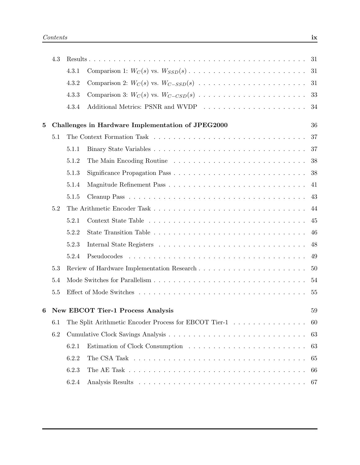|          | 4.3 |       |                                                       |     |
|----------|-----|-------|-------------------------------------------------------|-----|
|          |     | 4.3.1 |                                                       |     |
|          |     | 4.3.2 |                                                       |     |
|          |     | 4.3.3 |                                                       |     |
|          |     | 4.3.4 |                                                       |     |
| $\bf{5}$ |     |       | Challenges in Hardware Implementation of JPEG2000     | 36  |
|          | 5.1 |       |                                                       | 37  |
|          |     | 5.1.1 |                                                       | 37  |
|          |     | 5.1.2 |                                                       | 38  |
|          |     | 5.1.3 |                                                       |     |
|          |     | 5.1.4 |                                                       | 41  |
|          |     | 5.1.5 |                                                       |     |
|          | 5.2 |       |                                                       | 44  |
|          |     | 5.2.1 |                                                       | 45  |
|          |     | 5.2.2 |                                                       | -46 |
|          |     | 5.2.3 |                                                       | 48  |
|          |     | 5.2.4 | Pseudocodes                                           | 49  |
|          | 5.3 |       |                                                       |     |
|          | 5.4 |       |                                                       | 54  |
|          | 5.5 |       |                                                       | 55  |
| 6        |     |       | <b>New EBCOT Tier-1 Process Analysis</b>              | 59  |
|          | 6.1 |       | The Split Arithmetic Encoder Process for EBCOT Tier-1 | 60  |
|          | 6.2 |       |                                                       | 63  |
|          |     | 6.2.1 |                                                       | 63  |
|          |     | 6.2.2 |                                                       | 65  |
|          |     | 6.2.3 |                                                       | 66  |
|          |     | 6.2.4 |                                                       | 67  |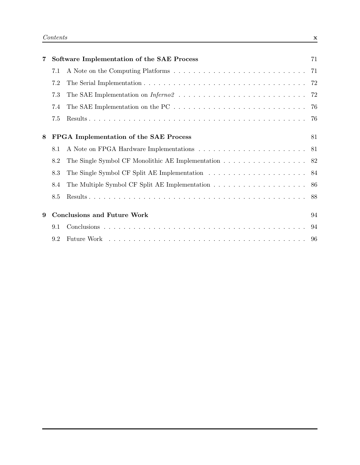| 7 |     | Software Implementation of the SAE Process                                                                  | 71 |
|---|-----|-------------------------------------------------------------------------------------------------------------|----|
|   | 7.1 |                                                                                                             |    |
|   | 7.2 |                                                                                                             |    |
|   | 7.3 |                                                                                                             |    |
|   | 7.4 | The SAE Implementation on the PC $\ldots \ldots \ldots \ldots \ldots \ldots \ldots \ldots \ldots \ldots$ 76 |    |
|   | 7.5 |                                                                                                             |    |
| 8 |     | FPGA Implementation of the SAE Process                                                                      | 81 |
|   | 8.1 |                                                                                                             |    |
|   | 8.2 | The Single Symbol CF Monolithic AE Implementation 82                                                        |    |
|   | 8.3 |                                                                                                             |    |
|   | 8.4 |                                                                                                             |    |
|   | 8.5 |                                                                                                             |    |
| 9 |     | <b>Conclusions and Future Work</b>                                                                          | 94 |
|   | 9.1 |                                                                                                             |    |
|   | 9.2 |                                                                                                             |    |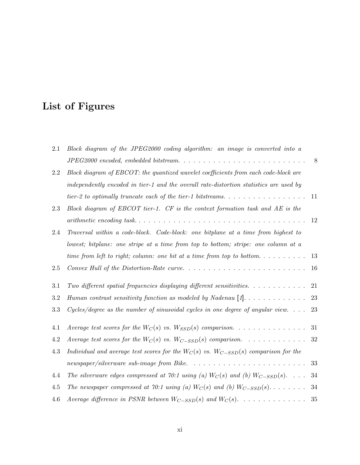# List of Figures

| 2.1     | Block diagram of the JPEG2000 coding algorithm: an image is converted into a                          |        |
|---------|-------------------------------------------------------------------------------------------------------|--------|
|         |                                                                                                       | 8      |
| 2.2     | Block diagram of EBCOT: the quantized wavelet coefficients from each code-block are                   |        |
|         | independently encoded in tier-1 and the overall rate-distortion statistics are used by                |        |
|         | tier-2 to optimally truncate each of the tier-1 bitstreams. $\dots \dots \dots \dots \dots \dots$     | 11     |
| 2.3     | Block diagram of EBCOT tier-1. $CF$ is the context formation task and $AE$ is the                     |        |
|         |                                                                                                       | 12     |
| 2.4     | Traversal within a code-block. Code-block: one bitplane at a time from highest to                     |        |
|         | lowest; bitplane: one stripe at a time from top to bottom; stripe: one column at a                    |        |
|         | time from left to right; column: one bit at a time from top to bottom                                 | 13     |
| 2.5     |                                                                                                       | 16     |
| 3.1     | Two different spatial frequencies displaying different sensitivities. $\dots \dots \dots$             | 21     |
| $3.2\,$ | Human contrast sensitivity function as modeled by Nadenau $[1]$                                       | $23\,$ |
| 3.3     | Cycles/degree as the number of sinusoidal cycles in one degree of angular view. $\ldots$              | 23     |
| 4.1     |                                                                                                       | 31     |
| 4.2     | Average test scores for the $W_C(s)$ vs. $W_{C-SSD}(s)$ comparison.                                   | $32\,$ |
| 4.3     | Individual and average test scores for the $W_C(s)$ vs. $W_{C-SSD}(s)$ comparison for the             |        |
|         | $newspaper/silverware$ sub-image from Bike. $\ldots \ldots \ldots \ldots \ldots \ldots \ldots \ldots$ | 33     |
| 4.4     | The silverware edges compressed at 70:1 using (a) $W_C(s)$ and (b) $W_{C-SSD}(s)$                     | 34     |
| 4.5     | The newspaper compressed at 70:1 using (a) $W_C(s)$ and (b) $W_{C-SSD}(s)$                            | 34     |
| 4.6     | Average difference in PSNR between $W_{C-SSD}(s)$ and $W_C(s)$ .                                      | $35\,$ |
|         |                                                                                                       |        |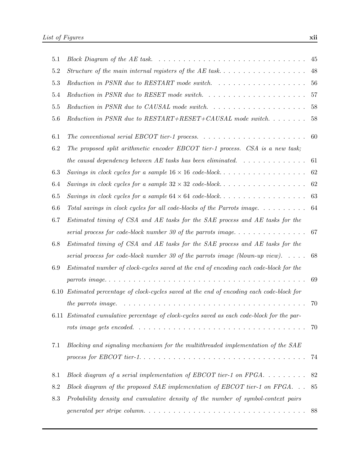| 5.1             |                                                                                                | 45 |
|-----------------|------------------------------------------------------------------------------------------------|----|
| 5.2             |                                                                                                | 48 |
| 5.3             |                                                                                                | 56 |
| 5.4             | Reduction in PSNR due to RESET mode switch. $\ldots \ldots \ldots \ldots \ldots \ldots \ldots$ | 57 |
| 5.5             | Reduction in PSNR due to CAUSAL mode switch. $\ldots \ldots \ldots \ldots \ldots \ldots$       | 58 |
| 5.6             | Reduction in PSNR due to $RESTART+RESET+CAUSAL$ mode switch                                    | 58 |
| 6.1             |                                                                                                | 60 |
| 6.2             | The proposed split arithmetic encoder EBCOT tier-1 process. CSA is a new task;                 |    |
|                 | the causal dependency between AE tasks has been eliminated. $\ldots \ldots \ldots \ldots$      | 61 |
| 6.3             | Savings in clock cycles for a sample $16 \times 16$ code-block                                 | 62 |
| 6.4             | Savings in clock cycles for a sample $32 \times 32$ code-block                                 | 62 |
| 6.5             | Savings in clock cycles for a sample $64 \times 64$ code-block                                 | 63 |
| 6.6             | Total savings in clock cycles for all code-blocks of the Parrots image                         | 64 |
| 6.7             | Estimated timing of CSA and AE tasks for the SAE process and AE tasks for the                  |    |
|                 | serial process for code-block number 30 of the parrots image                                   | 67 |
| 6.8             | Estimated timing of CSA and AE tasks for the SAE process and AE tasks for the                  |    |
|                 | serial process for code-block number 30 of the parrots image (blown-up view). $\dots$ .        | 68 |
| 6.9             | Estimated number of clock-cycles saved at the end of encoding each code-block for the          |    |
|                 |                                                                                                | 69 |
| 6.10            | Estimated percentage of clock-cycles saved at the end of encoding each code-block for          |    |
|                 | the parrots image.                                                                             | 70 |
|                 | 6.11 Estimated cumulative percentage of clock-cycles saved as each code-block for the par-     |    |
|                 |                                                                                                | 70 |
| 7.1             | Blocking and signaling mechanism for the multithreaded implementation of the SAE               |    |
|                 |                                                                                                | 74 |
| 8.1             | Block diagram of a serial implementation of EBCOT tier-1 on FPGA                               | 82 |
| 8.2             | Block diagram of the proposed SAE implementation of EBCOT tier-1 on FPGA. $\ldots$             | 85 |
| $\!\!\!\!\!8.3$ | Probability density and cumulative density of the number of symbol-context pairs               |    |
|                 |                                                                                                | 88 |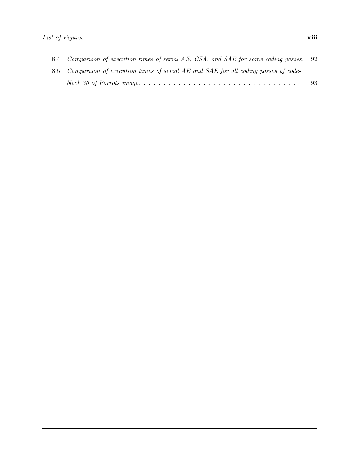| 8.4 Comparison of execution times of serial AE, CSA, and SAE for some coding passes. 92 |  |
|-----------------------------------------------------------------------------------------|--|
| 8.5 Comparison of execution times of serial AE and SAE for all coding passes of code-   |  |
|                                                                                         |  |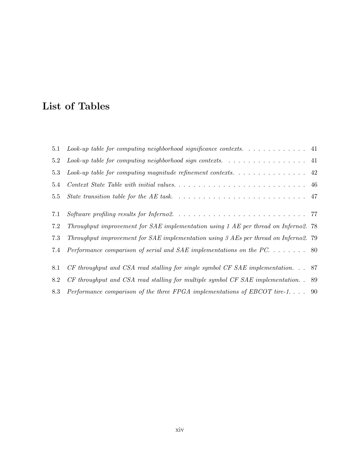# List of Tables

| 5.1 | Look-up table for computing neighborhood significance contexts. $\dots \dots \dots \dots$    |  |
|-----|----------------------------------------------------------------------------------------------|--|
| 5.2 | Look-up table for computing neighborhood sign contexts. $\ldots \ldots \ldots \ldots \ldots$ |  |
| 5.3 | Look-up table for computing magnitude refinement contexts. $\ldots \ldots \ldots \ldots$ .   |  |
| 5.4 |                                                                                              |  |
| 5.5 |                                                                                              |  |
| 7.1 |                                                                                              |  |
| 7.2 | Throughput improvement for SAE implementation using 1 AE per thread on Inferno2. 78          |  |
| 7.3 | Throughput improvement for SAE implementation using 3 AEs per thread on Inferno2. 79         |  |
| 7.4 | Performance comparison of serial and SAE implementations on the PC 80                        |  |
| 8.1 | $CF$ throughput and CSA read stalling for single symbol CF SAE implementation. $\ldots$ 87   |  |
| 8.2 | $CF$ throughput and CSA read stalling for multiple symbol CF SAE implementation. . 89        |  |
| 8.3 | Performance comparison of the three FPGA implementations of EBCOT tire-1 90                  |  |
|     |                                                                                              |  |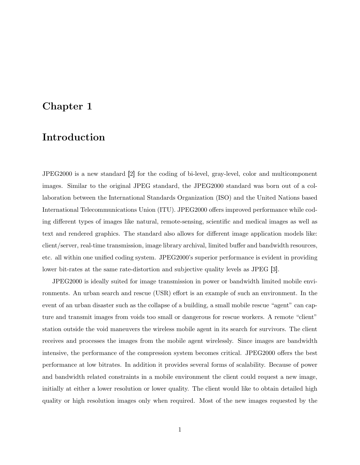## Chapter 1

## Introduction

JPEG2000 is a new standard [2] for the coding of bi-level, gray-level, color and multicomponent images. Similar to the original JPEG standard, the JPEG2000 standard was born out of a collaboration between the International Standards Organization (ISO) and the United Nations based International Telecommunications Union (ITU). JPEG2000 offers improved performance while coding different types of images like natural, remote-sensing, scientific and medical images as well as text and rendered graphics. The standard also allows for different image application models like: client/server, real-time transmission, image library archival, limited buffer and bandwidth resources, etc. all within one unified coding system. JPEG2000's superior performance is evident in providing lower bit-rates at the same rate-distortion and subjective quality levels as JPEG [3].

JPEG2000 is ideally suited for image transmission in power or bandwidth limited mobile environments. An urban search and rescue (USR) effort is an example of such an environment. In the event of an urban disaster such as the collapse of a building, a small mobile rescue "agent" can capture and transmit images from voids too small or dangerous for rescue workers. A remote "client" station outside the void maneuvers the wireless mobile agent in its search for survivors. The client receives and processes the images from the mobile agent wirelessly. Since images are bandwidth intensive, the performance of the compression system becomes critical. JPEG2000 offers the best performance at low bitrates. In addition it provides several forms of scalability. Because of power and bandwidth related constraints in a mobile environment the client could request a new image, initially at either a lower resolution or lower quality. The client would like to obtain detailed high quality or high resolution images only when required. Most of the new images requested by the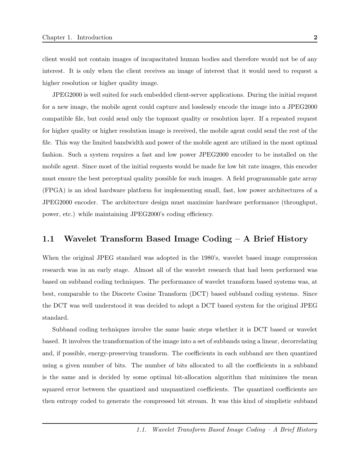client would not contain images of incapacitated human bodies and therefore would not be of any interest. It is only when the client receives an image of interest that it would need to request a higher resolution or higher quality image.

JPEG2000 is well suited for such embedded client-server applications. During the initial request for a new image, the mobile agent could capture and losslessly encode the image into a JPEG2000 compatible file, but could send only the topmost quality or resolution layer. If a repeated request for higher quality or higher resolution image is received, the mobile agent could send the rest of the file. This way the limited bandwidth and power of the mobile agent are utilized in the most optimal fashion. Such a system requires a fast and low power JPEG2000 encoder to be installed on the mobile agent. Since most of the initial requests would be made for low bit rate images, this encoder must ensure the best perceptual quality possible for such images. A field programmable gate array (FPGA) is an ideal hardware platform for implementing small, fast, low power architectures of a JPEG2000 encoder. The architecture design must maximize hardware performance (throughput, power, etc.) while maintaining JPEG2000's coding efficiency.

## 1.1 Wavelet Transform Based Image Coding – A Brief History

When the original JPEG standard was adopted in the 1980's, wavelet based image compression research was in an early stage. Almost all of the wavelet research that had been performed was based on subband coding techniques. The performance of wavelet transform based systems was, at best, comparable to the Discrete Cosine Transform (DCT) based subband coding systems. Since the DCT was well understood it was decided to adopt a DCT based system for the original JPEG standard.

Subband coding techniques involve the same basic steps whether it is DCT based or wavelet based. It involves the transformation of the image into a set of subbands using a linear, decorrelating and, if possible, energy-preserving transform. The coefficients in each subband are then quantized using a given number of bits. The number of bits allocated to all the coefficients in a subband is the same and is decided by some optimal bit-allocation algorithm that minimizes the mean squared error between the quantized and unquantized coefficients. The quantized coefficients are then entropy coded to generate the compressed bit stream. It was this kind of simplistic subband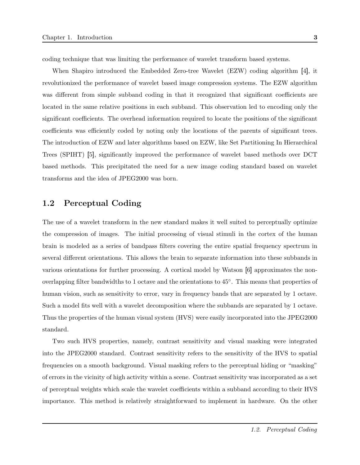coding technique that was limiting the performance of wavelet transform based systems.

When Shapiro introduced the Embedded Zero-tree Wavelet (EZW) coding algorithm [4], it revolutionized the performance of wavelet based image compression systems. The EZW algorithm was different from simple subband coding in that it recognized that significant coefficients are located in the same relative positions in each subband. This observation led to encoding only the significant coefficients. The overhead information required to locate the positions of the significant coefficients was efficiently coded by noting only the locations of the parents of significant trees. The introduction of EZW and later algorithms based on EZW, like Set Partitioning In Hierarchical Trees (SPIHT) [5], significantly improved the performance of wavelet based methods over DCT based methods. This precipitated the need for a new image coding standard based on wavelet transforms and the idea of JPEG2000 was born.

## 1.2 Perceptual Coding

The use of a wavelet transform in the new standard makes it well suited to perceptually optimize the compression of images. The initial processing of visual stimuli in the cortex of the human brain is modeled as a series of bandpass filters covering the entire spatial frequency spectrum in several different orientations. This allows the brain to separate information into these subbands in various orientations for further processing. A cortical model by Watson [6] approximates the nonoverlapping filter bandwidths to 1 octave and the orientations to 45◦ . This means that properties of human vision, such as sensitivity to error, vary in frequency bands that are separated by 1 octave. Such a model fits well with a wavelet decomposition where the subbands are separated by 1 octave. Thus the properties of the human visual system (HVS) were easily incorporated into the JPEG2000 standard.

Two such HVS properties, namely, contrast sensitivity and visual masking were integrated into the JPEG2000 standard. Contrast sensitivity refers to the sensitivity of the HVS to spatial frequencies on a smooth background. Visual masking refers to the perceptual hiding or "masking" of errors in the vicinity of high activity within a scene. Contrast sensitivity was incorporated as a set of perceptual weights which scale the wavelet coefficients within a subband according to their HVS importance. This method is relatively straightforward to implement in hardware. On the other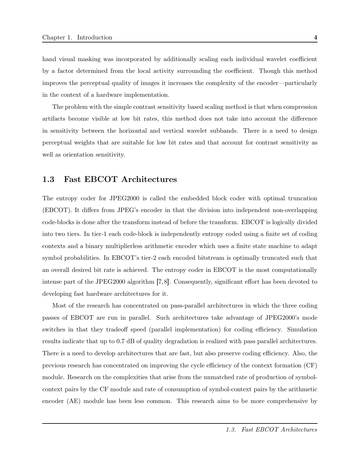hand visual masking was incorporated by additionally scaling each individual wavelet coefficient by a factor determined from the local activity surrounding the coefficient. Though this method improves the perceptual quality of images it increases the complexity of the encoder—particularly in the context of a hardware implementation.

The problem with the simple contrast sensitivity based scaling method is that when compression artifacts become visible at low bit rates, this method does not take into account the difference in sensitivity between the horizontal and vertical wavelet subbands. There is a need to design perceptual weights that are suitable for low bit rates and that account for contrast sensitivity as well as orientation sensitivity.

## 1.3 Fast EBCOT Architectures

The entropy coder for JPEG2000 is called the embedded block coder with optimal truncation (EBCOT). It differs from JPEG's encoder in that the division into independent non-overlapping code-blocks is done after the transform instead of before the transform. EBCOT is logically divided into two tiers. In tier-1 each code-block is independently entropy coded using a finite set of coding contexts and a binary multiplierless arithmetic encoder which uses a finite state machine to adapt symbol probabilities. In EBCOT's tier-2 each encoded bitstream is optimally truncated such that an overall desired bit rate is achieved. The entropy coder in EBCOT is the most computationally intense part of the JPEG2000 algorithm [7, 8]. Consequently, significant effort has been devoted to developing fast hardware architectures for it.

Most of the research has concentrated on pass-parallel architectures in which the three coding passes of EBCOT are run in parallel. Such architectures take advantage of JPEG2000's mode switches in that they tradeoff speed (parallel implementation) for coding efficiency. Simulation results indicate that up to 0.7 dB of quality degradation is realized with pass parallel architectures. There is a need to develop architectures that are fast, but also preserve coding efficiency. Also, the previous research has concentrated on improving the cycle efficiency of the context formation (CF) module. Research on the complexities that arise from the unmatched rate of production of symbolcontext pairs by the CF module and rate of consumption of symbol-context pairs by the arithmetic encoder (AE) module has been less common. This research aims to be more comprehensive by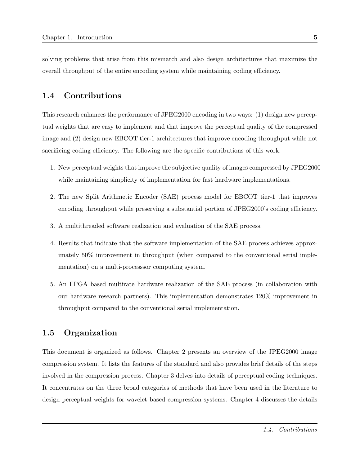solving problems that arise from this mismatch and also design architectures that maximize the overall throughput of the entire encoding system while maintaining coding efficiency.

### 1.4 Contributions

This research enhances the performance of JPEG2000 encoding in two ways: (1) design new perceptual weights that are easy to implement and that improve the perceptual quality of the compressed image and (2) design new EBCOT tier-1 architectures that improve encoding throughput while not sacrificing coding efficiency. The following are the specific contributions of this work.

- 1. New perceptual weights that improve the subjective quality of images compressed by JPEG2000 while maintaining simplicity of implementation for fast hardware implementations.
- 2. The new Split Arithmetic Encoder (SAE) process model for EBCOT tier-1 that improves encoding throughput while preserving a substantial portion of JPEG2000's coding efficiency.
- 3. A multithreaded software realization and evaluation of the SAE process.
- 4. Results that indicate that the software implementation of the SAE process achieves approximately 50% improvement in throughput (when compared to the conventional serial implementation) on a multi-processsor computing system.
- 5. An FPGA based multirate hardware realization of the SAE process (in collaboration with our hardware research partners). This implementation demonstrates 120% improvement in throughput compared to the conventional serial implementation.

## 1.5 Organization

This document is organized as follows. Chapter 2 presents an overview of the JPEG2000 image compression system. It lists the features of the standard and also provides brief details of the steps involved in the compression process. Chapter 3 delves into details of perceptual coding techniques. It concentrates on the three broad categories of methods that have been used in the literature to design perceptual weights for wavelet based compression systems. Chapter 4 discusses the details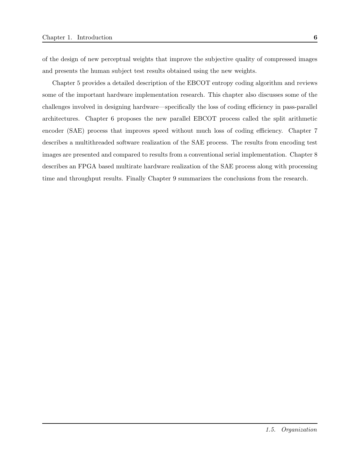of the design of new perceptual weights that improve the subjective quality of compressed images and presents the human subject test results obtained using the new weights.

Chapter 5 provides a detailed description of the EBCOT entropy coding algorithm and reviews some of the important hardware implementation research. This chapter also discusses some of the challenges involved in designing hardware—specifically the loss of coding efficiency in pass-parallel architectures. Chapter 6 proposes the new parallel EBCOT process called the split arithmetic encoder (SAE) process that improves speed without much loss of coding efficiency. Chapter 7 describes a multithreaded software realization of the SAE process. The results from encoding test images are presented and compared to results from a conventional serial implementation. Chapter 8 describes an FPGA based multirate hardware realization of the SAE process along with processing time and throughput results. Finally Chapter 9 summarizes the conclusions from the research.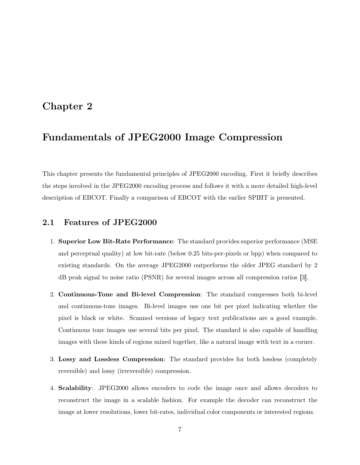## Chapter 2

# Fundamentals of JPEG2000 Image Compression

This chapter presents the fundamental principles of JPEG2000 encoding. First it briefly describes the steps involved in the JPEG2000 encoding process and follows it with a more detailed high-level description of EBCOT. Finally a comparison of EBCOT with the earlier SPIHT is presented.

## 2.1 Features of JPEG2000

- 1. Superior Low Bit-Rate Performance: The standard provides superior performance (MSE and perceptual quality) at low bit-rate (below 0.25 bits-per-pixels or bpp) when compared to existing standards. On the average JPEG2000 outperforms the older JPEG standard by 2 dB peak signal to noise ratio (PSNR) for several images across all compression ratios [3].
- 2. Continuous-Tone and Bi-level Compression: The standard compresses both bi-level and continuous-tone images. Bi-level images use one bit per pixel indicating whether the pixel is black or white. Scanned versions of legacy text publications are a good example. Continuous tone images use several bits per pixel. The standard is also capable of handling images with these kinds of regions mixed together, like a natural image with text in a corner.
- 3. Lossy and Lossless Compression: The standard provides for both lossless (completely reversible) and lossy (irreversible) compression.
- 4. Scalability: JPEG2000 allows encoders to code the image once and allows decoders to reconstruct the image in a scalable fashion. For example the decoder can reconstruct the image at lower resolutions, lower bit-rates, individual color components or interested regions.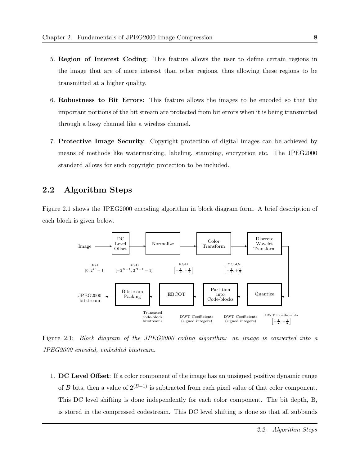- 5. Region of Interest Coding: This feature allows the user to define certain regions in the image that are of more interest than other regions, thus allowing these regions to be transmitted at a higher quality.
- 6. Robustness to Bit Errors: This feature allows the images to be encoded so that the important portions of the bit stream are protected from bit errors when it is being transmitted through a lossy channel like a wireless channel.
- 7. Protective Image Security: Copyright protection of digital images can be achieved by means of methods like watermarking, labeling, stamping, encryption etc. The JPEG2000 standard allows for such copyright protection to be included.

## 2.2 Algorithm Steps

Figure 2.1 shows the JPEG2000 encoding algorithm in block diagram form. A brief description of each block is given below.



Figure 2.1: Block diagram of the JPEG2000 coding algorithm: an image is converted into a JPEG2000 encoded, embedded bitstream.

1. DC Level Offset: If a color component of the image has an unsigned positive dynamic range of B bits, then a value of  $2^{(B-1)}$  is subtracted from each pixel value of that color component. This DC level shifting is done independently for each color component. The bit depth, B, is stored in the compressed codestream. This DC level shifting is done so that all subbands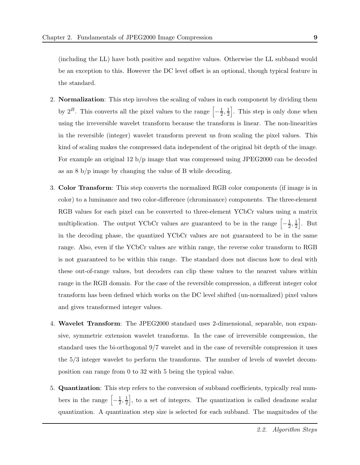(including the LL) have both positive and negative values. Otherwise the LL subband would be an exception to this. However the DC level offset is an optional, though typical feature in the standard.

- 2. Normalization: This step involves the scaling of values in each component by dividing them by  $2^B$ . This converts all the pixel values to the range  $\left[-\frac{1}{2}\right]$  $\frac{1}{2}, \frac{1}{2}$  $\frac{1}{2}$ . This step is only done when using the irreversible wavelet transform because the transform is linear. The non-linearities in the reversible (integer) wavelet transform prevent us from scaling the pixel values. This kind of scaling makes the compressed data independent of the original bit depth of the image. For example an original 12 b/p image that was compressed using JPEG2000 can be decoded as an 8 b/p image by changing the value of B while decoding.
- 3. Color Transform: This step converts the normalized RGB color components (if image is in color) to a luminance and two color-difference (chrominance) components. The three-element RGB values for each pixel can be converted to three-element YCbCr values using a matrix multiplication. The output YCbCr values are guaranteed to be in the range  $\left[-\frac{1}{2}\right]$  $\frac{1}{2}, \frac{1}{2}$  $\frac{1}{2}$ . But in the decoding phase, the quantized YCbCr values are not guaranteed to be in the same range. Also, even if the YCbCr values are within range, the reverse color transform to RGB is not guaranteed to be within this range. The standard does not discuss how to deal with these out-of-range values, but decoders can clip these values to the nearest values within range in the RGB domain. For the case of the reversible compression, a different integer color transform has been defined which works on the DC level shifted (un-normalized) pixel values and gives transformed integer values.
- 4. Wavelet Transform: The JPEG2000 standard uses 2-dimensional, separable, non expansive, symmetric extension wavelet transforms. In the case of irreversible compression, the standard uses the bi-orthogonal 9/7 wavelet and in the case of reversible compression it uses the 5/3 integer wavelet to perform the transforms. The number of levels of wavelet decomposition can range from 0 to 32 with 5 being the typical value.
- 5. Quantization: This step refers to the conversion of subband coefficients, typically real numbers in the range  $\left[-\frac{1}{2}\right]$  $\frac{1}{2}, \frac{1}{2}$  $\frac{1}{2}$ , to a set of integers. The quantization is called deadzone scalar quantization. A quantization step size is selected for each subband. The magnitudes of the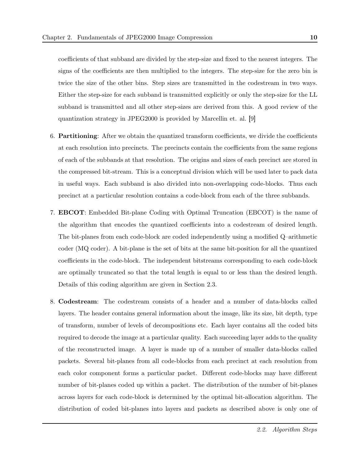coefficients of that subband are divided by the step-size and fixed to the nearest integers. The signs of the coefficients are then multiplied to the integers. The step-size for the zero bin is twice the size of the other bins. Step sizes are transmitted in the codestream in two ways. Either the step-size for each subband is transmitted explicitly or only the step-size for the LL subband is transmitted and all other step-sizes are derived from this. A good review of the quantization strategy in JPEG2000 is provided by Marcellin et. al. [9]

- 6. Partitioning: After we obtain the quantized transform coefficients, we divide the coefficients at each resolution into precincts. The precincts contain the coefficients from the same regions of each of the subbands at that resolution. The origins and sizes of each precinct are stored in the compressed bit-stream. This is a conceptual division which will be used later to pack data in useful ways. Each subband is also divided into non-overlapping code-blocks. Thus each precinct at a particular resolution contains a code-block from each of the three subbands.
- 7. EBCOT: Embedded Bit-plane Coding with Optimal Truncation (EBCOT) is the name of the algorithm that encodes the quantized coefficients into a codestream of desired length. The bit-planes from each code-block are coded independently using a modified Q–arithmetic coder (MQ coder). A bit-plane is the set of bits at the same bit-position for all the quantized coefficients in the code-block. The independent bitstreams corresponding to each code-block are optimally truncated so that the total length is equal to or less than the desired length. Details of this coding algorithm are given in Section 2.3.
- 8. Codestream: The codestream consists of a header and a number of data-blocks called layers. The header contains general information about the image, like its size, bit depth, type of transform, number of levels of decompositions etc. Each layer contains all the coded bits required to decode the image at a particular quality. Each succeeding layer adds to the quality of the reconstructed image. A layer is made up of a number of smaller data-blocks called packets. Several bit-planes from all code-blocks from each precinct at each resolution from each color component forms a particular packet. Different code-blocks may have different number of bit-planes coded up within a packet. The distribution of the number of bit-planes across layers for each code-block is determined by the optimal bit-allocation algorithm. The distribution of coded bit-planes into layers and packets as described above is only one of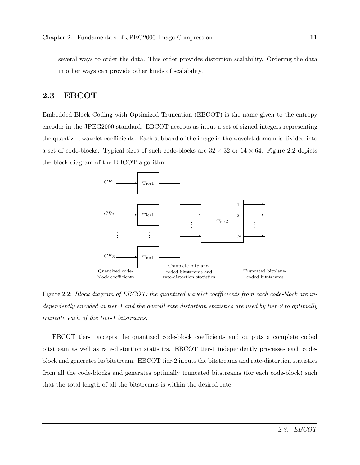several ways to order the data. This order provides distortion scalability. Ordering the data in other ways can provide other kinds of scalability.

### 2.3 EBCOT

Embedded Block Coding with Optimized Truncation (EBCOT) is the name given to the entropy encoder in the JPEG2000 standard. EBCOT accepts as input a set of signed integers representing the quantized wavelet coefficients. Each subband of the image in the wavelet domain is divided into a set of code-blocks. Typical sizes of such code-blocks are  $32 \times 32$  or  $64 \times 64$ . Figure 2.2 depicts the block diagram of the EBCOT algorithm.



Figure 2.2: Block diagram of EBCOT: the quantized wavelet coefficients from each code-block are independently encoded in tier-1 and the overall rate-distortion statistics are used by tier-2 to optimally truncate each of the tier-1 bitstreams.

EBCOT tier-1 accepts the quantized code-block coefficients and outputs a complete coded bitstream as well as rate-distortion statistics. EBCOT tier-1 independently processes each codeblock and generates its bitstream. EBCOT tier-2 inputs the bitstreams and rate-distortion statistics from all the code-blocks and generates optimally truncated bitstreams (for each code-block) such that the total length of all the bitstreams is within the desired rate.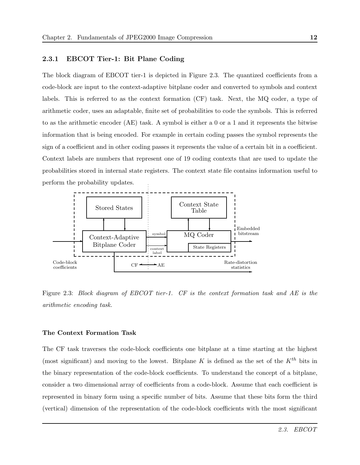#### 2.3.1 EBCOT Tier-1: Bit Plane Coding

The block diagram of EBCOT tier-1 is depicted in Figure 2.3. The quantized coefficients from a code-block are input to the context-adaptive bitplane coder and converted to symbols and context labels. This is referred to as the context formation (CF) task. Next, the MQ coder, a type of arithmetic coder, uses an adaptable, finite set of probabilities to code the symbols. This is referred to as the arithmetic encoder (AE) task. A symbol is either a 0 or a 1 and it represents the bitwise information that is being encoded. For example in certain coding passes the symbol represents the sign of a coefficient and in other coding passes it represents the value of a certain bit in a coefficient. Context labels are numbers that represent one of 19 coding contexts that are used to update the probabilities stored in internal state registers. The context state file contains information useful to perform the probability updates.



Figure 2.3: Block diagram of EBCOT tier-1. CF is the context formation task and AE is the arithmetic encoding task.

#### The Context Formation Task

The CF task traverses the code-block coefficients one bitplane at a time starting at the highest (most significant) and moving to the lowest. Bitplane K is defined as the set of the  $K^{th}$  bits in the binary representation of the code-block coefficients. To understand the concept of a bitplane, consider a two dimensional array of coefficients from a code-block. Assume that each coefficient is represented in binary form using a specific number of bits. Assume that these bits form the third (vertical) dimension of the representation of the code-block coefficients with the most significant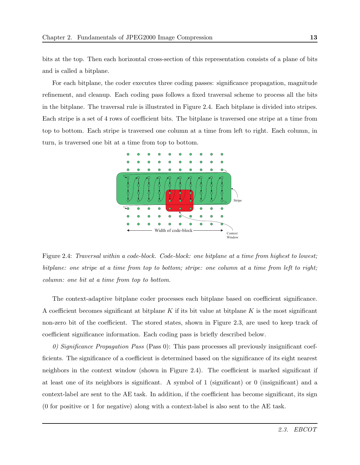bits at the top. Then each horizontal cross-section of this representation consists of a plane of bits and is called a bitplane.

For each bitplane, the coder executes three coding passes: significance propagation, magnitude refinement, and cleanup. Each coding pass follows a fixed traversal scheme to process all the bits in the bitplane. The traversal rule is illustrated in Figure 2.4. Each bitplane is divided into stripes. Each stripe is a set of 4 rows of coefficient bits. The bitplane is traversed one stripe at a time from top to bottom. Each stripe is traversed one column at a time from left to right. Each column, in turn, is traversed one bit at a time from top to bottom.



Figure 2.4: Traversal within a code-block. Code-block: one bitplane at a time from highest to lowest; bitplane: one stripe at a time from top to bottom; stripe: one column at a time from left to right; column: one bit at a time from top to bottom.

The context-adaptive bitplane coder processes each bitplane based on coefficient significance. A coefficient becomes significant at bitplane  $K$  if its bit value at bitplane  $K$  is the most significant non-zero bit of the coefficient. The stored states, shown in Figure 2.3, are used to keep track of coefficient significance information. Each coding pass is briefly described below.

0) Significance Propagation Pass (Pass 0): This pass processes all previously insignificant coefficients. The significance of a coefficient is determined based on the significance of its eight nearest neighbors in the context window (shown in Figure 2.4). The coefficient is marked significant if at least one of its neighbors is significant. A symbol of 1 (significant) or 0 (insignificant) and a context-label are sent to the AE task. In addition, if the coefficient has become significant, its sign (0 for positive or 1 for negative) along with a context-label is also sent to the AE task.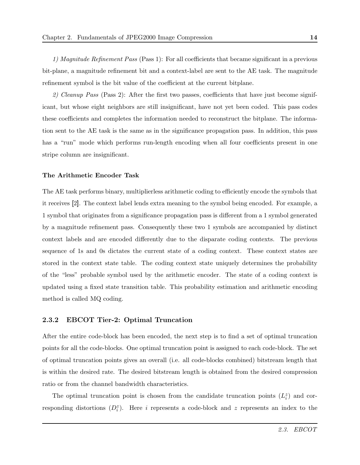1) Magnitude Refinement Pass (Pass 1): For all coefficients that became significant in a previous bit-plane, a magnitude refinement bit and a context-label are sent to the AE task. The magnitude refinement symbol is the bit value of the coefficient at the current bitplane.

2) Cleanup Pass (Pass 2): After the first two passes, coefficients that have just become significant, but whose eight neighbors are still insignificant, have not yet been coded. This pass codes these coefficients and completes the information needed to reconstruct the bitplane. The information sent to the AE task is the same as in the significance propagation pass. In addition, this pass has a "run" mode which performs run-length encoding when all four coefficients present in one stripe column are insignificant.

#### The Arithmetic Encoder Task

The AE task performs binary, multiplierless arithmetic coding to efficiently encode the symbols that it receives [2]. The context label lends extra meaning to the symbol being encoded. For example, a 1 symbol that originates from a significance propagation pass is different from a 1 symbol generated by a magnitude refinement pass. Consequently these two 1 symbols are accompanied by distinct context labels and are encoded differently due to the disparate coding contexts. The previous sequence of 1s and 0s dictates the current state of a coding context. These context states are stored in the context state table. The coding context state uniquely determines the probability of the "less" probable symbol used by the arithmetic encoder. The state of a coding context is updated using a fixed state transition table. This probability estimation and arithmetic encoding method is called MQ coding.

#### 2.3.2 EBCOT Tier-2: Optimal Truncation

After the entire code-block has been encoded, the next step is to find a set of optimal truncation points for all the code-blocks. One optimal truncation point is assigned to each code-block. The set of optimal truncation points gives an overall (i.e. all code-blocks combined) bitstream length that is within the desired rate. The desired bitstream length is obtained from the desired compression ratio or from the channel bandwidth characteristics.

The optimal truncation point is chosen from the candidate truncation points  $(L_i^z)$  and corresponding distortions  $(D_i^z)$ . Here i represents a code-block and z represents an index to the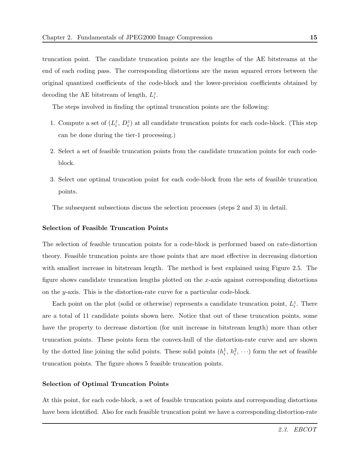truncation point. The candidate truncation points are the lengths of the AE bitstreams at the end of each coding pass. The corresponding distortions are the mean squared errors between the original quantized coefficients of the code-block and the lower-precision coefficients obtained by decoding the AE bitstream of length,  $L_i^z$ .

The steps involved in finding the optimal truncation points are the following:

- 1. Compute a set of  $(L_i^z, D_i^z)$  at all candidate truncation points for each code-block. (This step can be done during the tier-1 processing.)
- 2. Select a set of feasible truncation points from the candidate truncation points for each codeblock.
- 3. Select one optimal truncation point for each code-block from the sets of feasible truncation points.

The subsequent subsections discuss the selection processes (steps 2 and 3) in detail.

#### Selection of Feasible Truncation Points

The selection of feasible truncation points for a code-block is performed based on rate-distortion theory. Feasible truncation points are those points that are most effective in decreasing distortion with smallest increase in bitstream length. The method is best explained using Figure 2.5. The figure shows candidate truncation lengths plotted on the x-axis against corresponding distortions on the y-axis. This is the distortion-rate curve for a particular code-block.

Each point on the plot (solid or otherwise) represents a candidate truncation point,  $L_i^z$ . There are a total of 11 candidate points shown here. Notice that out of these truncation points, some have the property to decrease distortion (for unit increase in bitstream length) more than other truncation points. These points form the convex-hull of the distortion-rate curve and are shown by the dotted line joining the solid points. These solid points  $(h_i^1, h_i^2, \cdots)$  form the set of feasible truncation points. The figure shows 5 feasible truncation points.

#### Selection of Optimal Truncation Points

At this point, for each code-block, a set of feasible truncation points and corresponding distortions have been identified. Also for each feasible truncation point we have a corresponding distortion-rate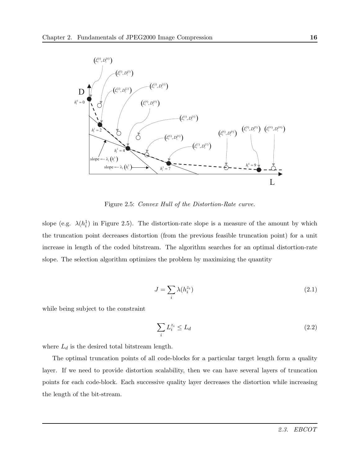

Figure 2.5: Convex Hull of the Distortion-Rate curve.

slope (e.g.  $\lambda(h_i^1)$  in Figure 2.5). The distortion-rate slope is a measure of the amount by which the truncation point decreases distortion (from the previous feasible truncation point) for a unit increase in length of the coded bitstream. The algorithm searches for an optimal distortion-rate slope. The selection algorithm optimizes the problem by maximizing the quantity

$$
J = \sum_{i} \lambda(h_i^{z_i}) \tag{2.1}
$$

while being subject to the constraint

$$
\sum_{i} L_i^{z_i} \le L_d \tag{2.2}
$$

where  $L_d$  is the desired total bitstream length.

The optimal truncation points of all code-blocks for a particular target length form a quality layer. If we need to provide distortion scalability, then we can have several layers of truncation points for each code-block. Each successive quality layer decreases the distortion while increasing the length of the bit-stream.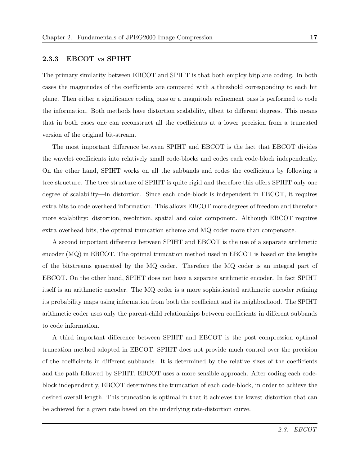#### 2.3.3 EBCOT vs SPIHT

The primary similarity between EBCOT and SPIHT is that both employ bitplane coding. In both cases the magnitudes of the coefficients are compared with a threshold corresponding to each bit plane. Then either a significance coding pass or a magnitude refinement pass is performed to code the information. Both methods have distortion scalability, albeit to different degrees. This means that in both cases one can reconstruct all the coefficients at a lower precision from a truncated version of the original bit-stream.

The most important difference between SPIHT and EBCOT is the fact that EBCOT divides the wavelet coefficients into relatively small code-blocks and codes each code-block independently. On the other hand, SPIHT works on all the subbands and codes the coefficients by following a tree structure. The tree structure of SPIHT is quite rigid and therefore this offers SPIHT only one degree of scalability—in distortion. Since each code-block is independent in EBCOT, it requires extra bits to code overhead information. This allows EBCOT more degrees of freedom and therefore more scalability: distortion, resolution, spatial and color component. Although EBCOT requires extra overhead bits, the optimal truncation scheme and MQ coder more than compensate.

A second important difference between SPIHT and EBCOT is the use of a separate arithmetic encoder (MQ) in EBCOT. The optimal truncation method used in EBCOT is based on the lengths of the bitstreams generated by the MQ coder. Therefore the MQ coder is an integral part of EBCOT. On the other hand, SPIHT does not have a separate arithmetic encoder. In fact SPIHT itself is an arithmetic encoder. The MQ coder is a more sophisticated arithmetic encoder refining its probability maps using information from both the coefficient and its neighborhood. The SPIHT arithmetic coder uses only the parent-child relationships between coefficients in different subbands to code information.

A third important difference between SPIHT and EBCOT is the post compression optimal truncation method adopted in EBCOT. SPIHT does not provide much control over the precision of the coefficients in different subbands. It is determined by the relative sizes of the coefficients and the path followed by SPIHT. EBCOT uses a more sensible approach. After coding each codeblock independently, EBCOT determines the truncation of each code-block, in order to achieve the desired overall length. This truncation is optimal in that it achieves the lowest distortion that can be achieved for a given rate based on the underlying rate-distortion curve.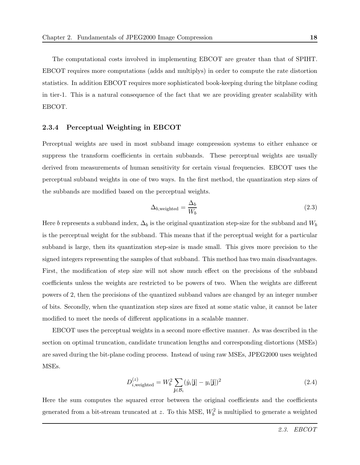The computational costs involved in implementing EBCOT are greater than that of SPIHT. EBCOT requires more computations (adds and multiplys) in order to compute the rate distortion statistics. In addition EBCOT requires more sophisticated book-keeping during the bitplane coding in tier-1. This is a natural consequence of the fact that we are providing greater scalability with EBCOT.

#### 2.3.4 Perceptual Weighting in EBCOT

Perceptual weights are used in most subband image compression systems to either enhance or suppress the transform coefficients in certain subbands. These perceptual weights are usually derived from measurements of human sensitivity for certain visual frequencies. EBCOT uses the perceptual subband weights in one of two ways. In the first method, the quantization step sizes of the subbands are modified based on the perceptual weights.

$$
\Delta_{b,\text{weighted}} = \frac{\Delta_b}{W_b} \tag{2.3}
$$

Here b represents a subband index,  $\Delta_b$  is the original quantization step-size for the subband and  $W_b$ is the perceptual weight for the subband. This means that if the perceptual weight for a particular subband is large, then its quantization step-size is made small. This gives more precision to the signed integers representing the samples of that subband. This method has two main disadvantages. First, the modification of step size will not show much effect on the precisions of the subband coefficients unless the weights are restricted to be powers of two. When the weights are different powers of 2, then the precisions of the quantized subband values are changed by an integer number of bits. Secondly, when the quantization step sizes are fixed at some static value, it cannot be later modified to meet the needs of different applications in a scalable manner.

EBCOT uses the perceptual weights in a second more effective manner. As was described in the section on optimal truncation, candidate truncation lengths and corresponding distortions (MSEs) are saved during the bit-plane coding process. Instead of using raw MSEs, JPEG2000 uses weighted MSEs.

$$
D_{i,\text{weighted}}^{(z)} = W_b^2 \sum_{\mathbf{j} \in \mathcal{B}_i} (\hat{y}_i[\mathbf{j}] - y_i[\mathbf{j}])^2
$$
\n(2.4)

Here the sum computes the squared error between the original coefficients and the coefficients generated from a bit-stream truncated at z. To this MSE,  $W_b^2$  is multiplied to generate a weighted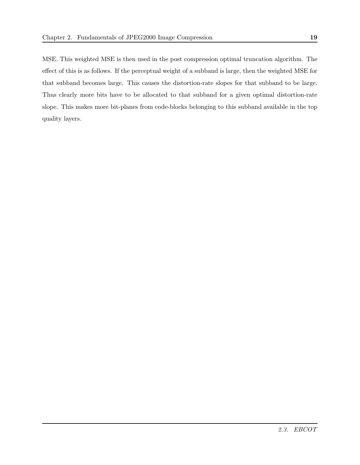MSE. This weighted MSE is then used in the post compression optimal truncation algorithm. The effect of this is as follows. If the perceptual weight of a subband is large, then the weighted MSE for that subband becomes large. This causes the distortion-rate slopes for that subband to be large. Thus clearly more bits have to be allocated to that subband for a given optimal distortion-rate slope. This makes more bit-planes from code-blocks belonging to this subband available in the top quality layers.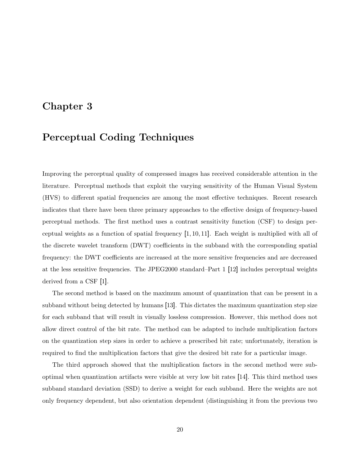## Chapter 3

## Perceptual Coding Techniques

Improving the perceptual quality of compressed images has received considerable attention in the literature. Perceptual methods that exploit the varying sensitivity of the Human Visual System (HVS) to different spatial frequencies are among the most effective techniques. Recent research indicates that there have been three primary approaches to the effective design of frequency-based perceptual methods. The first method uses a contrast sensitivity function (CSF) to design perceptual weights as a function of spatial frequency [1, 10, 11]. Each weight is multiplied with all of the discrete wavelet transform (DWT) coefficients in the subband with the corresponding spatial frequency: the DWT coefficients are increased at the more sensitive frequencies and are decreased at the less sensitive frequencies. The JPEG2000 standard–Part 1 [12] includes perceptual weights derived from a CSF [1].

The second method is based on the maximum amount of quantization that can be present in a subband without being detected by humans [13]. This dictates the maximum quantization step size for each subband that will result in visually lossless compression. However, this method does not allow direct control of the bit rate. The method can be adapted to include multiplication factors on the quantization step sizes in order to achieve a prescribed bit rate; unfortunately, iteration is required to find the multiplication factors that give the desired bit rate for a particular image.

The third approach showed that the multiplication factors in the second method were suboptimal when quantization artifacts were visible at very low bit rates [14]. This third method uses subband standard deviation (SSD) to derive a weight for each subband. Here the weights are not only frequency dependent, but also orientation dependent (distinguishing it from the previous two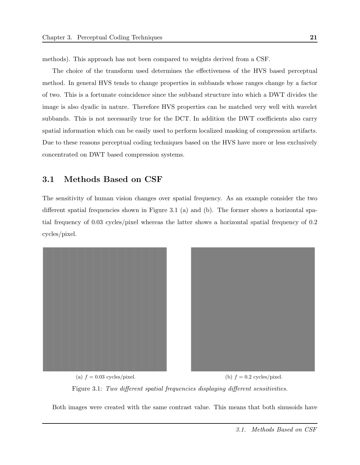methods). This approach has not been compared to weights derived from a CSF.

The choice of the transform used determines the effectiveness of the HVS based perceptual method. In general HVS tends to change properties in subbands whose ranges change by a factor of two. This is a fortunate coincidence since the subband structure into which a DWT divides the image is also dyadic in nature. Therefore HVS properties can be matched very well with wavelet subbands. This is not necessarily true for the DCT. In addition the DWT coefficients also carry spatial information which can be easily used to perform localized masking of compression artifacts. Due to these reasons perceptual coding techniques based on the HVS have more or less exclusively concentrated on DWT based compression systems.

#### 3.1 Methods Based on CSF

The sensitivity of human vision changes over spatial frequency. As an example consider the two different spatial frequencies shown in Figure 3.1 (a) and (b). The former shows a horizontal spatial frequency of 0.03 cycles/pixel whereas the latter shows a horizontal spatial frequency of 0.2 cycles/pixel.



(a)  $f = 0.03$  cycles/pixel. (b)  $f = 0.2$  cycles/pixel. Figure 3.1: Two different spatial frequencies displaying different sensitivities.

Both images were created with the same contrast value. This means that both sinusoids have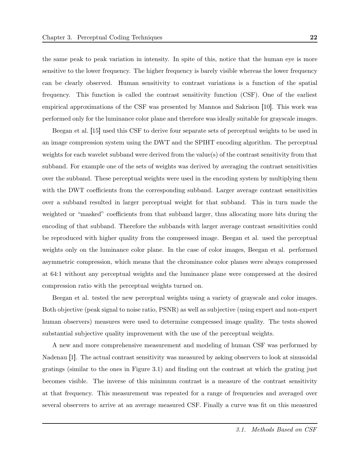the same peak to peak variation in intensity. In spite of this, notice that the human eye is more sensitive to the lower frequency. The higher frequency is barely visible whereas the lower frequency can be clearly observed. Human sensitivity to contrast variations is a function of the spatial frequency. This function is called the contrast sensitivity function (CSF). One of the earliest empirical approximations of the CSF was presented by Mannos and Sakrison [10]. This work was performed only for the luminance color plane and therefore was ideally suitable for grayscale images.

Beegan et al. [15] used this CSF to derive four separate sets of perceptual weights to be used in an image compression system using the DWT and the SPIHT encoding algorithm. The perceptual weights for each wavelet subband were derived from the value(s) of the contrast sensitivity from that subband. For example one of the sets of weights was derived by averaging the contrast sensitivities over the subband. These perceptual weights were used in the encoding system by multiplying them with the DWT coefficients from the corresponding subband. Larger average contrast sensitivities over a subband resulted in larger perceptual weight for that subband. This in turn made the weighted or "masked" coefficients from that subband larger, thus allocating more bits during the encoding of that subband. Therefore the subbands with larger average contrast sensitivities could be reproduced with higher quality from the compressed image. Beegan et al. used the perceptual weights only on the luminance color plane. In the case of color images, Beegan et al. performed asymmetric compression, which means that the chrominance color planes were always compressed at 64:1 without any perceptual weights and the luminance plane were compressed at the desired compression ratio with the perceptual weights turned on.

Beegan et al. tested the new perceptual weights using a variety of grayscale and color images. Both objective (peak signal to noise ratio, PSNR) as well as subjective (using expert and non-expert human observers) measures were used to determine compressed image quality. The tests showed substantial subjective quality improvement with the use of the perceptual weights.

A new and more comprehensive measurement and modeling of human CSF was performed by Nadenau [1]. The actual contrast sensitivity was measured by asking observers to look at sinusoidal gratings (similar to the ones in Figure 3.1) and finding out the contrast at which the grating just becomes visible. The inverse of this minimum contrast is a measure of the contrast sensitivity at that frequency. This measurement was repeated for a range of frequencies and averaged over several observers to arrive at an average measured CSF. Finally a curve was fit on this measured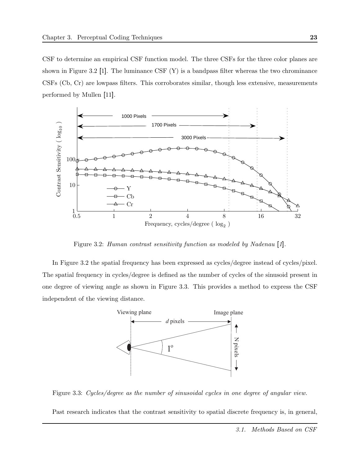CSF to determine an empirical CSF function model. The three CSFs for the three color planes are shown in Figure 3.2 [1]. The luminance CSF  $(Y)$  is a bandpass filter whereas the two chrominance CSFs (Cb, Cr) are lowpass filters. This corroborates similar, though less extensive, measurements performed by Mullen [11].



Figure 3.2: Human contrast sensitivity function as modeled by Nadenau [1].

In Figure 3.2 the spatial frequency has been expressed as cycles/degree instead of cycles/pixel. The spatial frequency in cycles/degree is defined as the number of cycles of the sinusoid present in one degree of viewing angle as shown in Figure 3.3. This provides a method to express the CSF independent of the viewing distance.



Figure 3.3: Cycles/degree as the number of sinusoidal cycles in one degree of angular view.

Past research indicates that the contrast sensitivity to spatial discrete frequency is, in general,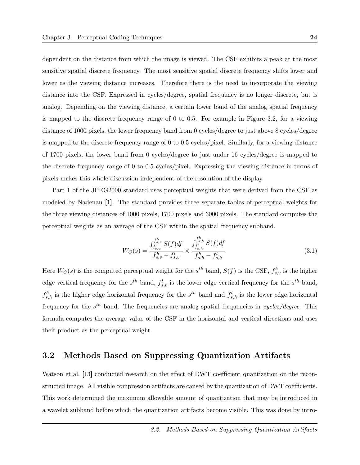dependent on the distance from which the image is viewed. The CSF exhibits a peak at the most sensitive spatial discrete frequency. The most sensitive spatial discrete frequency shifts lower and lower as the viewing distance increases. Therefore there is the need to incorporate the viewing distance into the CSF. Expressed in cycles/degree, spatial frequency is no longer discrete, but is analog. Depending on the viewing distance, a certain lower band of the analog spatial frequency is mapped to the discrete frequency range of 0 to 0.5. For example in Figure 3.2, for a viewing distance of 1000 pixels, the lower frequency band from 0 cycles/degree to just above 8 cycles/degree is mapped to the discrete frequency range of 0 to 0.5 cycles/pixel. Similarly, for a viewing distance of 1700 pixels, the lower band from 0 cycles/degree to just under 16 cycles/degree is mapped to the discrete frequency range of 0 to 0.5 cycles/pixel. Expressing the viewing distance in terms of pixels makes this whole discussion independent of the resolution of the display.

Part 1 of the JPEG2000 standard uses perceptual weights that were derived from the CSF as modeled by Nadenau [1]. The standard provides three separate tables of perceptual weights for the three viewing distances of 1000 pixels, 1700 pixels and 3000 pixels. The standard computes the perceptual weights as an average of the CSF within the spatial frequency subband.

$$
W_C(s) = \frac{\int_{f_{s,v}^h}^{f_{s,v}^h} S(f) df}{f_{s,v}^h - f_{s,v}^l} \times \frac{\int_{f_{s,h}^l}^{f_{s,h}^h} S(f) df}{f_{s,h}^h - f_{s,h}^l}
$$
(3.1)

Here  $W_C(s)$  is the computed perceptual weight for the  $s^{th}$  band,  $S(f)$  is the CSF,  $f_{s,v}^h$  is the higher edge vertical frequency for the  $s^{th}$  band,  $f_{s,v}^l$  is the lower edge vertical frequency for the  $s^{th}$  band,  $f_{s,h}^h$  is the higher edge horizontal frequency for the  $s^{th}$  band and  $f_{s,h}^l$  is the lower edge horizontal frequency for the  $s^{th}$  band. The frequencies are analog spatial frequencies in cycles/degree. This formula computes the average value of the CSF in the horizontal and vertical directions and uses their product as the perceptual weight.

## 3.2 Methods Based on Suppressing Quantization Artifacts

Watson et al. [13] conducted research on the effect of DWT coefficient quantization on the reconstructed image. All visible compression artifacts are caused by the quantization of DWT coefficients. This work determined the maximum allowable amount of quantization that may be introduced in a wavelet subband before which the quantization artifacts become visible. This was done by intro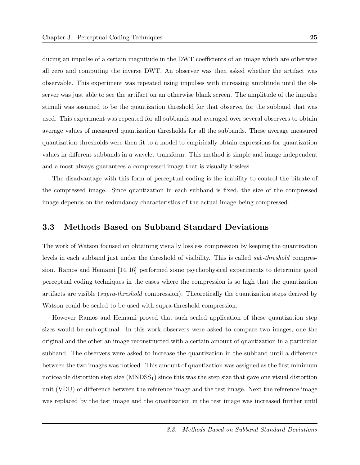ducing an impulse of a certain magnitude in the DWT coefficients of an image which are otherwise all zero and computing the inverse DWT. An observer was then asked whether the artifact was observable. This experiment was repeated using impulses with increasing amplitude until the observer was just able to see the artifact on an otherwise blank screen. The amplitude of the impulse stimuli was assumed to be the quantization threshold for that observer for the subband that was used. This experiment was repeated for all subbands and averaged over several observers to obtain average values of measured quantization thresholds for all the subbands. These average measured quantization thresholds were then fit to a model to empirically obtain expressions for quantization values in different subbands in a wavelet transform. This method is simple and image independent and almost always guarantees a compressed image that is visually lossless.

The disadvantage with this form of perceptual coding is the inability to control the bitrate of the compressed image. Since quantization in each subband is fixed, the size of the compressed image depends on the redundancy characteristics of the actual image being compressed.

### 3.3 Methods Based on Subband Standard Deviations

The work of Watson focused on obtaining visually lossless compression by keeping the quantization levels in each subband just under the threshold of visibility. This is called sub-threshold compression. Ramos and Hemami [14, 16] performed some psychophysical experiments to determine good perceptual coding techniques in the cases where the compression is so high that the quantization artifacts are visible (supra-threshold compression). Theoretically the quantization steps derived by Watson could be scaled to be used with supra-threshold compression.

However Ramos and Hemami proved that such scaled application of these quantization step sizes would be sub-optimal. In this work observers were asked to compare two images, one the original and the other an image reconstructed with a certain amount of quantization in a particular subband. The observers were asked to increase the quantization in the subband until a difference between the two images was noticed. This amount of quantization was assigned as the first minimum noticeable distortion step size  $(MNDSS<sub>1</sub>)$  since this was the step size that gave one visual distortion unit (VDU) of difference between the reference image and the test image. Next the reference image was replaced by the test image and the quantization in the test image was increased further until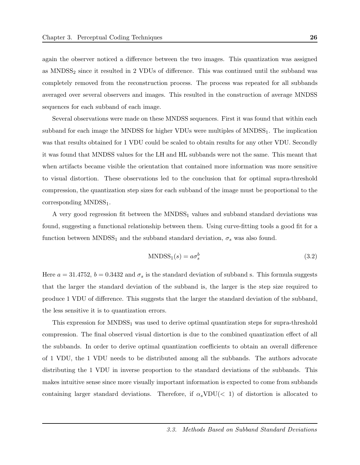again the observer noticed a difference between the two images. This quantization was assigned as MNDSS<sub>2</sub> since it resulted in 2 VDUs of difference. This was continued until the subband was completely removed from the reconstruction process. The process was repeated for all subbands averaged over several observers and images. This resulted in the construction of average MNDSS sequences for each subband of each image.

Several observations were made on these MNDSS sequences. First it was found that within each subband for each image the MNDSS for higher VDUs were multiples of MNDSS<sub>1</sub>. The implication was that results obtained for 1 VDU could be scaled to obtain results for any other VDU. Secondly it was found that MNDSS values for the LH and HL subbands were not the same. This meant that when artifacts became visible the orientation that contained more information was more sensitive to visual distortion. These observations led to the conclusion that for optimal supra-threshold compression, the quantization step sizes for each subband of the image must be proportional to the corresponding MNDSS<sub>1</sub>.

A very good regression fit between the  $MNDSS<sub>1</sub>$  values and subband standard deviations was found, suggesting a functional relationship between them. Using curve-fitting tools a good fit for a function between MNDSS<sub>1</sub> and the subband standard deviation,  $\sigma_s$  was also found.

$$
MNDSS_1(s) = a\sigma_s^b \tag{3.2}
$$

Here  $a = 31.4752$ ,  $b = 0.3432$  and  $\sigma_s$  is the standard deviation of subband s. This formula suggests that the larger the standard deviation of the subband is, the larger is the step size required to produce 1 VDU of difference. This suggests that the larger the standard deviation of the subband, the less sensitive it is to quantization errors.

This expression for  $MNDSS<sub>1</sub>$  was used to derive optimal quantization steps for supra-threshold compression. The final observed visual distortion is due to the combined quantization effect of all the subbands. In order to derive optimal quantization coefficients to obtain an overall difference of 1 VDU, the 1 VDU needs to be distributed among all the subbands. The authors advocate distributing the 1 VDU in inverse proportion to the standard deviations of the subbands. This makes intuitive sense since more visually important information is expected to come from subbands containing larger standard deviations. Therefore, if  $\alpha_s \text{VDU}(< 1)$  of distortion is allocated to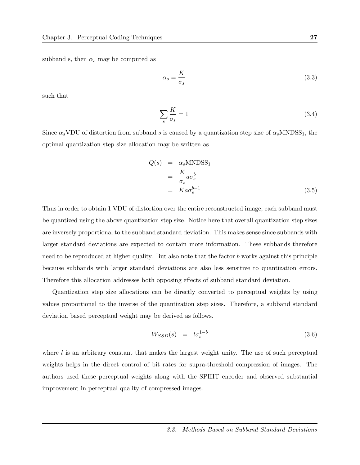subband s, then  $\alpha_s$  may be computed as

$$
\alpha_s = \frac{K}{\sigma_s} \tag{3.3}
$$

such that

$$
\sum_{s} \frac{K}{\sigma_s} = 1\tag{3.4}
$$

Since  $\alpha_s$ VDU of distortion from subband s is caused by a quantization step size of  $\alpha_s$ MNDSS<sub>1</sub>, the optimal quantization step size allocation may be written as

$$
Q(s) = \alpha_s \text{MNDSS}_1
$$
  
=  $\frac{K}{\sigma_s} a \sigma_s^b$   
=  $K a \sigma_s^{b-1}$  (3.5)

Thus in order to obtain 1 VDU of distortion over the entire reconstructed image, each subband must be quantized using the above quantization step size. Notice here that overall quantization step sizes are inversely proportional to the subband standard deviation. This makes sense since subbands with larger standard deviations are expected to contain more information. These subbands therefore need to be reproduced at higher quality. But also note that the factor b works against this principle because subbands with larger standard deviations are also less sensitive to quantization errors. Therefore this allocation addresses both opposing effects of subband standard deviation.

Quantization step size allocations can be directly converted to perceptual weights by using values proportional to the inverse of the quantization step sizes. Therefore, a subband standard deviation based perceptual weight may be derived as follows.

$$
W_{SSD}(s) = l\sigma_s^{1-b} \tag{3.6}
$$

where  $l$  is an arbitrary constant that makes the largest weight unity. The use of such perceptual weights helps in the direct control of bit rates for supra-threshold compression of images. The authors used these perceptual weights along with the SPIHT encoder and observed substantial improvement in perceptual quality of compressed images.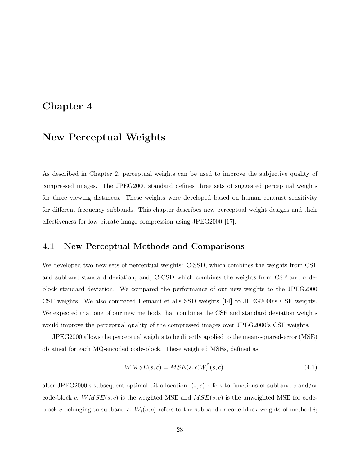## Chapter 4

## New Perceptual Weights

As described in Chapter 2, perceptual weights can be used to improve the subjective quality of compressed images. The JPEG2000 standard defines three sets of suggested perceptual weights for three viewing distances. These weights were developed based on human contrast sensitivity for different frequency subbands. This chapter describes new perceptual weight designs and their effectiveness for low bitrate image compression using JPEG2000 [17].

## 4.1 New Perceptual Methods and Comparisons

We developed two new sets of perceptual weights: C-SSD, which combines the weights from CSF and subband standard deviation; and, C-CSD which combines the weights from CSF and codeblock standard deviation. We compared the performance of our new weights to the JPEG2000 CSF weights. We also compared Hemami et al's SSD weights [14] to JPEG2000's CSF weights. We expected that one of our new methods that combines the CSF and standard deviation weights would improve the perceptual quality of the compressed images over JPEG2000's CSF weights.

JPEG2000 allows the perceptual weights to be directly applied to the mean-squared-error (MSE) obtained for each MQ-encoded code-block. These weighted MSEs, defined as:

$$
WMSE(s,c) = MSE(s,c)W_i^2(s,c)
$$
\n
$$
(4.1)
$$

alter JPEG2000's subsequent optimal bit allocation;  $(s, c)$  refers to functions of subband s and/or code-block c.  $WMSE(s, c)$  is the weighted MSE and  $MSE(s, c)$  is the unweighted MSE for codeblock c belonging to subband s.  $W_i(s, c)$  refers to the subband or code-block weights of method i;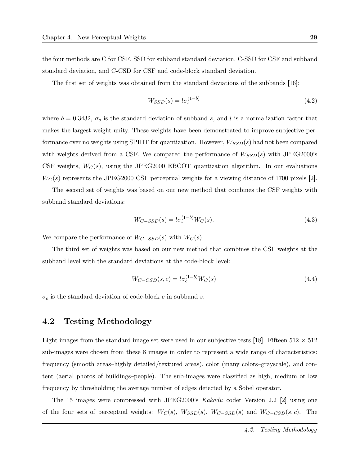the four methods are C for CSF, SSD for subband standard deviation, C-SSD for CSF and subband standard deviation, and C-CSD for CSF and code-block standard deviation.

The first set of weights was obtained from the standard deviations of the subbands [16]:

$$
W_{SSD}(s) = l\sigma_s^{(1-b)}\tag{4.2}
$$

where  $b = 0.3432$ ,  $\sigma_s$  is the standard deviation of subband s, and l is a normalization factor that makes the largest weight unity. These weights have been demonstrated to improve subjective performance over no weights using SPIHT for quantization. However,  $W_{SSD}(s)$  had not been compared with weights derived from a CSF. We compared the performance of  $W_{SSD}(s)$  with JPEG2000's CSF weights,  $W_C(s)$ , using the JPEG2000 EBCOT quantization algorithm. In our evaluations  $W_C(s)$  represents the JPEG2000 CSF perceptual weights for a viewing distance of 1700 pixels [2].

The second set of weights was based on our new method that combines the CSF weights with subband standard deviations:

$$
W_{C-SSD}(s) = l\sigma_s^{(1-b)}W_C(s).
$$
\n(4.3)

We compare the performance of  $W_{C-SSD}(s)$  with  $W_C(s)$ .

The third set of weights was based on our new method that combines the CSF weights at the subband level with the standard deviations at the code-block level:

$$
W_{C-CSD}(s,c) = l\sigma_c^{(1-b)}W_C(s)
$$
\n
$$
(4.4)
$$

 $\sigma_c$  is the standard deviation of code-block c in subband s.

## 4.2 Testing Methodology

Eight images from the standard image set were used in our subjective tests [18]. Fifteen  $512 \times 512$ sub-images were chosen from these 8 images in order to represent a wide range of characteristics: frequency (smooth areas–highly detailed/textured areas), color (many colors–grayscale), and content (aerial photos of buildings–people). The sub-images were classified as high, medium or low frequency by thresholding the average number of edges detected by a Sobel operator.

The 15 images were compressed with JPEG2000's Kakadu coder Version 2.2 [2] using one of the four sets of perceptual weights:  $W_C(s)$ ,  $W_{SSD}(s)$ ,  $W_{C-SSD}(s)$  and  $W_{C-CSD}(s, c)$ . The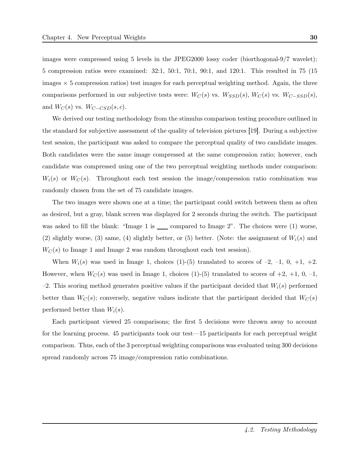images were compressed using 5 levels in the JPEG2000 lossy coder (biorthogonal-9/7 wavelet); 5 compression ratios were examined: 32:1, 50:1, 70:1, 90:1, and 120:1. This resulted in 75 (15 images  $\times$  5 compression ratios) test images for each perceptual weighting method. Again, the three comparisons performed in our subjective tests were:  $W_C(s)$  vs.  $W_{SSD}(s)$ ,  $W_C(s)$  vs.  $W_{C-SSD}(s)$ , and  $W_C(s)$  vs.  $W_{C-CSD}(s, c)$ .

We derived our testing methodology from the stimulus comparison testing procedure outlined in the standard for subjective assessment of the quality of television pictures [19]. During a subjective test session, the participant was asked to compare the perceptual quality of two candidate images. Both candidates were the same image compressed at the same compression ratio; however, each candidate was compressed using one of the two perceptual weighting methods under comparison:  $W_i(s)$  or  $W_C(s)$ . Throughout each test session the image/compression ratio combination was randomly chosen from the set of 75 candidate images.

The two images were shown one at a time; the participant could switch between them as often as desired, but a gray, blank screen was displayed for 2 seconds during the switch. The participant was asked to fill the blank: "Image 1 is  $\_\_$  compared to Image 2". The choices were (1) worse, (2) slightly worse, (3) same, (4) slightly better, or (5) better. (Note: the assignment of  $W_i(s)$  and  $W_C(s)$  to Image 1 and Image 2 was random throughout each test session).

When  $W_i(s)$  was used in Image 1, choices (1)-(5) translated to scores of -2, -1, 0, +1, +2. However, when  $W_C(s)$  was used in Image 1, choices (1)-(5) translated to scores of  $+2$ ,  $+1$ , 0,  $-1$ ,  $-2$ . This scoring method generates positive values if the participant decided that  $W_i(s)$  performed better than  $W_C(s)$ ; conversely, negative values indicate that the participant decided that  $W_C(s)$ performed better than  $W_i(s)$ .

Each participant viewed 25 comparisons; the first 5 decisions were thrown away to account for the learning process. 45 participants took our test—15 participants for each perceptual weight comparison. Thus, each of the 3 perceptual weighting comparisons was evaluated using 300 decisions spread randomly across 75 image/compression ratio combinations.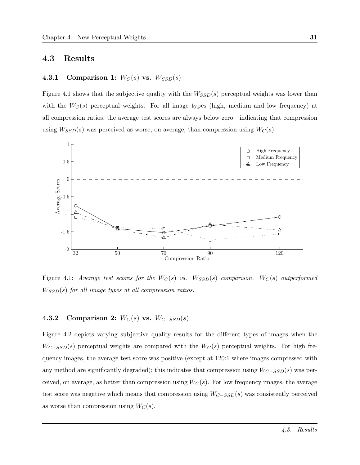### 4.3 Results

## 4.3.1 Comparison 1:  $W_C(s)$  vs.  $W_{SSD}(s)$

Figure 4.1 shows that the subjective quality with the  $W_{SSD}(s)$  perceptual weights was lower than with the  $W_C(s)$  perceptual weights. For all image types (high, medium and low frequency) at all compression ratios, the average test scores are always below zero—indicating that compression using  $W_{SSD}(s)$  was perceived as worse, on average, than compression using  $W_C(s)$ .



Figure 4.1: Average test scores for the  $W_C(s)$  vs.  $W_{SSD}(s)$  comparison.  $W_C(s)$  outperformed  $W_{SSD}(s)$  for all image types at all compression ratios.

## 4.3.2 Comparison 2:  $W_C(s)$  vs.  $W_{C-SSD}(s)$

Figure 4.2 depicts varying subjective quality results for the different types of images when the  $W_{C-SSD}(s)$  perceptual weights are compared with the  $W_C(s)$  perceptual weights. For high frequency images, the average test score was positive (except at 120:1 where images compressed with any method are significantly degraded); this indicates that compression using  $W_{C-SSD}(s)$  was perceived, on average, as better than compression using  $W_C(s)$ . For low frequency images, the average test score was negative which means that compression using  $W_{C-SSD}(s)$  was consistently perceived as worse than compression using  $W_C(s)$ .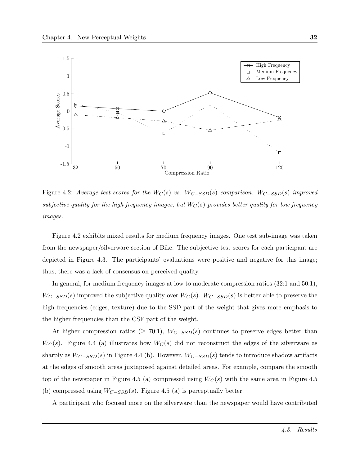

Figure 4.2: Average test scores for the  $W_C(s)$  vs.  $W_{C-SSD}(s)$  comparison.  $W_{C-SSD}(s)$  improved subjective quality for the high frequency images, but  $W_C(s)$  provides better quality for low frequency images.

Figure 4.2 exhibits mixed results for medium frequency images. One test sub-image was taken from the newspaper/silverware section of Bike. The subjective test scores for each participant are depicted in Figure 4.3. The participants' evaluations were positive and negative for this image; thus, there was a lack of consensus on perceived quality.

In general, for medium frequency images at low to moderate compression ratios (32:1 and 50:1),  $W_{C-SSD}(s)$  improved the subjective quality over  $W_C(s)$ .  $W_{C-SSD}(s)$  is better able to preserve the high frequencies (edges, texture) due to the SSD part of the weight that gives more emphasis to the higher frequencies than the CSF part of the weight.

At higher compression ratios ( $\geq$  70:1),  $W_{C-SSD}(s)$  continues to preserve edges better than  $W_C(s)$ . Figure 4.4 (a) illustrates how  $W_C(s)$  did not reconstruct the edges of the silverware as sharply as  $W_{C-SSD}(s)$  in Figure 4.4 (b). However,  $W_{C-SSD}(s)$  tends to introduce shadow artifacts at the edges of smooth areas juxtaposed against detailed areas. For example, compare the smooth top of the newspaper in Figure 4.5 (a) compressed using  $W_C(s)$  with the same area in Figure 4.5 (b) compressed using  $W_{C-SSD}(s)$ . Figure 4.5 (a) is perceptually better.

A participant who focused more on the silverware than the newspaper would have contributed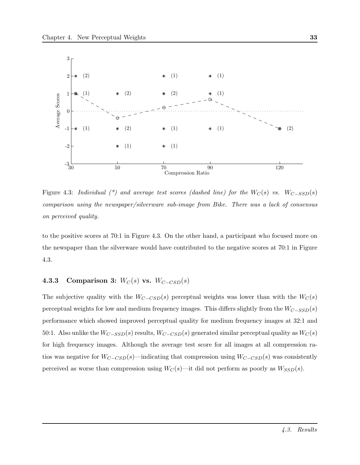

Figure 4.3: Individual  $(*)$  and average test scores (dashed line) for the  $W_C(s)$  vs.  $W_{C-SSD}(s)$ comparison using the newspaper/silverware sub-image from Bike. There was a lack of consensus on perceived quality.

to the positive scores at 70:1 in Figure 4.3. On the other hand, a participant who focused more on the newspaper than the silverware would have contributed to the negative scores at 70:1 in Figure 4.3.

## 4.3.3 Comparison 3:  $W_C(s)$  vs.  $W_{C-CSD}(s)$

The subjective quality with the  $W_{C-CSD}(s)$  perceptual weights was lower than with the  $W_C(s)$ perceptual weights for low and medium frequency images. This differs slightly from the  $W_{C-SSD}(s)$ performance which showed improved perceptual quality for medium frequency images at 32:1 and 50:1. Also unlike the  $W_{C-SSD}(s)$  results,  $W_{C-CSD}(s)$  generated similar perceptual quality as  $W_C(s)$ for high frequency images. Although the average test score for all images at all compression ratios was negative for  $W_{C-CSD}(s)$ —indicating that compression using  $W_{C-CSD}(s)$  was consistently perceived as worse than compression using  $W_C(s)$ —it did not perform as poorly as  $W_{SSD}(s)$ .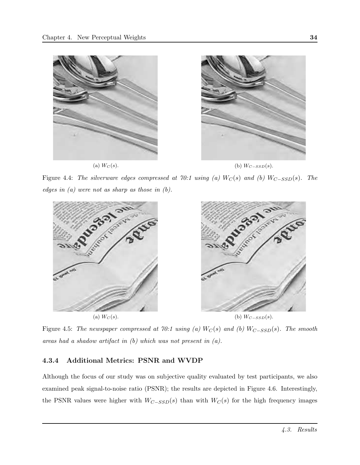

Figure 4.4: The silverware edges compressed at 70:1 using (a)  $W_C(s)$  and (b)  $W_{C-SSD}(s)$ . The edges in  $(a)$  were not as sharp as those in  $(b)$ .



Figure 4.5: The newspaper compressed at 70:1 using (a)  $W_C(s)$  and (b)  $W_{C-SSD}(s)$ . The smooth areas had a shadow artifact in (b) which was not present in (a).

### 4.3.4 Additional Metrics: PSNR and WVDP

Although the focus of our study was on subjective quality evaluated by test participants, we also examined peak signal-to-noise ratio (PSNR); the results are depicted in Figure 4.6. Interestingly, the PSNR values were higher with  $W_{C-SSD}(s)$  than with  $W_C(s)$  for the high frequency images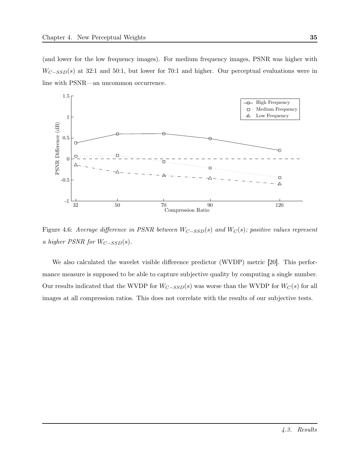(and lower for the low frequency images). For medium frequency images, PSNR was higher with  $W_{C-SSD}(s)$  at 32:1 and 50:1, but lower for 70:1 and higher. Our perceptual evaluations were in line with PSNR—an uncommon occurrence.



Figure 4.6: Average difference in PSNR between  $W_{C-SSD}(s)$  and  $W_C(s)$ ; positive values represent a higher PSNR for  $W_{C-SSD}(s)$ .

We also calculated the wavelet visible difference predictor (WVDP) metric [20]. This performance measure is supposed to be able to capture subjective quality by computing a single number. Our results indicated that the WVDP for  $W_{C-SSD}(s)$  was worse than the WVDP for  $W_C(s)$  for all images at all compression ratios. This does not correlate with the results of our subjective tests.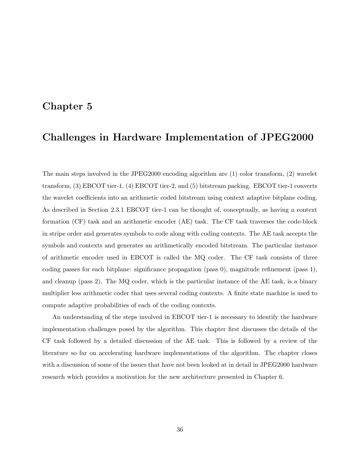## Chapter 5

# Challenges in Hardware Implementation of JPEG2000

The main steps involved in the JPEG2000 encoding algorithm are (1) color transform, (2) wavelet transform, (3) EBCOT tier-1, (4) EBCOT tier-2, and (5) bitstream packing. EBCOT tier-1 converts the wavelet coefficients into an arithmetic coded bitstream using context adaptive bitplane coding. As described in Section 2.3.1 EBCOT tier-1 can be thought of, conceptually, as having a context formation (CF) task and an arithmetic encoder (AE) task. The CF task traverses the code-block in stripe order and generates symbols to code along with coding contexts. The AE task accepts the symbols and contexts and generates an arithmetically encoded bitstream. The particular instance of arithmetic encoder used in EBCOT is called the MQ coder. The CF task consists of three coding passes for each bitplane: significance propagation (pass 0), magnitude refinement (pass 1), and cleanup (pass 2). The MQ coder, which is the particular instance of the AE task, is a binary multiplier less arithmetic coder that uses several coding contexts. A finite state machine is used to compute adaptive probabilities of each of the coding contexts.

An understanding of the steps involved in EBCOT tier-1 is necessary to identify the hardware implementation challenges posed by the algorithm. This chapter first discusses the details of the CF task followed by a detailed discussion of the AE task. This is followed by a review of the literature so far on accelerating hardware implementations of the algorithm. The chapter closes with a discussion of some of the issues that have not been looked at in detail in JPEG2000 hardware research which provides a motivation for the new architecture presented in Chapter 6.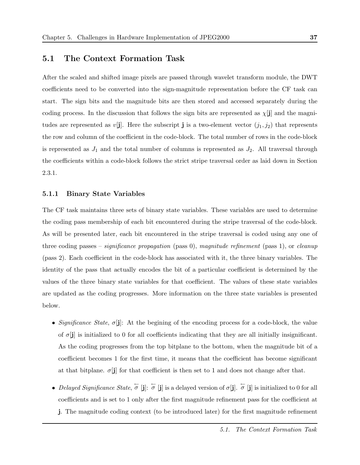### 5.1 The Context Formation Task

After the scaled and shifted image pixels are passed through wavelet transform module, the DWT coefficients need to be converted into the sign-magnitude representation before the CF task can start. The sign bits and the magnitude bits are then stored and accessed separately during the coding process. In the discussion that follows the sign bits are represented as  $\chi[\mathbf{j}]$  and the magnitudes are represented as  $v[j]$ . Here the subscript j is a two-element vector  $(j_1, j_2)$  that represents the row and column of the coefficient in the code-block. The total number of rows in the code-block is represented as  $J_1$  and the total number of columns is represented as  $J_2$ . All traversal through the coefficients within a code-block follows the strict stripe traversal order as laid down in Section 2.3.1.

#### 5.1.1 Binary State Variables

The CF task maintains three sets of binary state variables. These variables are used to determine the coding pass membership of each bit encountered during the stripe traversal of the code-block. As will be presented later, each bit encountered in the stripe traversal is coded using any one of three coding passes – *significance propagation* (pass 0), magnitude refinement (pass 1), or cleanup (pass 2). Each coefficient in the code-block has associated with it, the three binary variables. The identity of the pass that actually encodes the bit of a particular coefficient is determined by the values of the three binary state variables for that coefficient. The values of these state variables are updated as the coding progresses. More information on the three state variables is presented below.

- Significance State,  $\sigma$ [j]: At the begining of the encoding process for a code-block, the value of  $\sigma[j]$  is initialized to 0 for all coefficients indicating that they are all initially insignificant. As the coding progresses from the top bitplane to the bottom, when the magnitude bit of a coefficient becomes 1 for the first time, it means that the coefficient has become significant at that bitplane.  $\sigma[\mathbf{j}]$  for that coefficient is then set to 1 and does not change after that.
- Delayed Significance State,  $\sigma$  [j]:  $\sigma$  [j] is a delayed version of  $\sigma$ [j].  $\sigma$  [j] is initialized to 0 for all coefficients and is set to 1 only after the first magnitude refinement pass for the coefficient at j. The magnitude coding context (to be introduced later) for the first magnitude refinement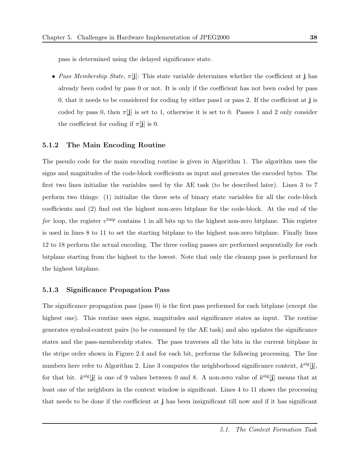pass is determined using the delayed significance state.

• Pass Membership State,  $\pi[j]$ : This state variable determines whether the coefficient at j has already been coded by pass 0 or not. It is only if the coefficient has not been coded by pass 0, that it needs to be considered for coding by either pass1 or pass 2. If the coefficient at j is coded by pass 0, then  $\pi[j]$  is set to 1, otherwise it is set to 0. Passes 1 and 2 only consider the coefficient for coding if  $\pi$ [j] is 0.

#### 5.1.2 The Main Encoding Routine

The pseudo code for the main encoding routine is given in Algorithm 1. The algorithm uses the signs and magnitudes of the code-block coefficients as input and generates the encoded bytes. The first two lines initialize the variables used by the AE task (to be described later). Lines 3 to 7 perform two things: (1) initialize the three sets of binary state variables for all the code-block coefficients and (2) find out the highest non-zero bitplane for the code-block. At the end of the for loop, the register  $v^{\text{tmp}}$  contains 1 in all bits up to the highest non-zero bitplane. This register is used in lines 8 to 11 to set the starting bitplane to the highest non-zero bitplane. Finally lines 12 to 18 perform the actual encoding. The three coding passes are performed sequentially for each bitplane starting from the highest to the lowest. Note that only the cleanup pass is performed for the highest bitplane.

#### 5.1.3 Significance Propagation Pass

The significance propagation pass (pass 0) is the first pass performed for each bitplane (except the highest one). This routine uses signs, magnitudes and significance states as input. The routine generates symbol-context pairs (to be consumed by the AE task) and also updates the significance states and the pass-membership states. The pass traverses all the bits in the current bitplane in the stripe order shown in Figure 2.4 and for each bit, performs the following processing. The line numbers here refer to Algorithm 2. Line 3 computes the neighborhood significance context,  $k^{\text{sig}}[\mathbf{j}]$ , for that bit.  $k^{\text{sig}}[\mathbf{j}]$  is one of 9 values between 0 and 8. A non-zero value of  $k^{\text{sig}}[\mathbf{j}]$  means that at least one of the neighbors in the context window is significant. Lines 4 to 11 shows the processing that needs to be done if the coefficient at j has been insignificant till now and if it has significant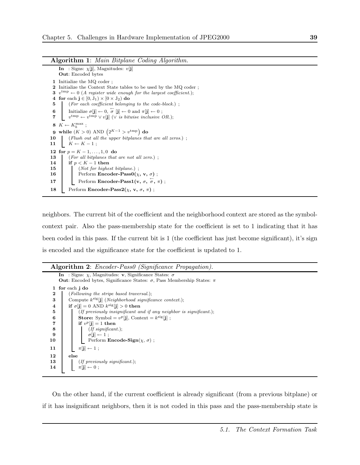Algorithm 1: Main Bitplane Coding Algorithm.

**In** : Signs:  $\chi$ [**j**], Magnitudes:  $v$ [**j**] Out: Encoded bytes 1 Initialize the MQ coder ; 2 Initialize the Context State tables to be used by the MQ coder ; 3  $v^{\text{tmp}} \leftarrow 0$  (A register wide enough for the largest coefficient.); 4 for each  $\mathbf{j} \in [0, J_1) \times [0 \times J_2)$  do 5 (For each coefficient belonging to the code-block.); 6 Initialize  $\sigma[j] \leftarrow 0$ ,  $\sigma[j] \leftarrow 0$  and  $\pi[j] \leftarrow 0$ ; 7  $v^{\text{tmp}} \leftarrow v^{\text{tmp}} \vee v[j]$  ( $\vee$  is bitwise inclusive OR.); 8  $K \leftarrow K_b^{\max}$ ; **9** while  $(K > 0)$  AND  $(2^{K-1} > v^{\text{tmp}})$  do  $10$  (Flush out all the upper bitplanes that are all zeros.); 11 |  $K \leftarrow K - 1$ ; 12 for  $p = K - 1, \ldots, 1, 0$  do 13 (For all bitplanes that are not all zero.); 14 if  $p < K - 1$  then 15 (*Not for highest bitplane.*); 16 Perform Encoder-Pass $0(\chi, v, \sigma)$ ; 17 Perform Encoder-Pass1( $\mathbf{v}, \sigma, \sigma, \pi$ ); 18 Perform Encoder-Pass2( $\chi$ , v,  $\sigma$ ,  $\pi$ );

neighbors. The current bit of the coefficient and the neighborhood context are stored as the symbolcontext pair. Also the pass-membership state for the coefficient is set to 1 indicating that it has been coded in this pass. If the current bit is 1 (the coefficient has just become significant), it's sign is encoded and the significance state for the coefficient is updated to 1.

### Algorithm 2: *Encoder-Pass0* (Significance Propagation).

```
In : Signs: \chi, Magnitudes: v, Significance States: \sigmaOut: Encoded bytes, Significance States: \sigma, Pass Membership States: π
 1 for each j do
 2 [ (Following the stripe based traversal.);
 3 Compute k^{\text{sig}}[j] (Neighborhood significance context.);
 4 if \sigma[\mathbf{j}] = 0 AND k^{\text{sig}}[\mathbf{j}] > 0 then
 5 (If previously insignificant and if any neighbor is significant.);
 6 Store: Symbol = v^p[j], Context = k^{\text{sig}}[j];
 7 if v^p[j] = 1 then
 8 (If significant.);
 9 \sigma[j] \leftarrow 1;
10 Perform Encode-Sign(\chi, \sigma);
11 \pi[j] \leftarrow 1;
12 else
13 (If previously significant.);
14 \begin{bmatrix} \pi[j] \leftarrow 0 ; \end{bmatrix}
```
On the other hand, if the current coefficient is already significant (from a previous bitplane) or if it has insignificant neighbors, then it is not coded in this pass and the pass-membership state is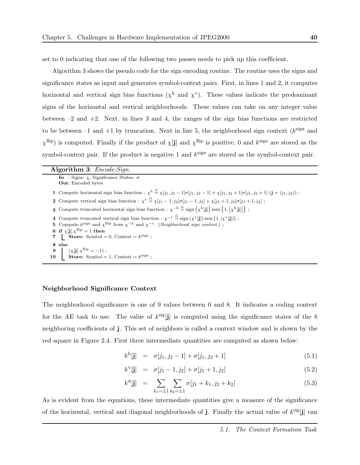set to 0 indicating that one of the following two passes needs to pick up this coefficient.

Algorithm 3 shows the pseudo code for the sign encoding routine. The routine uses the signs and significance states as input and generates symbol-context pairs. First, in lines 1 and 2, it computes horizontal and vertical sign bias functions ( $\chi^h$  and  $\chi^v$ ). These values indicate the predominant signs of the horizontal and vertical neighborhoods. These values can take on any integer value between  $-2$  and  $+2$ . Next, in lines 3 and 4, the ranges of the sign bias functions are restricted to be between  $-1$  and  $+1$  by truncation. Next in line 5, the neighborhood sign context ( $k^{\text{sign}}$  and  $\chi^{\text{flip}}$ ) is computed. Finally if the product of  $\chi$ [j] and  $\chi^{\text{flip}}$  is positive, 0 and  $k^{\text{sign}}$  are stored as the symbol-context pair. If the product is negative 1 and  $k^{\text{sign}}$  are stored as the symbol-context pair.

| Algorithm 3: $Encode-Sign.$                                                                                                                                                                            |  |  |  |  |  |  |
|--------------------------------------------------------------------------------------------------------------------------------------------------------------------------------------------------------|--|--|--|--|--|--|
| In : Signs: $\chi$ , Significance States: $\sigma$<br><b>Out:</b> Encoded bytes                                                                                                                        |  |  |  |  |  |  |
| 1 Compute horizontal sign bias function : $\chi^h \stackrel{\triangle}{=} \chi[j_1, j_2 - 1] \sigma[j_1, j_2 - 1] + \chi[j_1, j_2 + 1] \sigma[j_1, j_2 + 1]$ (j = (j <sub>1</sub> , j <sub>2</sub> )); |  |  |  |  |  |  |
| 2 Compute vertical sign bias function : $\chi^v \stackrel{\triangle}{=} \chi[j_1-1,j_2]\sigma[j_1-1,j_2] + \chi[j_1+1,j_2]\sigma[j_1+1,j_2]$ ;                                                         |  |  |  |  |  |  |
| <b>3</b> Compute truncated horizontal sign bias function : $\chi^{-h} \stackrel{\triangle}{=}$ sign $(\chi^h[j])$ min $\{1,  \chi^h[j] \}$ ;                                                           |  |  |  |  |  |  |
| 4 Compute truncated vertical sign bias function : $\chi^{-v} \stackrel{\triangle}{=} \text{sign}(\chi^v[j]) \min\{1,  \chi^v[j] \}$ ;                                                                  |  |  |  |  |  |  |
| 5 Compute $k^{\text{sign}}$ and $\chi^{\text{flip}}$ from $\chi^{-h}$ and $\chi^{-v}$ . ( <i>Neighborhood sign context.</i> );                                                                         |  |  |  |  |  |  |
| 6 if $\chi$ [j]. $\chi$ <sup>flip</sup> = 1 then                                                                                                                                                       |  |  |  |  |  |  |
| 7 Store: Symbol = 0, Context = $k^{\text{sign}}$ ;                                                                                                                                                     |  |  |  |  |  |  |
| 8 else                                                                                                                                                                                                 |  |  |  |  |  |  |
| $(\chi[\mathbf{j}].\chi^{\text{flip}} = -1)$ ;<br>9                                                                                                                                                    |  |  |  |  |  |  |
| 10 Store: Symbol = 1, Context = $k^{\text{sign}}$ ;                                                                                                                                                    |  |  |  |  |  |  |

#### Neighborhood Significance Context

The neighborhood significance is one of 9 values between 0 and 8. It indicates a coding context for the AE task to use. The value of  $k^{\text{sig}}[j]$  is computed using the significance states of the 8 neighboring coefficients of j. This set of neighbors is called a context window and is shown by the red square in Figure 2.4. First three intermediate quantities are computed as shown below:

$$
k^{\mathrm{h}}[\mathbf{j}] = \sigma[j_1, j_2 - 1] + \sigma[j_1, j_2 + 1] \tag{5.1}
$$

$$
k^{\mathbf{v}}[\mathbf{j}] = \sigma[j_1 - 1, j_2] + \sigma[j_1 + 1, j_2]
$$
 (5.2)

$$
k^{\text{d}}[\mathbf{j}] = \sum_{k_1=\pm 1} \sum_{k_2=\pm 1} \sigma[j_1 + k_1, j_2 + k_2]
$$
\n(5.3)

As is evident from the equations, these intermediate quantities give a measure of the significance of the horizontal, vertical and diagonal neighborhoods of  $\mathbf{j}$ . Finally the actual value of  $k^{\text{sig}}[\mathbf{j}]$  can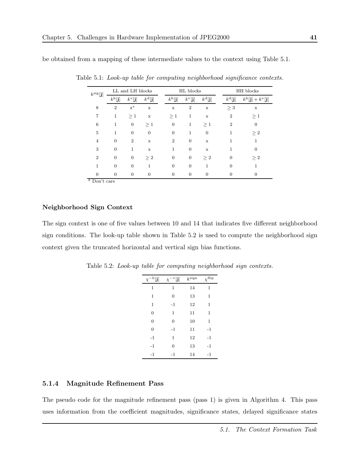be obtained from a mapping of these intermediate values to the context using Table 5.1.

| $k^{\rm sig}[\mathbf{j}]$ | LL and LH blocks        |                           |                              | HL blocks |                         |                           | HH blocks               |  |                              |                                                 |
|---------------------------|-------------------------|---------------------------|------------------------------|-----------|-------------------------|---------------------------|-------------------------|--|------------------------------|-------------------------------------------------|
|                           | $k^{\rm h}[\mathbf{j}]$ | $k^{\mathrm{v}}[{\bf j}]$ | $k^{\text{d}}[{\mathbf{j}}]$ |           | $k^{\rm h}[\mathbf{j}]$ | $k^{\mathrm{v}}[{\bf j}]$ | $k^{\text{d}}[{\bf j}]$ |  | $k^{\text{d}}[{\mathbf{j}}]$ | $k^{\rm h}[\mathbf{j}] + k^{\rm v}[\mathbf{j}]$ |
| 8                         | $\overline{2}$          | $\mathbf{x}^*$            | $\mathbf x$                  |           | $\mathbf x$             | $\overline{2}$            | $\mathbf x$             |  | $\geq 3$                     | $\mathbf x$                                     |
| 7                         | $\mathbf 1$             | $\geq 1$                  | $\mathbf x$                  |           | >1                      | $\mathbf{1}$              | $\mathbf x$             |  | $\overline{2}$               | $\geq 1$                                        |
| 6                         | 1                       | $\boldsymbol{0}$          | $\geq 1$                     |           | $\boldsymbol{0}$        | 1                         | $\geq 1$                |  | $\overline{2}$               | $\boldsymbol{0}$                                |
| 5                         | 1                       | $\overline{0}$            | $\overline{0}$               |           | $\overline{0}$          | $\mathbf{1}$              | $\theta$                |  | 1                            | $\geq 2$                                        |
| $\overline{4}$            | $\Omega$                | $\overline{2}$            | $\mathbf x$                  |           | $\overline{2}$          | $\Omega$                  | $\mathbf x$             |  | 1                            | 1                                               |
| 3                         | $\overline{0}$          | $\mathbf{1}$              | $\mathbf x$                  |           | 1                       | $\overline{0}$            | $\mathbf x$             |  | 1                            | 0                                               |
| $\overline{2}$            | $\theta$                | $\overline{0}$            | $\geq 2$                     |           | $\overline{0}$          | $\theta$                  | $\geq 2$                |  | $\overline{0}$               | $\geq 2$                                        |
| 1                         | $\theta$                | $\overline{0}$            | 1                            |           | $\overline{0}$          | $\overline{0}$            | 1                       |  | $\overline{0}$               | 1                                               |
| $\Omega$                  | $\theta$                | $\theta$                  | $\mathbf{0}$                 |           | $\boldsymbol{0}$        | $\overline{0}$            | $\overline{0}$          |  | $\overline{0}$               | $\overline{0}$                                  |
| * Don't care              |                         |                           |                              |           |                         |                           |                         |  |                              |                                                 |

Table 5.1: Look-up table for computing neighborhood significance contexts.

Neighborhood Sign Context

The sign context is one of five values between 10 and 14 that indicates five different neighborhood sign conditions. The look-up table shown in Table 5.2 is used to compute the neighborhood sign context given the truncated horizontal and vertical sign bias functions.

| $\chi^{-\text{h}}[\mathbf{j}]$ | $\chi^{-\rm v}[{\bf j}]$ | $k^{\text{sign}}$ | $\chi^{\text{flip}}$ |
|--------------------------------|--------------------------|-------------------|----------------------|
| 1                              | 1                        | 14                | $\mathbf 1$          |
| 1                              | $\overline{0}$           | 13                | 1                    |
| 1                              | $-1$                     | 12                | 1                    |
| $\overline{0}$                 | 1                        | 11                | $\mathbf 1$          |
| $\overline{0}$                 | $\overline{0}$           | 10                | 1                    |
| $\overline{0}$                 | $-1$                     | 11                | $-1$                 |
| $-1$                           | 1                        | 12                | $-1$                 |
| $-1$                           | $\overline{0}$           | 13                | $-1$                 |
| $-1$                           | $-1$                     | 14                | $-1$                 |

Table 5.2: Look-up table for computing neighborhood sign contexts.

#### 5.1.4 Magnitude Refinement Pass

The pseudo code for the magnitude refinement pass (pass 1) is given in Algorithm 4. This pass uses information from the coefficient magnitudes, significance states, delayed significance states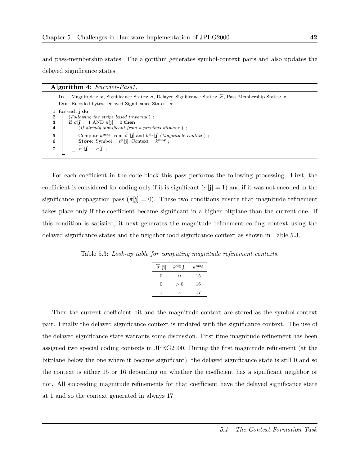$\Lambda$ lgorithm  $\Lambda$ : Encoder  $D$ 

and pass-membership states. The algorithm generates symbol-context pairs and also updates the delayed significance states.

|   | $\bf{Algorithm 4.}$ Encoder-1 ass1.                                                                                                                                                           |
|---|-----------------------------------------------------------------------------------------------------------------------------------------------------------------------------------------------|
|   | In : Magnitudes: v, Significance States: $\sigma$ , Delayed Significance States: $\sigma$ , Pass Membership States: $\pi$<br><b>Out:</b> Encoded bytes, Delayed Significance States: $\sigma$ |
|   | for each j do                                                                                                                                                                                 |
|   | $(Following the stripe based traversal.)$ ;                                                                                                                                                   |
| 3 | if $\sigma[i] = 1$ AND $\pi[i] = 0$ then                                                                                                                                                      |
| 4 | $($ If already significant from a previous bitplane. $)$ ;                                                                                                                                    |
| 5 | Compute $k^{\text{mag}}$ from $\sigma$ [j] and $k^{\text{sig}}$ [j] ( <i>Magnitude context.</i> );                                                                                            |
| 6 | <b>Store:</b> Symbol = $v^p[i]$ , Context = $k^{mag}$ ;                                                                                                                                       |
|   | $\stackrel{\leftarrow}{\sigma}[\mathbf{j}] \leftarrow \sigma[\mathbf{j}]~;$                                                                                                                   |
|   |                                                                                                                                                                                               |

For each coefficient in the code-block this pass performs the following processing. First, the coefficient is considered for coding only if it is significant  $(\sigma[j] = 1)$  and if it was not encoded in the significance propagation pass ( $\pi[\mathbf{j}] = 0$ ). These two conditions ensure that magnitude refinement takes place only if the coefficient became significant in a higher bitplane than the current one. If this condition is satisfied, it next generates the magnitude refinement coding context using the delayed significance states and the neighborhood significance context as shown in Table 5.3.

Table 5.3: Look-up table for computing magnitude refinement contexts.

| $\overset{\leftarrow}{\sigma}$ [j] | $k^{\rm sig}[\mathbf{j}]$ | k <sup>mag</sup> |
|------------------------------------|---------------------------|------------------|
| 0                                  | 0                         | 15               |
| 0                                  | > 0                       | 16               |
|                                    | X                         | 17               |

Then the current coefficient bit and the magnitude context are stored as the symbol-context pair. Finally the delayed significance context is updated with the significance context. The use of the delayed significance state warrants some discussion. First time magnitude refinement has been assigned two special coding contexts in JPEG2000. During the first magnitude refinement (at the bitplane below the one where it became significant), the delayed significance state is still 0 and so the context is either 15 or 16 depending on whether the coefficient has a significant neighbor or not. All succeeding magnitude refinements for that coefficient have the delayed significance state at 1 and so the context generated in always 17.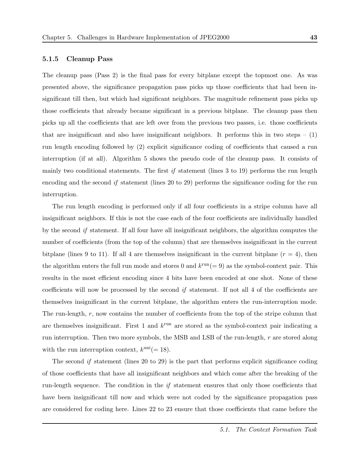The cleanup pass (Pass 2) is the final pass for every bitplane except the topmost one. As was presented above, the significance propagation pass picks up those coefficients that had been insignificant till then, but which had significant neighbors. The magnitude refinement pass picks up those coefficients that already became significant in a previous bitplane. The cleanup pass then picks up all the coefficients that are left over from the previous two passes, i.e. those coefficients that are insignificant and also have insignificant neighbors. It performs this in two steps  $- (1)$ run length encoding followed by (2) explicit significance coding of coefficients that caused a run interruption (if at all). Algorithm 5 shows the pseudo code of the cleanup pass. It consists of mainly two conditional statements. The first  $if$  statement (lines 3 to 19) performs the run length encoding and the second if statement (lines 20 to 29) performs the significance coding for the run interruption.

The run length encoding is performed only if all four coefficients in a stripe column have all insignificant neighbors. If this is not the case each of the four coefficients are individually handled by the second if statement. If all four have all insignificant neighbors, the algorithm computes the number of coefficients (from the top of the column) that are themselves insignificant in the current bitplane (lines 9 to 11). If all 4 are themselves insignificant in the current bitplane  $(r = 4)$ , then the algorithm enters the full run mode and stores 0 and  $k^{\text{run}} (= 9)$  as the symbol-context pair. This results in the most efficient encoding since 4 bits have been encoded at one shot. None of these coefficients will now be processed by the second if statement. If not all 4 of the coefficients are themselves insignificant in the current bitplane, the algorithm enters the run-interruption mode. The run-length, r, now contains the number of coefficients from the top of the stripe column that are themselves insignificant. First 1 and  $k^{\text{run}}$  are stored as the symbol-context pair indicating a run interruption. Then two more symbols, the MSB and LSB of the run-length, r are stored along with the run interruption context,  $k^{\text{uni}}(=18)$ .

The second if statement (lines 20 to 29) is the part that performs explicit significance coding of those coefficients that have all insignificant neighbors and which come after the breaking of the run-length sequence. The condition in the  $if$  statement ensures that only those coefficients that have been insignificant till now and which were not coded by the significance propagation pass are considered for coding here. Lines 22 to 23 ensure that those coefficients that came before the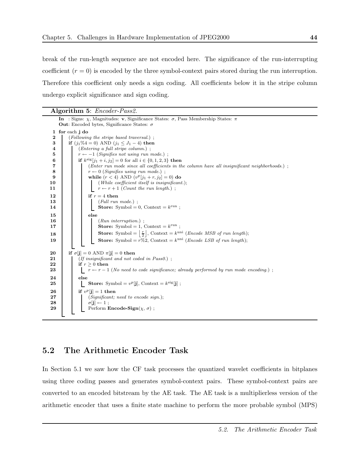break of the run-length sequence are not encoded here. The significance of the run-interrupting coefficient  $(r = 0)$  is encoded by the three symbol-context pairs stored during the run interruption. Therefore this coefficient only needs a sign coding. All coefficients below it in the stripe column undergo explicit significance and sign coding.

|          | <b>Algorithm 5:</b> <i>Encoder-Pass2.</i>                                                                           |  |  |  |  |  |  |  |  |
|----------|---------------------------------------------------------------------------------------------------------------------|--|--|--|--|--|--|--|--|
|          | In : Signs: $\chi$ , Magnitudes: <b>v</b> , Significance States: $\sigma$ , Pass Membership States: $\pi$           |  |  |  |  |  |  |  |  |
|          | <b>Out:</b> Encoded bytes, Significance States: $\sigma$                                                            |  |  |  |  |  |  |  |  |
|          | 1 for each j do                                                                                                     |  |  |  |  |  |  |  |  |
| 2<br>3   | (Following the stripe based traversal.);<br>if $(j_1\%4 = 0)$ AND $(j_1 \leq J_1 - 4)$ then                         |  |  |  |  |  |  |  |  |
| 4        | $(Entering \ a \ full \ stripe \ column.)$ :                                                                        |  |  |  |  |  |  |  |  |
| 5        | $r \leftarrow -1$ (Signifies not using run mode.);                                                                  |  |  |  |  |  |  |  |  |
| 6        | if $k^{sig}[j_1 + i, j_2] = 0$ for all $i \in \{0, 1, 2, 3\}$ then                                                  |  |  |  |  |  |  |  |  |
| 7        | (Enter run mode since all coefficients in the column have all insignificant neighborhoods.);                        |  |  |  |  |  |  |  |  |
| 8        | $r \leftarrow 0$ (Signifies using run mode.);                                                                       |  |  |  |  |  |  |  |  |
| 9        | while $(r < 4)$ AND $(v^p[j_1 + r, j_2] = 0)$ do                                                                    |  |  |  |  |  |  |  |  |
| 10<br>11 | (While coefficient itself is insignificant.);<br>$r \leftarrow r + 1$ ( <i>Count the run length.</i> ) ;            |  |  |  |  |  |  |  |  |
|          |                                                                                                                     |  |  |  |  |  |  |  |  |
| 12<br>13 | if $r = 4$ then                                                                                                     |  |  |  |  |  |  |  |  |
| 14       | $(Full run mode.)$ ;<br><b>Store:</b> Symbol = 0, Context = $k^{\text{run}}$ ;                                      |  |  |  |  |  |  |  |  |
|          |                                                                                                                     |  |  |  |  |  |  |  |  |
| 15<br>16 | else<br>$(Run\;interruption.)$ ;                                                                                    |  |  |  |  |  |  |  |  |
| 17       | <b>Store:</b> Symbol = 1, Context = $k^{\text{run}}$ ;                                                              |  |  |  |  |  |  |  |  |
| 18       | <b>Store:</b> Symbol = $\left \frac{r}{2}\right $ , Context = $k^{\text{uni}}$ ( <i>Encode MSB of run length</i> ); |  |  |  |  |  |  |  |  |
| 19       |                                                                                                                     |  |  |  |  |  |  |  |  |
|          | <b>Store:</b> Symbol = $r\%2$ , Context = $k^{\text{uni}}$ ( <i>Encode LSB of run length</i> );                     |  |  |  |  |  |  |  |  |
| 20       | if $\sigma[j] = 0$ AND $\pi[j] = 0$ then                                                                            |  |  |  |  |  |  |  |  |
| 21       | $(If$ insignificant and not coded in Pass0.);                                                                       |  |  |  |  |  |  |  |  |
| 22       | if $r > 0$ then                                                                                                     |  |  |  |  |  |  |  |  |
| 23       | $r \leftarrow r-1$ (No need to code significance; already performed by run mode encoding.);                         |  |  |  |  |  |  |  |  |
| 24       | else                                                                                                                |  |  |  |  |  |  |  |  |
| 25       | <b>Store:</b> Symbol = $v^p[i]$ , Context = $k^{\text{sig}}[j]$ ;                                                   |  |  |  |  |  |  |  |  |
| 26       | if $v^p[i] = 1$ then                                                                                                |  |  |  |  |  |  |  |  |
| 27       | (Significant, need to encode sign.);                                                                                |  |  |  |  |  |  |  |  |
| 28       | $\sigma[i] \leftarrow 1$ ;                                                                                          |  |  |  |  |  |  |  |  |
| 29       | Perform <b>Encode-Sign</b> ( $\chi$ , $\sigma$ );                                                                   |  |  |  |  |  |  |  |  |

## 5.2 The Arithmetic Encoder Task

In Section 5.1 we saw how the CF task processes the quantized wavelet coefficients in bitplanes using three coding passes and generates symbol-context pairs. These symbol-context pairs are converted to an encoded bitstream by the AE task. The AE task is a multiplierless version of the arithmetic encoder that uses a finite state machine to perform the more probable symbol (MPS)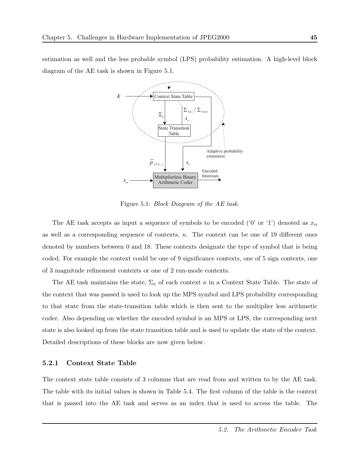estimation as well and the less probable symbol (LPS) probability estimation. A high-level block diagram of the AE task is shown in Figure 5.1.



Figure 5.1: Block Diagram of the AE task.

The AE task accepts as input a sequence of symbols to be encoded ('0' or '1') denoted as  $x_n$ as well as a corresponding sequence of contexts,  $\kappa$ . The context can be one of 19 different ones denoted by numbers between 0 and 18. These contexts designate the type of symbol that is being coded. For example the context could be one of 9 significance contexts, one of 5 sign contexts, one of 3 magnitude refinement contexts or one of 2 run-mode contexts.

The AE task maintains the state,  $\Sigma_{\kappa}$  of each context  $\kappa$  in a Context State Table. The state of the context that was passed is used to look up the MPS symbol and LPS probability corresponding to that state from the state-transition table which is then sent to the multiplier less arithmetic coder. Also depending on whether the encoded symbol is an MPS or LPS, the corresponding next state is also looked up from the state transition table and is used to update the state of the context. Detailed descriptions of these blocks are now given below.

#### 5.2.1 Context State Table

The context state table consists of 3 columns that are read from and written to by the AE task. The table with its initial values is shown in Table 5.4. The first column of the table is the context that is passed into the AE task and serves as an index that is used to access the table. The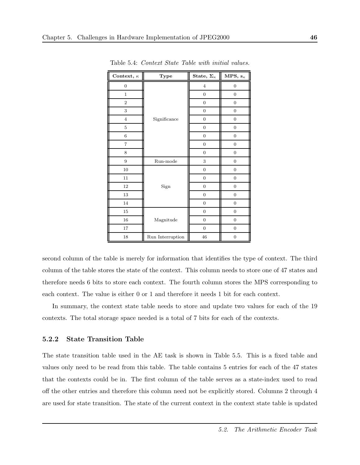| Context, $\kappa$ | Type             | State, $\Sigma_{\kappa}$ | MPS, $s_{\kappa}$ |
|-------------------|------------------|--------------------------|-------------------|
| $\boldsymbol{0}$  |                  | $\overline{4}$           | $\boldsymbol{0}$  |
| $\mathbf{1}$      |                  | $\boldsymbol{0}$         | $\boldsymbol{0}$  |
| $\boldsymbol{2}$  |                  | $\boldsymbol{0}$         | $\boldsymbol{0}$  |
| $\,3$             |                  | $\boldsymbol{0}$         | $\mathbf{0}$      |
| $\overline{4}$    | Significance     | $\boldsymbol{0}$         | $\mathbf{0}$      |
| $\bf 5$           |                  | $\boldsymbol{0}$         | $\boldsymbol{0}$  |
| $\,6\,$           |                  | $\boldsymbol{0}$         | $\boldsymbol{0}$  |
| $\overline{7}$    |                  | $\boldsymbol{0}$         | $\boldsymbol{0}$  |
| 8                 |                  | $\boldsymbol{0}$         | $\boldsymbol{0}$  |
| $\boldsymbol{9}$  | Run-mode         | 3                        | $\mathbf{0}$      |
| 10                |                  | $\boldsymbol{0}$         | $\mathbf{0}$      |
| 11                |                  | $\boldsymbol{0}$         | $\boldsymbol{0}$  |
| 12                | Sign             | $\boldsymbol{0}$         | $\mathbf{0}$      |
| 13                |                  | $\boldsymbol{0}$         | $\boldsymbol{0}$  |
| 14                |                  | $\boldsymbol{0}$         | $\boldsymbol{0}$  |
| 15                |                  | $\boldsymbol{0}$         | $\boldsymbol{0}$  |
| 16                | Magnitude        | $\boldsymbol{0}$         | $\boldsymbol{0}$  |
| 17                |                  | $\boldsymbol{0}$         | $\boldsymbol{0}$  |
| 18                | Run Interruption |                          | $\boldsymbol{0}$  |

Table 5.4: Context State Table with initial values.

second column of the table is merely for information that identifies the type of context. The third column of the table stores the state of the context. This column needs to store one of 47 states and therefore needs 6 bits to store each context. The fourth column stores the MPS corresponding to each context. The value is either 0 or 1 and therefore it needs 1 bit for each context.

In summary, the context state table needs to store and update two values for each of the 19 contexts. The total storage space needed is a total of 7 bits for each of the contexts.

#### 5.2.2 State Transition Table

The state transition table used in the AE task is shown in Table 5.5. This is a fixed table and values only need to be read from this table. The table contains 5 entries for each of the 47 states that the contexts could be in. The first column of the table serves as a state-index used to read off the other entries and therefore this column need not be explicitly stored. Columns 2 through 4 are used for state transition. The state of the current context in the context state table is updated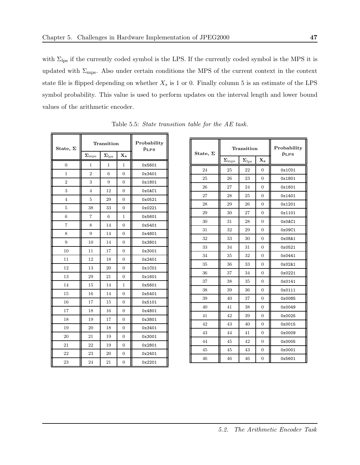with  $\Sigma_{\text{lps}}$  if the currently coded symbol is the LPS. If the currently coded symbol is the MPS it is updated with  $\Sigma_{\rm mps}$ . Also under certain conditions the MPS of the current context in the context state file is flipped depending on whether  $X_s$  is 1 or 0. Finally column 5 is an estimate of the LPS symbol probability. This value is used to perform updates on the interval length and lower bound values of the arithmetic encoder.

| State, $\Sigma$ |                    | Transition         |                         | Probability<br>$\bar{p}_{\text{LPS}}$ |
|-----------------|--------------------|--------------------|-------------------------|---------------------------------------|
|                 | $\Sigma_{\rm mps}$ | $\Sigma_{\rm lps}$ | $\mathbf{X}_\mathbf{s}$ |                                       |
| 0               | 1                  | 1                  | 1                       | 0x5601                                |
| 1               | $\overline{2}$     | 6                  | 0                       | 0x3401                                |
| $\overline{2}$  | 3                  | 9                  | 0                       | 0x1801                                |
| 3               | $\overline{4}$     | 12                 | 0                       | 0x0AC1                                |
| $\overline{4}$  | 5                  | 29                 | $\overline{0}$          | 0x0521                                |
| 5               | 38                 | 33                 | 0                       | 0x0221                                |
| 6               | $\overline{7}$     | 6                  | 1                       | 0x5601                                |
| $\overline{7}$  | 8                  | 14                 | 0                       | 0x5401                                |
| 8               | 9                  | 14                 | 0                       | 0x4801                                |
| 9               | 10                 | 14                 | 0                       | 0x3801                                |
| 10              | 11                 | 17                 | $\Omega$                | 0x3001                                |
| 11              | 12                 | 18                 | 0                       | 0x2401                                |
| 12              | 13                 | 20                 | $\overline{0}$          | 0x1C01                                |
| 13              | 29                 | 21                 | 0                       | 0x1601                                |
| 14              | 15                 | 14                 | 1                       | 0x5601                                |
| 15              | 16                 | 14                 | 0                       | 0x5401                                |
| 16              | 17                 | 15                 | 0                       | 0x5101                                |
| 17              | 18                 | 16                 | 0                       | 0x4801                                |
| 18              | 19                 | 17                 | 0                       | 0x3801                                |
| 19              | 20                 | 18                 | 0                       | 0x3401                                |
| 20              | 21                 | 19                 | 0                       | 0x3001                                |
| 21              | 22                 | 19                 | 0                       | 0x2801                                |
| 22              | 23                 | 20                 | 0                       | 0x2401                                |
| 23              | 24                 | 21                 | 0                       | 0x2201                                |

Table 5.5: State transition table for the AE task.

| State, $\Sigma$ |                                | Transition                      | Probability<br>$\bar{p}_{\text{LPS}}$ |        |  |  |  |  |
|-----------------|--------------------------------|---------------------------------|---------------------------------------|--------|--|--|--|--|
|                 | $\mathbf{\Sigma}_{\text{mps}}$ | $\boldsymbol{\Sigma}_{\rm lps}$ | $\mathbf{X}_\mathbf{s}$               |        |  |  |  |  |
| 24              | 25                             | 22                              | $\overline{0}$                        | 0x1C01 |  |  |  |  |
| 25              | 26                             | 23                              | $\overline{0}$                        | 0x1801 |  |  |  |  |
| 26              | 27                             | 24                              | $\overline{0}$                        | 0x1601 |  |  |  |  |
| 27              | 28                             | 25                              | $\Omega$                              | 0x1401 |  |  |  |  |
| 28              | 29                             | 26                              | $\overline{0}$                        | 0x1201 |  |  |  |  |
| 29              | 30                             | 27                              | $\Omega$                              | 0x1101 |  |  |  |  |
| 30              | 31                             | 28                              | $\overline{0}$                        | 0x0AC1 |  |  |  |  |
| 31              | 32                             | 29                              | $\overline{0}$                        | 0x09C1 |  |  |  |  |
| 32              | 33                             | 30                              | $\overline{0}$                        | 0x08A1 |  |  |  |  |
| 33              | 34                             | 31                              | $\overline{0}$                        | 0x0521 |  |  |  |  |
| 34              | 35                             | 32                              | $\overline{0}$                        | 0x0441 |  |  |  |  |
| 35              | 36                             | $33\,$                          | $\overline{0}$                        | 0x02A1 |  |  |  |  |
| 36              | 37                             | 34                              | $\overline{0}$                        | 0x0221 |  |  |  |  |
| 37              | 38                             | 35                              | $\overline{0}$                        | 0x0141 |  |  |  |  |
| 38              | 39                             | 36                              | $\overline{0}$                        | 0x0111 |  |  |  |  |
| 39              | 40                             | 37                              | $\overline{0}$                        | 0x0085 |  |  |  |  |
| 40              | 41                             | 38                              | $\overline{0}$                        | 0x0049 |  |  |  |  |
| 41              | 42                             | 39                              | $\overline{0}$                        | 0x0025 |  |  |  |  |
| 42              | 43                             | 40                              | $\overline{0}$                        | 0x0015 |  |  |  |  |
| 43              | 44                             | 41                              | $\overline{0}$                        | 0x0009 |  |  |  |  |
| 44              | 45                             | 42                              | $\overline{0}$                        | 0x0005 |  |  |  |  |
| 45              | 45                             | 43                              | $\boldsymbol{0}$                      | 0x0001 |  |  |  |  |
| 46              | 46                             | 46                              | $\overline{0}$                        | 0x5601 |  |  |  |  |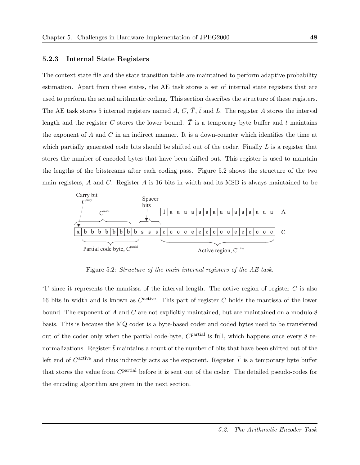#### 5.2.3 Internal State Registers

The context state file and the state transition table are maintained to perform adaptive probability estimation. Apart from these states, the AE task stores a set of internal state registers that are used to perform the actual arithmetic coding. This section describes the structure of these registers. The AE task stores 5 internal registers named A, C,  $\overline{T}$ ,  $\overline{t}$  and L. The register A stores the interval length and the register C stores the lower bound.  $\overline{T}$  is a temporary byte buffer and  $\overline{t}$  maintains the exponent of  $A$  and  $C$  in an indirect manner. It is a down-counter which identifies the time at which partially generated code bits should be shifted out of the coder. Finally  $L$  is a register that stores the number of encoded bytes that have been shifted out. This register is used to maintain the lengths of the bitstreams after each coding pass. Figure 5.2 shows the structure of the two main registers, A and C. Register A is  $16$  bits in width and its MSB is always maintained to be



Figure 5.2: Structure of the main internal registers of the AE task.

'1' since it represents the mantissa of the interval length. The active region of register  $C$  is also 16 bits in width and is known as  $C^{\text{active}}$ . This part of register C holds the mantissa of the lower bound. The exponent of A and C are not explicitly maintained, but are maintained on a modulo-8 basis. This is because the MQ coder is a byte-based coder and coded bytes need to be transferred out of the coder only when the partial code-byte,  $C^{\text{partial}}$  is full, which happens once every 8 renormalizations. Register  $\bar{t}$  maintains a count of the number of bits that have been shifted out of the left end of  $C^{\text{active}}$  and thus indirectly acts as the exponent. Register  $\overline{T}$  is a temporary byte buffer that stores the value from C<sup>partial</sup> before it is sent out of the coder. The detailed pseudo-codes for the encoding algorithm are given in the next section.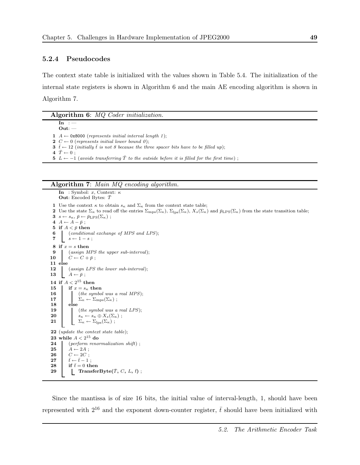#### 5.2.4 Pseudocodes

The context state table is initialized with the values shown in Table 5.4. The initialization of the internal state registers is shown in Algorithm 6 and the main AE encoding algorithm is shown in Algorithm 7.

Algorithm 6: MQ Coder initialization.

 $\mathbf{In}$  :  $-$ Out: —  $A \leftarrow 0x8000$  (represents initial interval length 1);  $C \leftarrow 0$  (represents initial lower bound 0);  $\bar{t}$  ← 12 (initially  $\bar{t}$  is not 8 because the three spacer bits have to be filled up);  $\bar{T} \leftarrow 0$ ;

5  $L \leftarrow -1$  (avoids transferring  $\overline{T}$  to the outside before it is filled for the first time);

#### Algorithm 7: Main MQ encoding algorithm.

In : Symbol: x, Context:  $\kappa$ **Out:** Encoded Bytes:  $\overline{T}$ 1 Use the context  $\kappa$  to obtain  $s_{\kappa}$  and  $\Sigma_{\kappa}$  from the context state table; 2 Use the state  $\Sigma_{\kappa}$  to read off the entries  $\Sigma_{\rm mps}(\Sigma_{\kappa})$ ,  $\Sigma_{\rm lps}(\Sigma_{\kappa})$ ,  $X_s(\Sigma_{\kappa})$  and  $\bar{p}_{\rm LPS}(\Sigma_{\kappa})$  from the state transition table; 3  $s \leftarrow s_{\kappa}, \bar{p} \leftarrow \bar{p}_{\text{LPS}}(\Sigma_{\kappa})$ ; 4  $A \leftarrow A - \bar{p}$ ; 5 if  $A < \bar{p}$  then 6 (conditional exchange of MPS and LPS); 7  $s \leftarrow 1 - s$ ; 8 if  $x = s$  then 9 (assign MPS the upper sub-interval);<br>10  $C \leftarrow C + \bar{p}$ ;  $C \leftarrow C + \bar{p}$  ; 11 else 12 (assign LPS the lower sub-interval); 13  $A \leftarrow \bar{p}$ ; 14 if  $A < 2^{15}$  then 15 if  $x = s_{\kappa}$  then 16 (the symbol was a real MPS);<br>17  $\sum_{\kappa} \leftarrow \sum_{\text{mps}} (\Sigma_{\kappa})$ ;  $\Sigma_{\kappa} \leftarrow \Sigma_{\text{mps}}(\Sigma_{\kappa})$ ;  $\begin{array}{c|c} 18 & \text{else} \end{array}$ (the symbol was a real  $LPS$ ); 20  $s_{\kappa} \leftarrow s_{\kappa} \oplus X_s(\Sigma_{\kappa})$ ; 21  $\Sigma_{\kappa} \leftarrow \Sigma_{\text{lps}}(\Sigma_{\kappa})$ ; 22 (*update the context state table*);  $23\,$  while  $A < 2^{15}\,$  do 24 (perform renormalization shift);<br>25  $A \leftarrow 2A$ ;  $A \leftarrow 2A$ ; 26  $C \leftarrow 2C$ ; 27  $\bar{t} \leftarrow \bar{t}-1$ ; 28 if  $\bar{t}=0$  then 29 TransferByte( $\overline{T}$ , C, L,  $\overline{t}$ );

Since the mantissa is of size 16 bits, the initial value of interval-length, 1, should have been represented with  $2^{16}$  and the exponent down-counter register,  $\bar{t}$  should have been initialized with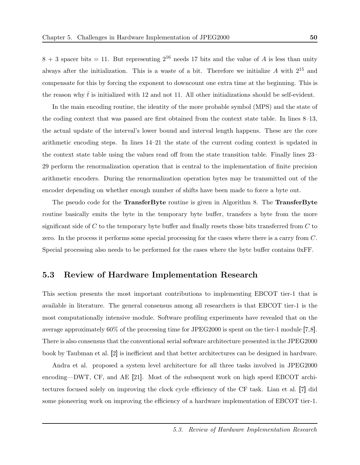$8 + 3$  spacer bits = 11. But representing  $2^{16}$  needs 17 bits and the value of A is less than unity always after the initialization. This is a waste of a bit. Therefore we initialize  $A$  with  $2^{15}$  and compensate for this by forcing the exponent to downcount one extra time at the beginning. This is the reason why  $\bar{t}$  is initialized with 12 and not 11. All other initializations should be self-evident.

In the main encoding routine, the identity of the more probable symbol (MPS) and the state of the coding context that was passed are first obtained from the context state table. In lines 8–13, the actual update of the interval's lower bound and interval length happens. These are the core arithmetic encoding steps. In lines 14–21 the state of the current coding context is updated in the context state table using the values read off from the state transition table. Finally lines 23– 29 perform the renormalization operation that is central to the implementation of finite precision arithmetic encoders. During the renormalization operation bytes may be transmitted out of the encoder depending on whether enough number of shifts have been made to force a byte out.

The pseudo code for the **TransferByte** routine is given in Algorithm 8. The **TransferByte** routine basically emits the byte in the temporary byte buffer, transfers a byte from the more significant side of C to the temporary byte buffer and finally resets those bits transferred from C to zero. In the process it performs some special processing for the cases where there is a carry from C. Special processing also needs to be performed for the cases where the byte buffer contains 0xFF.

## 5.3 Review of Hardware Implementation Research

This section presents the most important contributions to implementing EBCOT tier-1 that is available in literature. The general consensus among all researchers is that EBCOT tier-1 is the most computationally intensive module. Software profiling experiments have revealed that on the average approximately 60% of the processing time for JPEG2000 is spent on the tier-1 module [7,8]. There is also consensus that the conventional serial software architecture presented in the JPEG2000 book by Taubman et al. [2] is inefficient and that better architectures can be designed in hardware.

Andra et al. proposed a system level architecture for all three tasks involved in JPEG2000 encoding—DWT, CF, and AE [21]. Most of the subsequent work on high speed EBCOT architectures focused solely on improving the clock cycle efficiency of the CF task. Lian et al. [7] did some pioneering work on improving the efficiency of a hardware implementation of EBCOT tier-1.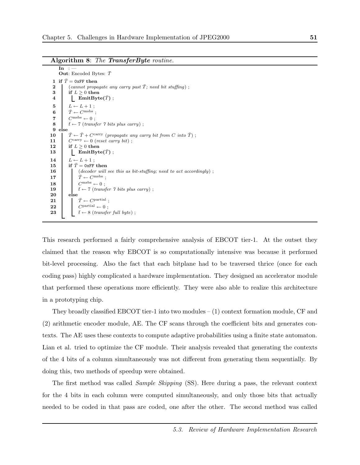Algorithm 8: The TransferByte routine.

```
In :Out: Encoded Bytes: \bar{T}1 if \bar{T} = 0xFF then
 2 (cannot propagate any carry past \overline{T}; need bit stuffing);
 3 if L \geq 0 then
 4 | EmitByte(\bar{T});
 5 \qquad L \leftarrow L + 1;
 6 \bar{T} \leftarrow C^{\text{msbs}};7 C^{mabs} \leftarrow 0;
 8 \bar{t} ← 7 (transfer 7 bits plus carry);
\begin{array}{c|c} 9 & \text{else} \end{array}<br>10
           \bar{T} \leftarrow \bar{T} + C^{\rm carry} (propagate any carry bit from C into \bar{T}) ;
11 \bigg| C^{carry} \leftarrow 0 (reset carry bit);
12 | if L > 0 then
13 \Box EmitByte(\bar{T});
14 L \leftarrow L + 1:
15 if \bar{T} = 0xFF then
16 (decoder will see this as bit-stuffing; need to act accordingly) ;
17 |\bar{T} \leftarrow C^{m s b s};
18 \left| \right| C^{mabs} \leftarrow 0;
19 \bar{t} \leftarrow 7 (transfer 7 bits plus carry);
2021 \bar{T} \leftarrow C^{\text{partial}}:
22 \begin{array}{ccc} 22 & C^{\text{partial}} \leftarrow 0 ; \\ 23 & \bar{t} \leftarrow 8 \ (transfe \end{array}\bar{t} \leftarrow 8 (transfer full byte);
```
This research performed a fairly comprehensive analysis of EBCOT tier-1. At the outset they claimed that the reason why EBCOT is so computationally intensive was because it performed bit-level processing. Also the fact that each bitplane had to be traversed thrice (once for each coding pass) highly complicated a hardware implementation. They designed an accelerator module that performed these operations more efficiently. They were also able to realize this architecture in a prototyping chip.

They broadly classified EBCOT tier-1 into two modules  $- (1)$  context formation module, CF and (2) arithmetic encoder module, AE. The CF scans through the coefficient bits and generates contexts. The AE uses these contexts to compute adaptive probabilities using a finite state automaton. Lian et al. tried to optimize the CF module. Their analysis revealed that generating the contexts of the 4 bits of a column simultaneously was not different from generating them sequentially. By doing this, two methods of speedup were obtained.

The first method was called Sample Skipping (SS). Here during a pass, the relevant context for the 4 bits in each column were computed simultaneously, and only those bits that actually needed to be coded in that pass are coded, one after the other. The second method was called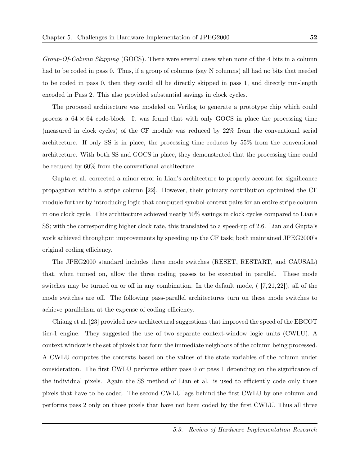Group-Of-Column Skipping (GOCS). There were several cases when none of the 4 bits in a column had to be coded in pass 0. Thus, if a group of columns (say N columns) all had no bits that needed to be coded in pass 0, then they could all be directly skipped in pass 1, and directly run-length encoded in Pass 2. This also provided substantial savings in clock cycles.

The proposed architecture was modeled on Verilog to generate a prototype chip which could process a  $64 \times 64$  code-block. It was found that with only GOCS in place the processing time (measured in clock cycles) of the CF module was reduced by 22% from the conventional serial architecture. If only SS is in place, the processing time reduces by 55% from the conventional architecture. With both SS and GOCS in place, they demonstrated that the processing time could be reduced by 60% from the conventional architecture.

Gupta et al. corrected a minor error in Lian's architecture to properly account for significance propagation within a stripe column [22]. However, their primary contribution optimized the CF module further by introducing logic that computed symbol-context pairs for an entire stripe column in one clock cycle. This architecture achieved nearly 50% savings in clock cycles compared to Lian's SS; with the corresponding higher clock rate, this translated to a speed-up of 2.6. Lian and Gupta's work achieved throughput improvements by speeding up the CF task; both maintained JPEG2000's original coding efficiency.

The JPEG2000 standard includes three mode switches (RESET, RESTART, and CAUSAL) that, when turned on, allow the three coding passes to be executed in parallel. These mode switches may be turned on or off in any combination. In the default mode,  $(7, 21, 22)$ , all of the mode switches are off. The following pass-parallel architectures turn on these mode switches to achieve parallelism at the expense of coding efficiency.

Chiang et al. [23] provided new architectural suggestions that improved the speed of the EBCOT tier-1 engine. They suggested the use of two separate context-window logic units (CWLU). A context window is the set of pixels that form the immediate neighbors of the column being processed. A CWLU computes the contexts based on the values of the state variables of the column under consideration. The first CWLU performs either pass 0 or pass 1 depending on the significance of the individual pixels. Again the SS method of Lian et al. is used to efficiently code only those pixels that have to be coded. The second CWLU lags behind the first CWLU by one column and performs pass 2 only on those pixels that have not been coded by the first CWLU. Thus all three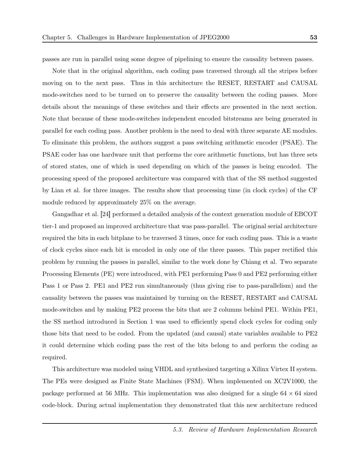passes are run in parallel using some degree of pipelining to ensure the causality between passes.

Note that in the original algorithm, each coding pass traversed through all the stripes before moving on to the next pass. Thus in this architecture the RESET, RESTART and CAUSAL mode-switches need to be turned on to preserve the causality between the coding passes. More details about the meanings of these switches and their effects are presented in the next section. Note that because of these mode-switches independent encoded bitstreams are being generated in parallel for each coding pass. Another problem is the need to deal with three separate AE modules. To eliminate this problem, the authors suggest a pass switching arithmetic encoder (PSAE). The PSAE coder has one hardware unit that performs the core arithmetic functions, but has three sets of stored states, one of which is used depending on which of the passes is being encoded. The processing speed of the proposed architecture was compared with that of the SS method suggested by Lian et al. for three images. The results show that processing time (in clock cycles) of the CF module reduced by approximately 25% on the average.

Gangadhar et al. [24] performed a detailed analysis of the context generation module of EBCOT tier-1 and proposed an improved architecture that was pass-parallel. The original serial architecture required the bits in each bitplane to be traversed 3 times, once for each coding pass. This is a waste of clock cycles since each bit is encoded in only one of the three passes. This paper rectified this problem by running the passes in parallel, similar to the work done by Chiang et al. Two separate Processing Elements (PE) were introduced, with PE1 performing Pass 0 and PE2 performing either Pass 1 or Pass 2. PE1 and PE2 run simultaneously (thus giving rise to pass-parallelism) and the causality between the passes was maintained by turning on the RESET, RESTART and CAUSAL mode-switches and by making PE2 process the bits that are 2 columns behind PE1. Within PE1, the SS method introduced in Section 1 was used to efficiently spend clock cycles for coding only those bits that need to be coded. From the updated (and causal) state variables available to PE2 it could determine which coding pass the rest of the bits belong to and perform the coding as required.

This architecture was modeled using VHDL and synthesized targeting a Xilinx Virtex II system. The PEs were designed as Finite State Machines (FSM). When implemented on XC2V1000, the package performed at 56 MHz. This implementation was also designed for a single  $64 \times 64$  sized code-block. During actual implementation they demonstrated that this new architecture reduced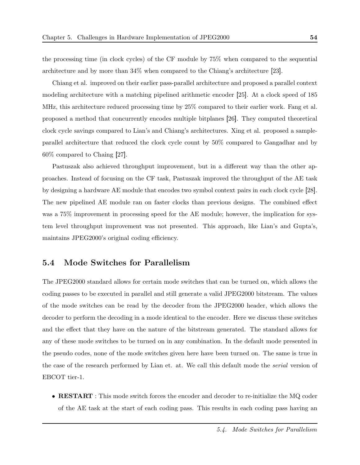the processing time (in clock cycles) of the CF module by 75% when compared to the sequential architecture and by more than 34% when compared to the Chiang's architecture [23].

Chiang et al. improved on their earlier pass-parallel architecture and proposed a parallel context modeling architecture with a matching pipelined arithmetic encoder [25]. At a clock speed of 185 MHz, this architecture reduced processing time by 25% compared to their earlier work. Fang et al. proposed a method that concurrently encodes multiple bitplanes [26]. They computed theoretical clock cycle savings compared to Lian's and Chiang's architectures. Xing et al. proposed a sampleparallel architecture that reduced the clock cycle count by 50% compared to Gangadhar and by 60% compared to Chaing [27].

Pastuszak also achieved throughput improvement, but in a different way than the other approaches. Instead of focusing on the CF task, Pastuszak improved the throughput of the AE task by designing a hardware AE module that encodes two symbol context pairs in each clock cycle [28]. The new pipelined AE module ran on faster clocks than previous designs. The combined effect was a  $75\%$  improvement in processing speed for the AE module; however, the implication for system level throughput improvement was not presented. This approach, like Lian's and Gupta's, maintains JPEG2000's original coding efficiency.

## 5.4 Mode Switches for Parallelism

The JPEG2000 standard allows for certain mode switches that can be turned on, which allows the coding passes to be executed in parallel and still generate a valid JPEG2000 bitstream. The values of the mode switches can be read by the decoder from the JPEG2000 header, which allows the decoder to perform the decoding in a mode identical to the encoder. Here we discuss these switches and the effect that they have on the nature of the bitstream generated. The standard allows for any of these mode switches to be turned on in any combination. In the default mode presented in the pseudo codes, none of the mode switches given here have been turned on. The same is true in the case of the research performed by Lian et. at. We call this default mode the serial version of EBCOT tier-1.

• RESTART : This mode switch forces the encoder and decoder to re-initialize the MQ coder of the AE task at the start of each coding pass. This results in each coding pass having an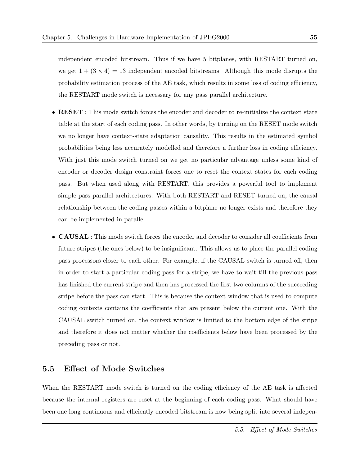independent encoded bitstream. Thus if we have 5 bitplanes, with RESTART turned on, we get  $1 + (3 \times 4) = 13$  independent encoded bitstreams. Although this mode disrupts the probability estimation process of the AE task, which results in some loss of coding efficiency, the RESTART mode switch is necessary for any pass parallel architecture.

- RESET : This mode switch forces the encoder and decoder to re-initialize the context state table at the start of each coding pass. In other words, by turning on the RESET mode switch we no longer have context-state adaptation causality. This results in the estimated symbol probabilities being less accurately modelled and therefore a further loss in coding efficiency. With just this mode switch turned on we get no particular advantage unless some kind of encoder or decoder design constraint forces one to reset the context states for each coding pass. But when used along with RESTART, this provides a powerful tool to implement simple pass parallel architectures. With both RESTART and RESET turned on, the causal relationship between the coding passes within a bitplane no longer exists and therefore they can be implemented in parallel.
- CAUSAL : This mode switch forces the encoder and decoder to consider all coefficients from future stripes (the ones below) to be insignificant. This allows us to place the parallel coding pass processors closer to each other. For example, if the CAUSAL switch is turned off, then in order to start a particular coding pass for a stripe, we have to wait till the previous pass has finished the current stripe and then has processed the first two columns of the succeeding stripe before the pass can start. This is because the context window that is used to compute coding contexts contains the coefficients that are present below the current one. With the CAUSAL switch turned on, the context window is limited to the bottom edge of the stripe and therefore it does not matter whether the coefficients below have been processed by the preceding pass or not.

### 5.5 Effect of Mode Switches

When the RESTART mode switch is turned on the coding efficiency of the AE task is affected because the internal registers are reset at the beginning of each coding pass. What should have been one long continuous and efficiently encoded bitstream is now being split into several indepen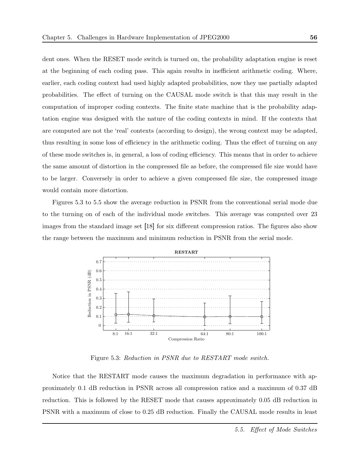dent ones. When the RESET mode switch is turned on, the probability adaptation engine is reset at the beginning of each coding pass. This again results in inefficient arithmetic coding. Where, earlier, each coding context had used highly adapted probabilities, now they use partially adapted probabilities. The effect of turning on the CAUSAL mode switch is that this may result in the computation of improper coding contexts. The finite state machine that is the probability adaptation engine was designed with the nature of the coding contexts in mind. If the contexts that are computed are not the 'real' contexts (according to design), the wrong context may be adapted, thus resulting in some loss of efficiency in the arithmetic coding. Thus the effect of turning on any of these mode switches is, in general, a loss of coding efficiency. This means that in order to achieve the same amount of distortion in the compressed file as before, the compressed file size would have to be larger. Conversely in order to achieve a given compressed file size, the compressed image would contain more distortion.

Figures 5.3 to 5.5 show the average reduction in PSNR from the conventional serial mode due to the turning on of each of the individual mode switches. This average was computed over 23 images from the standard image set [18] for six different compression ratios. The figures also show the range between the maximum and minimum reduction in PSNR from the serial mode.



Figure 5.3: Reduction in PSNR due to RESTART mode switch.

Notice that the RESTART mode causes the maximum degradation in performance with approximately 0.1 dB reduction in PSNR across all compression ratios and a maximum of 0.37 dB reduction. This is followed by the RESET mode that causes approximately 0.05 dB reduction in PSNR with a maximum of close to 0.25 dB reduction. Finally the CAUSAL mode results in least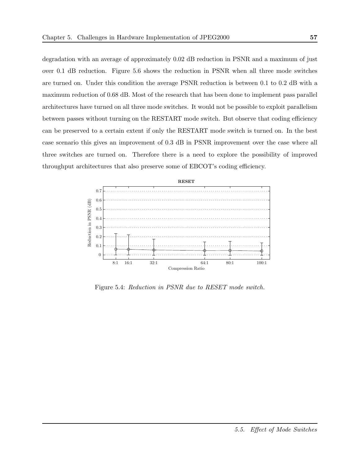degradation with an average of approximately 0.02 dB reduction in PSNR and a maximum of just over 0.1 dB reduction. Figure 5.6 shows the reduction in PSNR when all three mode switches are turned on. Under this condition the average PSNR reduction is between 0.1 to 0.2 dB with a maximum reduction of 0.68 dB. Most of the research that has been done to implement pass parallel architectures have turned on all three mode switches. It would not be possible to exploit parallelism between passes without turning on the RESTART mode switch. But observe that coding efficiency can be preserved to a certain extent if only the RESTART mode switch is turned on. In the best case scenario this gives an improvement of 0.3 dB in PSNR improvement over the case where all three switches are turned on. Therefore there is a need to explore the possibility of improved throughput architectures that also preserve some of EBCOT's coding efficiency.



Figure 5.4: Reduction in PSNR due to RESET mode switch.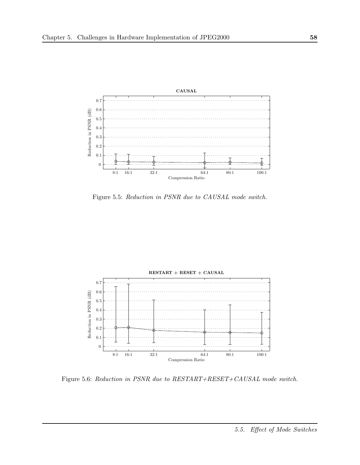

Figure 5.5: Reduction in PSNR due to CAUSAL mode switch.



Figure 5.6: Reduction in PSNR due to RESTART+RESET+CAUSAL mode switch.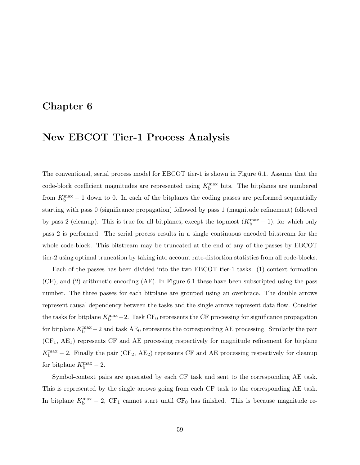## Chapter 6

# New EBCOT Tier-1 Process Analysis

The conventional, serial process model for EBCOT tier-1 is shown in Figure 6.1. Assume that the code-block coefficient magnitudes are represented using  $K_{\rm b}^{\rm max}$  bits. The bitplanes are numbered from  $K_b^{\text{max}} - 1$  down to 0. In each of the bitplanes the coding passes are performed sequentially starting with pass 0 (significance propagation) followed by pass 1 (magnitude refinement) followed by pass 2 (cleanup). This is true for all bitplanes, except the topmost  $(K<sub>b</sub><sup>max</sup> - 1)$ , for which only pass 2 is performed. The serial process results in a single continuous encoded bitstream for the whole code-block. This bitstream may be truncated at the end of any of the passes by EBCOT tier-2 using optimal truncation by taking into account rate-distortion statistics from all code-blocks.

Each of the passes has been divided into the two EBCOT tier-1 tasks: (1) context formation (CF), and (2) arithmetic encoding (AE). In Figure 6.1 these have been subscripted using the pass number. The three passes for each bitplane are grouped using an overbrace. The double arrows represent causal dependency between the tasks and the single arrows represent data flow. Consider the tasks for bitplane  $K_b^{\text{max}} - 2$ . Task CF<sub>0</sub> represents the CF processing for significance propagation for bitplane  $K_b^{\text{max}} - 2$  and task  $AE_0$  represents the corresponding AE processing. Similarly the pair  $(CF_1, AE_1)$  represents CF and AE processing respectively for magnitude refinement for bitplane  $K_{\rm b}^{\rm max}$  – 2. Finally the pair (CF<sub>2</sub>, AE<sub>2</sub>) represents CF and AE processing respectively for cleanup for bitplane  $K_{\rm b}^{\rm max}$  – 2.

Symbol-context pairs are generated by each CF task and sent to the corresponding AE task. This is represented by the single arrows going from each CF task to the corresponding AE task. In bitplane  $K_b^{\text{max}} - 2$ , CF<sub>1</sub> cannot start until CF<sub>0</sub> has finished. This is because magnitude re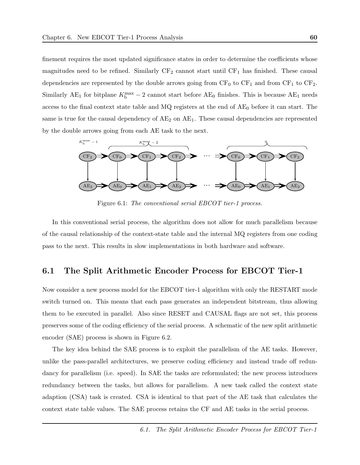finement requires the most updated significance states in order to determine the coefficients whose magnitudes need to be refined. Similarly  $CF_2$  cannot start until  $CF_1$  has finished. These causal dependencies are represented by the double arrows going from  $CF_0$  to  $CF_1$  and from  $CF_1$  to  $CF_2$ . Similarly AE<sub>1</sub> for bitplane  $K_b^{\text{max}} - 2$  cannot start before AE<sub>0</sub> finishes. This is because AE<sub>1</sub> needs access to the final context state table and  $MQ$  registers at the end of  $AE_0$  before it can start. The same is true for the causal dependency of  $AE_2$  on  $AE_1$ . These causal dependencies are represented by the double arrows going from each AE task to the next.



Figure 6.1: The conventional serial EBCOT tier-1 process.

In this conventional serial process, the algorithm does not allow for much parallelism because of the causal relationship of the context-state table and the internal MQ registers from one coding pass to the next. This results in slow implementations in both hardware and software.

### 6.1 The Split Arithmetic Encoder Process for EBCOT Tier-1

Now consider a new process model for the EBCOT tier-1 algorithm with only the RESTART mode switch turned on. This means that each pass generates an independent bitstream, thus allowing them to be executed in parallel. Also since RESET and CAUSAL flags are not set, this process preserves some of the coding efficiency of the serial process. A schematic of the new split arithmetic encoder (SAE) process is shown in Figure 6.2.

The key idea behind the SAE process is to exploit the parallelism of the AE tasks. However, unlike the pass-parallel architectures, we preserve coding efficiency and instead trade off redundancy for parallelism (i.e. speed). In SAE the tasks are reformulated; the new process introduces redundancy between the tasks, but allows for parallelism. A new task called the context state adaption (CSA) task is created. CSA is identical to that part of the AE task that calculates the context state table values. The SAE process retains the CF and AE tasks in the serial process.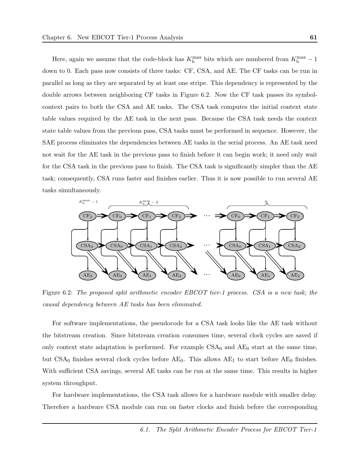Here, again we assume that the code-block has  $K_{\rm b}^{\rm max}$  bits which are numbered from  $K_{\rm b}^{\rm max} - 1$ down to 0. Each pass now consists of three tasks: CF, CSA, and AE. The CF tasks can be run in parallel as long as they are separated by at least one stripe. This dependency is represented by the double arrows between neighboring CF tasks in Figure 6.2. Now the CF task passes its symbolcontext pairs to both the CSA and AE tasks. The CSA task computes the initial context state table values required by the AE task in the next pass. Because the CSA task needs the context state table values from the previous pass, CSA tasks must be performed in sequence. However, the SAE process eliminates the dependencies between AE tasks in the serial process. An AE task need not wait for the AE task in the previous pass to finish before it can begin work; it need only wait for the CSA task in the previous pass to finish. The CSA task is significantly simpler than the AE task; consequently, CSA runs faster and finishes earlier. Thus it is now possible to run several AE tasks simultaneously.



Figure 6.2: The proposed split arithmetic encoder EBCOT tier-1 process. CSA is a new task; the causal dependency between AE tasks has been eliminated.

For software implementations, the pseudocode for a CSA task looks like the AE task without the bitstream creation. Since bitstream creation consumes time, several clock cycles are saved if only context state adaptation is performed. For example  $CSA_0$  and  $AE_0$  start at the same time, but  $CSA_0$  finishes several clock cycles before  $AE_0$ . This allows  $AE_1$  to start before  $AE_0$  finishes. With sufficient CSA savings, several AE tasks can be run at the same time. This results in higher system throughput.

For hardware implementations, the CSA task allows for a hardware module with smaller delay. Therefore a hardware CSA module can run on faster clocks and finish before the corresponding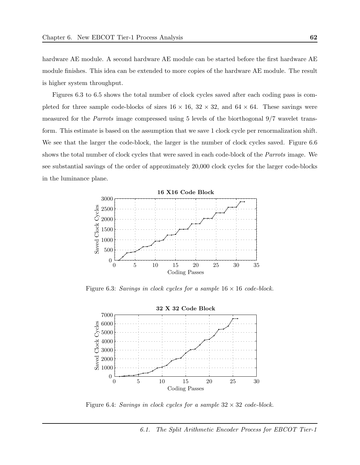hardware AE module. A second hardware AE module can be started before the first hardware AE module finishes. This idea can be extended to more copies of the hardware AE module. The result is higher system throughput.

Figures 6.3 to 6.5 shows the total number of clock cycles saved after each coding pass is completed for three sample code-blocks of sizes  $16 \times 16$ ,  $32 \times 32$ , and  $64 \times 64$ . These savings were measured for the Parrots image compressed using 5 levels of the biorthogonal 9/7 wavelet transform. This estimate is based on the assumption that we save 1 clock cycle per renormalization shift. We see that the larger the code-block, the larger is the number of clock cycles saved. Figure 6.6 shows the total number of clock cycles that were saved in each code-block of the Parrots image. We see substantial savings of the order of approximately 20,000 clock cycles for the larger code-blocks in the luminance plane.



Figure 6.3: Savings in clock cycles for a sample  $16 \times 16$  code-block.



Figure 6.4: Savings in clock cycles for a sample  $32 \times 32$  code-block.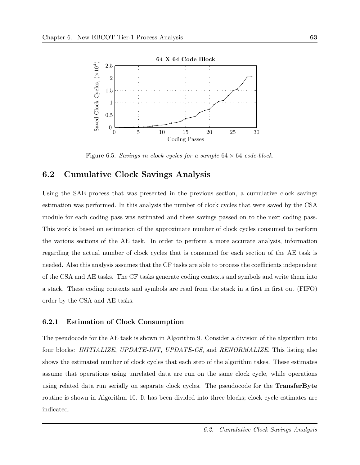

Figure 6.5: Savings in clock cycles for a sample  $64 \times 64$  code-block.

### 6.2 Cumulative Clock Savings Analysis

Using the SAE process that was presented in the previous section, a cumulative clock savings estimation was performed. In this analysis the number of clock cycles that were saved by the CSA module for each coding pass was estimated and these savings passed on to the next coding pass. This work is based on estimation of the approximate number of clock cycles consumed to perform the various sections of the AE task. In order to perform a more accurate analysis, information regarding the actual number of clock cycles that is consumed for each section of the AE task is needed. Also this analysis assumes that the CF tasks are able to process the coefficients independent of the CSA and AE tasks. The CF tasks generate coding contexts and symbols and write them into a stack. These coding contexts and symbols are read from the stack in a first in first out (FIFO) order by the CSA and AE tasks.

#### 6.2.1 Estimation of Clock Consumption

The pseudocode for the AE task is shown in Algorithm 9. Consider a division of the algorithm into four blocks: INITIALIZE, UPDATE-INT, UPDATE-CS, and RENORMALIZE. This listing also shows the estimated number of clock cycles that each step of the algorithm takes. These estimates assume that operations using unrelated data are run on the same clock cycle, while operations using related data run serially on separate clock cycles. The pseudocode for the **TransferByte** routine is shown in Algorithm 10. It has been divided into three blocks; clock cycle estimates are indicated.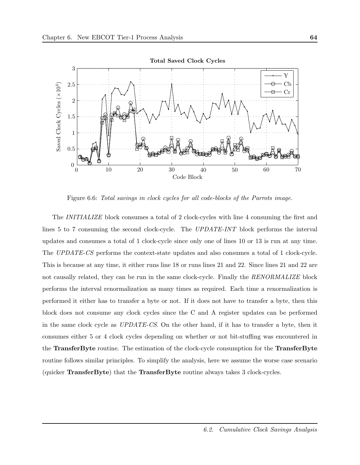

Figure 6.6: Total savings in clock cycles for all code-blocks of the Parrots image.

The INITIALIZE block consumes a total of 2 clock-cycles with line 4 consuming the first and lines 5 to 7 consuming the second clock-cycle. The UPDATE-INT block performs the interval updates and consumes a total of 1 clock-cycle since only one of lines 10 or 13 is run at any time. The UPDATE-CS performs the context-state updates and also consumes a total of 1 clock-cycle. This is because at any time, it either runs line 18 or runs lines 21 and 22. Since lines 21 and 22 are not causally related, they can be run in the same clock-cycle. Finally the RENORMALIZE block performs the interval renormalization as many times as required. Each time a renormalization is performed it either has to transfer a byte or not. If it does not have to transfer a byte, then this block does not consume any clock cycles since the C and A register updates can be performed in the same clock cycle as UPDATE-CS. On the other hand, if it has to transfer a byte, then it consumes either 5 or 4 clock cycles depending on whether or not bit-stuffing was encountered in the TransferByte routine. The estimation of the clock-cycle consumption for the TransferByte routine follows similar principles. To simplify the analysis, here we assume the worse case scenario (quicker TransferByte) that the TransferByte routine always takes 3 clock-cycles.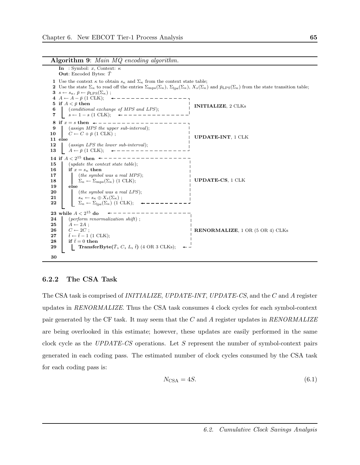Algorithm 9: Main MQ encoding algorithm.

In : Symbol: x, Context:  $\kappa$ **Out:** Encoded Bytes:  $\bar{T}$ 1 Use the context  $\kappa$  to obtain  $s_{\kappa}$  and  $\Sigma_{\kappa}$  from the context state table; 2 Use the state  $\Sigma_{\kappa}$  to read off the entries  $\Sigma_{\rm mps}(\Sigma_{\kappa})$ ,  $\Sigma_{\rm lps}(\Sigma_{\kappa})$ ,  $X_s(\Sigma_{\kappa})$  and  $\bar{p}_{\rm LPS}(\Sigma_{\kappa})$  from the state transition table; 3  $s \leftarrow s_{\kappa}, \bar{p} \leftarrow \bar{p}_{\text{LPS}}(\Sigma_{\kappa})$ ; 4  $A \leftarrow A - \bar{p}$  (1 CLK); 5 if  $A < \bar{p}$  then INITIALIZE, 2 CLKs 6 (conditional exchange of MPS and LPS); 7 s ← 1 − s (1 CLK); 8 if  $x = s$  then  $\leftarrow - - - - - - - - - - - - - - - - - -$ 9 (assign MPS the upper sub-interval); 10  $C \leftarrow C + \bar{p}$  (1 CLK); UPDATE-INT, 1 CLK 11 else 12 (assign LPS the lower sub-interval); 13  $A \leftarrow \bar{p}$  (1 CLK);  $\leftarrow$  – – – – – – – – – – – 14 if  $A < 2^{15}$  then 15 (*update the context state table*); 16 if  $x = s_{\kappa}$  then 17 (the symbol was a real MPS); UPDATE-CS, 1 CLK 18  $\Sigma_{\kappa} \leftarrow \Sigma_{\text{mps}}(\Sigma_{\kappa})$  (1 CLK);<br>19 else else **20** (*the symbol was a real LPS*); 21  $s_{\kappa} \leftarrow s_{\kappa} \oplus X_s(\Sigma_{\kappa})$ ;<br>22  $\sum_{\kappa} \leftarrow \sum_{\text{bs}} (\Sigma_{\kappa}) (1 \text{ C})$  $\Sigma_{\kappa} \leftarrow \Sigma_{\text{lps}}(\Sigma_{\kappa})$  (1 CLK);  ${\bf 23}$  while  $A < 2^{15}$  do 24 (perform renormalization shift); 25  $A \leftarrow 2A$ ; 26  $C \leftarrow 2C$ ; RENORMALIZE, 1 OR (5 OR 4) CLKs 27  $\bar{t} \leftarrow \bar{t}-1$  (1 CLK); 28 if  $\bar{t}=0$  then 29 TransferByte( $\overline{T}$ , C, L,  $\overline{t}$ ) (4 OR 3 CLKs);  $\leftarrow$ 30

#### 6.2.2 The CSA Task

The CSA task is comprised of INITIALIZE, UPDATE-INT, UPDATE-CS, and the C and A register updates in RENORMALIZE. Thus the CSA task consumes 4 clock cycles for each symbol-context pair generated by the CF task. It may seem that the C and A register updates in  $RENORMALIZE$ are being overlooked in this estimate; however, these updates are easily performed in the same clock cycle as the UPDATE-CS operations. Let S represent the number of symbol-context pairs generated in each coding pass. The estimated number of clock cycles consumed by the CSA task for each coding pass is:

$$
N_{\text{CSA}} = 4S. \tag{6.1}
$$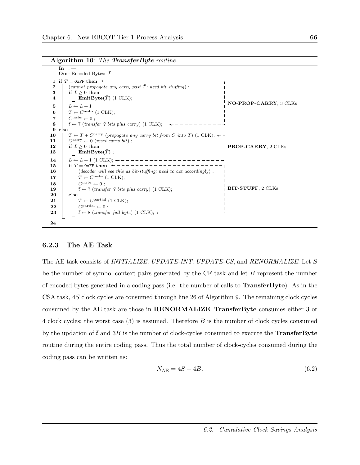Algorithm 10: The TransferByte routine.

 $In :$ **Out:** Encoded Bytes:  $\bar{T}$ 1 if  $\overline{T} = 0$ xFF then  $\leftarrow$  - - - - - - - - - -2 (cannot propagate any carry past  $\overline{T}$ ; need bit stuffing); 3 if  $L \geq 0$  then 4 **EmitByte** $(\bar{T})$  (1 CLK);  $5 \quad L \leftarrow L + 1$ ; 6  $\overline{T} \leftarrow C^{\text{msbs}}$  (1 CLK); 7  $C^{mabs} \leftarrow 0$ ; 8  $\bar{t}$  ← 7 (transfer 7 bits plus carry) (1 CLK);  $\leftarrow$  – – – – – – – – –  $\frac{9}{10}$  else  $\overline{T} \leftarrow \overline{T} + C^{carry}$  (propagate any carry bit from C into  $\overline{T}$ ) (1 CLK);  $\leftarrow \neg$ 11  $\bigcup$  C<sup>carry</sup>  $\leftarrow$  0 (reset carry bit); 12 if  $L \geq 0$  then 13  $\Box$  EmitByte( $\bar{T}$ ); 14  $L \leftarrow L + 1$  (1 CLK);  $\leftarrow$  – – – – – – – – – – 15 if T¯ = 0xFF then 16 (decoder will see this as bit-stuffing; need to act accordingly); 17  $|\bar{T} \leftarrow C^{mabs}$  (1 CLK); 18  $\left| \right|$   $C^{mabs} \leftarrow 0$ ; 19  $\bar{t} \leftarrow 7$  (transfer 7 bits plus carry) (1 CLK); 20 else **21**  $|\bar{T} \leftarrow C^{\text{partial}} (1 \text{ CLK});$ 22 Cpartial  $\leftarrow 0$ ;<br>23  $\bar{t} \leftarrow 8$  (transfer  $\bar{t} \leftarrow 8$  (transfer full byte) (1 CLK);  $\leftarrow$  – – – – – – – NO-PROP-CARRY, 3 CLKs PROP-CARRY, 2 CLKs BIT-STUFF, 2 CLKs 24

#### 6.2.3 The AE Task

The AE task consists of *INITIALIZE*, *UPDATE-INT*, *UPDATE-CS*, and *RENORMALIZE*. Let S be the number of symbol-context pairs generated by the  $CF$  task and let  $B$  represent the number of encoded bytes generated in a coding pass (i.e. the number of calls to TransferByte). As in the CSA task, 4S clock cycles are consumed through line 26 of Algorithm 9. The remaining clock cycles consumed by the AE task are those in RENORMALIZE. TransferByte consumes either 3 or 4 clock cycles; the worst case  $(3)$  is assumed. Therefore B is the number of clock cycles consumed by the updation of  $\bar{t}$  and  $3B$  is the number of clock-cycles consumed to execute the **TransferByte** routine during the entire coding pass. Thus the total number of clock-cycles consumed during the coding pass can be written as:

$$
N_{\text{AE}} = 4S + 4B. \tag{6.2}
$$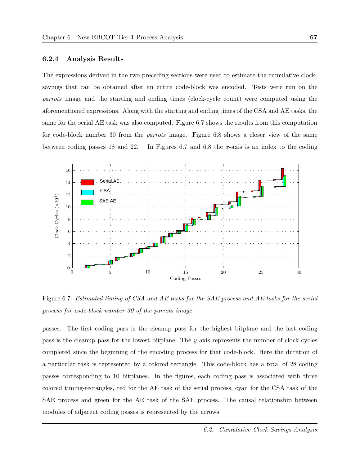#### 6.2.4 Analysis Results

The expressions derived in the two preceding sections were used to estimate the cumulative clocksavings that can be obtained after an entire code-block was encoded. Tests were run on the parrots image and the starting and ending times (clock-cycle count) were computed using the aforementioned expressions. Along with the starting and ending times of the CSA and AE tasks, the same for the serial AE task was also computed. Figure 6.7 shows the results from this computation for code-block number 30 from the parrots image. Figure 6.8 shows a closer view of the same between coding passes 18 and 22. In Figures 6.7 and 6.8 the  $x$ -axis is an index to the coding



Figure 6.7: Estimated timing of CSA and AE tasks for the SAE process and AE tasks for the serial process for code-block number 30 of the parrots image.

passes. The first coding pass is the cleanup pass for the highest bitplane and the last coding pass is the cleanup pass for the lowest bitplane. The y-axis represents the number of clock cycles completed since the beginning of the encoding process for that code-block. Here the duration of a particular task is represented by a colored rectangle. This code-block has a total of 28 coding passes corresponding to 10 bitplanes. In the figures, each coding pass is associated with three colored timing-rectangles, red for the AE task of the serial process, cyan for the CSA task of the SAE process and green for the AE task of the SAE process. The causal relationship between modules of adjacent coding passes is represented by the arrows.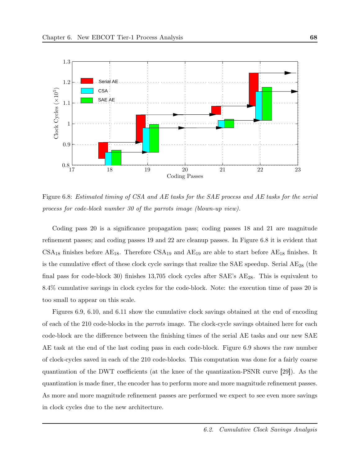

Figure 6.8: Estimated timing of CSA and AE tasks for the SAE process and AE tasks for the serial process for code-block number 30 of the parrots image (blown-up view).

Coding pass 20 is a significance propagation pass; coding passes 18 and 21 are magnitude refinement passes; and coding passes 19 and 22 are cleanup passes. In Figure 6.8 it is evident that  $CSA_{18}$  finishes before  $AE_{18}$ . Therefore  $CSA_{19}$  and  $AE_{19}$  are able to start before  $AE_{18}$  finishes. It is the cumulative effect of these clock cycle savings that realize the SAE speedup. Serial  $AE_{28}$  (the final pass for code-block 30) finishes 13,705 clock cycles after  $SAE$ 's  $AE_{28}$ . This is equivalent to 8.4% cumulative savings in clock cycles for the code-block. Note: the execution time of pass 20 is too small to appear on this scale.

Figures 6.9, 6.10, and 6.11 show the cumulative clock savings obtained at the end of encoding of each of the 210 code-blocks in the parrots image. The clock-cycle savings obtained here for each code-block are the difference between the finishing times of the serial AE tasks and our new SAE AE task at the end of the last coding pass in each code-block. Figure 6.9 shows the raw number of clock-cycles saved in each of the 210 code-blocks. This computation was done for a fairly coarse quantization of the DWT coefficients (at the knee of the quantization-PSNR curve [29]). As the quantization is made finer, the encoder has to perform more and more magnitude refinement passes. As more and more magnitude refinement passes are performed we expect to see even more savings in clock cycles due to the new architecture.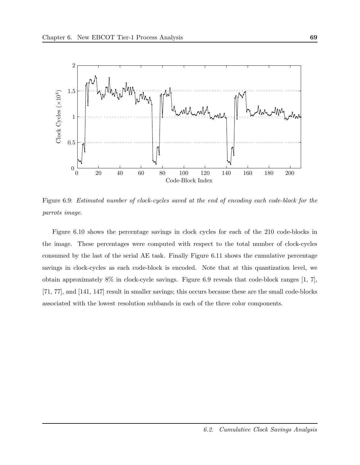

Figure 6.9: Estimated number of clock-cycles saved at the end of encoding each code-block for the parrots image.

Figure 6.10 shows the percentage savings in clock cycles for each of the 210 code-blocks in the image. These percentages were computed with respect to the total number of clock-cycles consumed by the last of the serial AE task. Finally Figure 6.11 shows the cumulative percentage savings in clock-cycles as each code-block is encoded. Note that at this quantization level, we obtain approximately 8% in clock-cycle savings. Figure 6.9 reveals that code-block ranges [1, 7], [71, 77], and [141, 147] result in smaller savings; this occurs because these are the small code-blocks associated with the lowest resolution subbands in each of the three color components.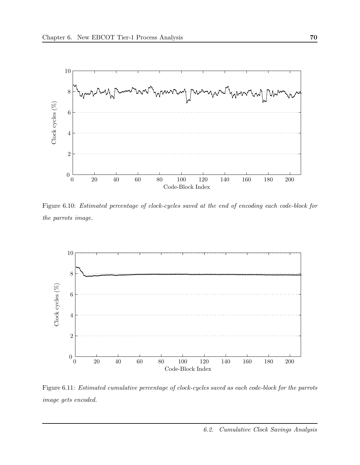

Figure 6.10: Estimated percentage of clock-cycles saved at the end of encoding each code-block for the parrots image.



Figure 6.11: Estimated cumulative percentage of clock-cycles saved as each code-block for the parrots image gets encoded.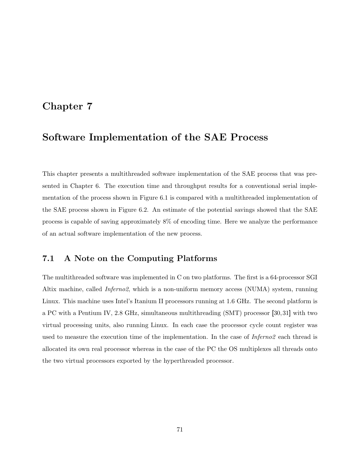## Chapter 7

# Software Implementation of the SAE Process

This chapter presents a multithreaded software implementation of the SAE process that was presented in Chapter 6. The execution time and throughput results for a conventional serial implementation of the process shown in Figure 6.1 is compared with a multithreaded implementation of the SAE process shown in Figure 6.2. An estimate of the potential savings showed that the SAE process is capable of saving approximately 8% of encoding time. Here we analyze the performance of an actual software implementation of the new process.

### 7.1 A Note on the Computing Platforms

The multithreaded software was implemented in C on two platforms. The first is a 64-processor SGI Altix machine, called *Inferno2*, which is a non-uniform memory access (NUMA) system, running Linux. This machine uses Intel's Itanium II processors running at 1.6 GHz. The second platform is a PC with a Pentium IV, 2.8 GHz, simultaneous multithreading (SMT) processor [30, 31] with two virtual processing units, also running Linux. In each case the processor cycle count register was used to measure the execution time of the implementation. In the case of *Inferno2* each thread is allocated its own real processor whereas in the case of the PC the OS multiplexes all threads onto the two virtual processors exported by the hyperthreaded processor.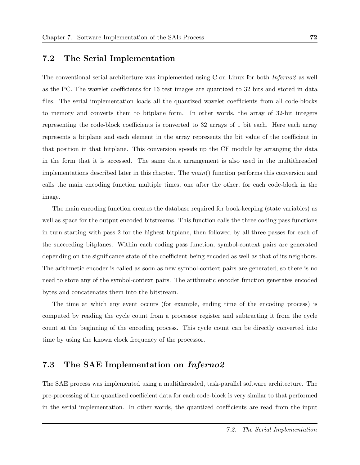### 7.2 The Serial Implementation

The conventional serial architecture was implemented using C on Linux for both *Inferno2* as well as the PC. The wavelet coefficients for 16 test images are quantized to 32 bits and stored in data files. The serial implementation loads all the quantized wavelet coefficients from all code-blocks to memory and converts them to bitplane form. In other words, the array of 32-bit integers representing the code-block coefficients is converted to 32 arrays of 1 bit each. Here each array represents a bitplane and each element in the array represents the bit value of the coefficient in that position in that bitplane. This conversion speeds up the CF module by arranging the data in the form that it is accessed. The same data arrangement is also used in the multithreaded implementations described later in this chapter. The  $main()$  function performs this conversion and calls the main encoding function multiple times, one after the other, for each code-block in the image.

The main encoding function creates the database required for book-keeping (state variables) as well as space for the output encoded bitstreams. This function calls the three coding pass functions in turn starting with pass 2 for the highest bitplane, then followed by all three passes for each of the succeeding bitplanes. Within each coding pass function, symbol-context pairs are generated depending on the significance state of the coefficient being encoded as well as that of its neighbors. The arithmetic encoder is called as soon as new symbol-context pairs are generated, so there is no need to store any of the symbol-context pairs. The arithmetic encoder function generates encoded bytes and concatenates them into the bitstream.

The time at which any event occurs (for example, ending time of the encoding process) is computed by reading the cycle count from a processor register and subtracting it from the cycle count at the beginning of the encoding process. This cycle count can be directly converted into time by using the known clock frequency of the processor.

### 7.3 The SAE Implementation on Inferno2

The SAE process was implemented using a multithreaded, task-parallel software architecture. The pre-processing of the quantized coefficient data for each code-block is very similar to that performed in the serial implementation. In other words, the quantized coefficients are read from the input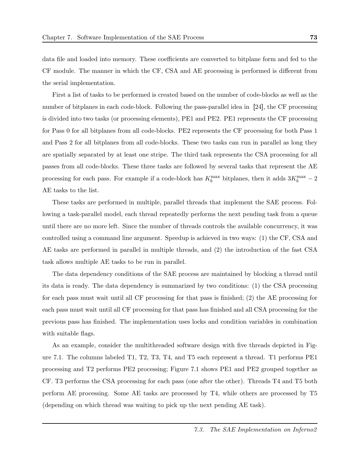data file and loaded into memory. These coefficients are converted to bitplane form and fed to the CF module. The manner in which the CF, CSA and AE processing is performed is different from the serial implementation.

First a list of tasks to be performed is created based on the number of code-blocks as well as the number of bitplanes in each code-block. Following the pass-parallel idea in [24], the CF processing is divided into two tasks (or processing elements), PE1 and PE2. PE1 represents the CF processing for Pass 0 for all bitplanes from all code-blocks. PE2 represents the CF processing for both Pass 1 and Pass 2 for all bitplanes from all code-blocks. These two tasks can run in parallel as long they are spatially separated by at least one stripe. The third task represents the CSA processing for all passes from all code-blocks. These three tasks are followed by several tasks that represent the AE processing for each pass. For example if a code-block has  $K_b^{\text{max}}$  bitplanes, then it adds  $3K_b^{\text{max}} - 2$ AE tasks to the list.

These tasks are performed in multiple, parallel threads that implement the SAE process. Following a task-parallel model, each thread repeatedly performs the next pending task from a queue until there are no more left. Since the number of threads controls the available concurrency, it was controlled using a command line argument. Speedup is achieved in two ways: (1) the CF, CSA and AE tasks are performed in parallel in multiple threads, and (2) the introduction of the fast CSA task allows multiple AE tasks to be run in parallel.

The data dependency conditions of the SAE process are maintained by blocking a thread until its data is ready. The data dependency is summarized by two conditions: (1) the CSA processing for each pass must wait until all CF processing for that pass is finished; (2) the AE processing for each pass must wait until all CF processing for that pass has finished and all CSA processing for the previous pass has finished. The implementation uses locks and condition variables in combination with suitable flags.

As an example, consider the multithreaded software design with five threads depicted in Figure 7.1. The columns labeled T1, T2, T3, T4, and T5 each represent a thread. T1 performs PE1 processing and T2 performs PE2 processing; Figure 7.1 shows PE1 and PE2 grouped together as CF. T3 performs the CSA processing for each pass (one after the other). Threads T4 and T5 both perform AE processing. Some AE tasks are processed by T4, while others are processed by T5 (depending on which thread was waiting to pick up the next pending AE task).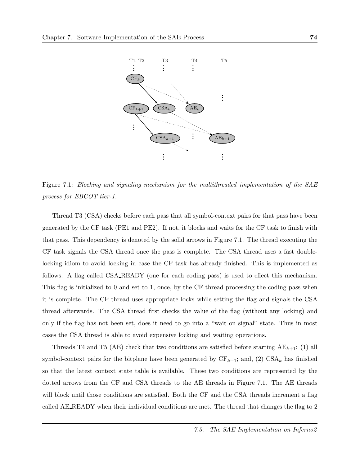

Figure 7.1: Blocking and signaling mechanism for the multithreaded implementation of the SAE process for EBCOT tier-1.

Thread T3 (CSA) checks before each pass that all symbol-context pairs for that pass have been generated by the CF task (PE1 and PE2). If not, it blocks and waits for the CF task to finish with that pass. This dependency is denoted by the solid arrows in Figure 7.1. The thread executing the CF task signals the CSA thread once the pass is complete. The CSA thread uses a fast doublelocking idiom to avoid locking in case the CF task has already finished. This is implemented as follows. A flag called CSA READY (one for each coding pass) is used to effect this mechanism. This flag is initialized to 0 and set to 1, once, by the CF thread processing the coding pass when it is complete. The CF thread uses appropriate locks while setting the flag and signals the CSA thread afterwards. The CSA thread first checks the value of the flag (without any locking) and only if the flag has not been set, does it need to go into a "wait on signal" state. Thus in most cases the CSA thread is able to avoid expensive locking and waiting operations.

Threads T4 and T5 (AE) check that two conditions are satisfied before starting  $AE_{k+1}$ : (1) all symbol-context pairs for the bitplane have been generated by  $CF_{k+1}$ ; and, (2)  $CSA_k$  has finished so that the latest context state table is available. These two conditions are represented by the dotted arrows from the CF and CSA threads to the AE threads in Figure 7.1. The AE threads will block until those conditions are satisfied. Both the CF and the CSA threads increment a flag called AE READY when their individual conditions are met. The thread that changes the flag to 2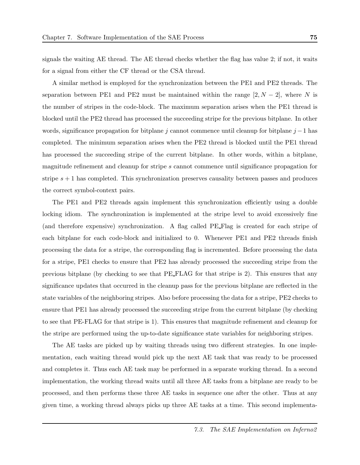signals the waiting AE thread. The AE thread checks whether the flag has value 2; if not, it waits for a signal from either the CF thread or the CSA thread.

A similar method is employed for the synchronization between the PE1 and PE2 threads. The separation between PE1 and PE2 must be maintained within the range  $[2, N - 2]$ , where N is the number of stripes in the code-block. The maximum separation arises when the PE1 thread is blocked until the PE2 thread has processed the succeeding stripe for the previous bitplane. In other words, significance propagation for bitplane j cannot commence until cleanup for bitplane  $j-1$  has completed. The minimum separation arises when the PE2 thread is blocked until the PE1 thread has processed the succeeding stripe of the current bitplane. In other words, within a bitplane, magnitude refinement and cleanup for stripe s cannot commence until significance propagation for stripe  $s + 1$  has completed. This synchronization preserves causality between passes and produces the correct symbol-context pairs.

The PE1 and PE2 threads again implement this synchronization efficiently using a double locking idiom. The synchronization is implemented at the stripe level to avoid excessively fine (and therefore expensive) synchronization. A flag called PE Flag is created for each stripe of each bitplane for each code-block and initialized to 0. Whenever PE1 and PE2 threads finish processing the data for a stripe, the corresponding flag is incremented. Before processing the data for a stripe, PE1 checks to ensure that PE2 has already processed the succeeding stripe from the previous bitplane (by checking to see that PE FLAG for that stripe is 2). This ensures that any significance updates that occurred in the cleanup pass for the previous bitplane are reflected in the state variables of the neighboring stripes. Also before processing the data for a stripe, PE2 checks to ensure that PE1 has already processed the succeeding stripe from the current bitplane (by checking to see that PE-FLAG for that stripe is 1). This ensures that magnitude refinement and cleanup for the stripe are performed using the up-to-date significance state variables for neighboring stripes.

The AE tasks are picked up by waiting threads using two different strategies. In one implementation, each waiting thread would pick up the next AE task that was ready to be processed and completes it. Thus each AE task may be performed in a separate working thread. In a second implementation, the working thread waits until all three AE tasks from a bitplane are ready to be processed, and then performs these three AE tasks in sequence one after the other. Thus at any given time, a working thread always picks up three AE tasks at a time. This second implementa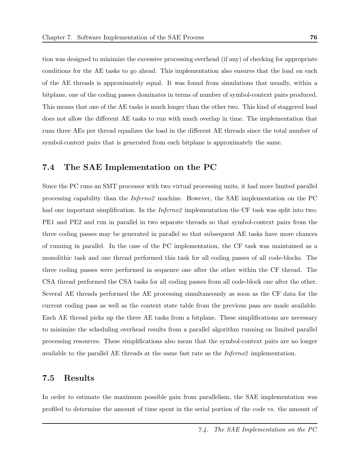tion was designed to minimize the excessive processing overhead (if any) of checking for appropriate conditions for the AE tasks to go ahead. This implementation also ensures that the load on each of the AE threads is approximately equal. It was found from simulations that usually, within a bitplane, one of the coding passes dominates in terms of number of symbol-context pairs produced. This means that one of the AE tasks is much longer than the other two. This kind of staggered load does not allow the different AE tasks to run with much overlap in time. The implementation that runs three AEs per thread equalizes the load in the different AE threads since the total number of symbol-context pairs that is generated from each bitplane is approximately the same.

### 7.4 The SAE Implementation on the PC

Since the PC runs an SMT processor with two virtual processing units, it had more limited parallel processing capability than the Inferno2 machine. However, the SAE implementation on the PC had one important simplification. In the *Inferno2* implementation the CF task was split into two: PE1 and PE2 and run in parallel in two separate threads so that symbol-context pairs from the three coding passes may be generated in parallel so that subsequent AE tasks have more chances of running in parallel. In the case of the PC implementation, the CF task was maintained as a monolithic task and one thread performed this task for all coding passes of all code-blocks. The three coding passes were performed in sequence one after the other within the CF thread. The CSA thread performed the CSA tasks for all coding passes from all code-block one after the other. Several AE threads performed the AE processing simultaneously as soon as the CF data for the current coding pass as well as the context state table from the previous pass are made available. Each AE thread picks up the three AE tasks from a bitplane. These simplifications are necessary to minimize the scheduling overhead results from a parallel algorithm running on limited parallel processing resources. These simplifications also mean that the symbol-context pairs are no longer available to the parallel AE threads at the same fast rate as the Inferno2 implementation.

### 7.5 Results

In order to estimate the maximum possible gain from parallelism, the SAE implementation was profiled to determine the amount of time spent in the serial portion of the code vs. the amount of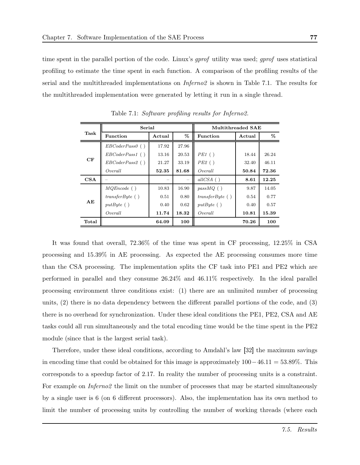time spent in the parallel portion of the code. Linux's *gprof* utility was used; *gprof* uses statistical profiling to estimate the time spent in each function. A comparison of the profiling results of the serial and the multithreaded implementations on Inferno2 is shown in Table 7.1. The results for the multithreaded implementation were generated by letting it run in a single thread.

|       | Serial             |        |                          | Multithreaded SAE |        |       |
|-------|--------------------|--------|--------------------------|-------------------|--------|-------|
| Task  | <b>Function</b>    | Actual | %                        | <b>Function</b>   | Actual | %     |
|       | $EBCoder Pass0$ () | 17.92  | 27.96                    |                   |        |       |
|       | $EBCoder Pass1$ () | 13.16  | 20.53                    | PE1()             | 18.44  | 26.24 |
| CF    | EBCoder Pass2()    | 21.27  | 33.19                    | PE2()             | 32.40  | 46.11 |
|       | Overall            | 52.35  | 81.68                    | Overall           | 50.84  | 72.36 |
| CSA   |                    |        | $\overline{\phantom{m}}$ | allCSA $( )$      | 8.61   | 12.25 |
|       | $MQEncode$ ()      | 10.83  | 16.90                    | $passMQ$ ()       | 9.87   | 14.05 |
|       | transferByte()     | 0.51   | 0.80                     | transferByte()    | 0.54   | 0.77  |
| AE    | putByte()          | 0.40   | 0.62                     | putByte()         | 0.40   | 0.57  |
|       | Overall            | 11.74  | 18.32                    | Overall           | 10.81  | 15.39 |
| Total |                    | 64.09  | 100                      |                   | 70.26  | 100   |

Table 7.1: Software profiling results for Inferno2.

It was found that overall, 72.36% of the time was spent in CF processing, 12.25% in CSA processing and 15.39% in AE processing. As expected the AE processing consumes more time than the CSA processing. The implementation splits the CF task into PE1 and PE2 which are performed in parallel and they consume 26.24% and 46.11% respectively. In the ideal parallel processing environment three conditions exist: (1) there are an unlimited number of processing units, (2) there is no data dependency between the different parallel portions of the code, and (3) there is no overhead for synchronization. Under these ideal conditions the PE1, PE2, CSA and AE tasks could all run simultaneously and the total encoding time would be the time spent in the PE2 module (since that is the largest serial task).

Therefore, under these ideal conditions, according to Amdahl's law [32] the maximum savings in encoding time that could be obtained for this image is approximately  $100-46.11 = 53.89\%$ . This corresponds to a speedup factor of 2.17. In reality the number of processing units is a constraint. For example on *Inferno2* the limit on the number of processes that may be started simultaneously by a single user is 6 (on 6 different processors). Also, the implementation has its own method to limit the number of processing units by controlling the number of working threads (where each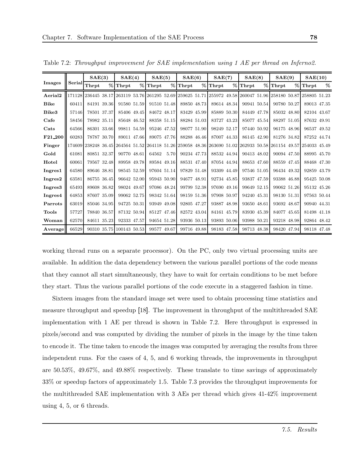|                     |        | SAE(3)                                                                                     |   | SAE(4)                   | SAE(5)                                 |      | SAE(6)      | SAE(7)      |             | SAE(8)      |   | SAE(9)                                 |   | SAE(10)      |   |
|---------------------|--------|--------------------------------------------------------------------------------------------|---|--------------------------|----------------------------------------|------|-------------|-------------|-------------|-------------|---|----------------------------------------|---|--------------|---|
| <b>Images</b>       | Serial | Thrpt                                                                                      | % | Thrpt                    | $%$ Thrpt                              |      | $%$ Thrpt   | $%$ Thrpt   | %           | Thrpt       | % | Thrpt                                  | % | Thrpt        | % |
| Aerial <sub>2</sub> | 171128 | 236445 38.17                                                                               |   |                          | 263119 53.76 261295 52.69 259625 51.71 |      |             |             |             |             |   | 255972 49.58 260047 51.96 258180 50.87 |   | 258805 51.23 |   |
| <b>Bike</b>         | 60411  | 84191 39.36                                                                                |   | 91580 51.59              | 91510 51.48                            |      | 89850 48.73 |             | 89614 48.34 | 90941 50.54 |   | 90780 50.27                            |   | 89013 47.35  |   |
| Bike3               | 57146  | 78501 37.37                                                                                |   | 85406 49.45              | 84672 48.17                            |      | 83429 45.99 |             | 85889 50.30 | 84449 47.78 |   | 85032 48.80                            |   | 82104 43.67  |   |
| Cafe                | 58456  | 78982 35.11                                                                                |   | 85648 46.52              | 88358 51.15                            |      | 88284 51.03 |             | 83727 43.23 | 85077 45.54 |   | 88297 51.05                            |   | 87632 49.91  |   |
| Cats                | 64566  | 86301 33.66                                                                                |   | 99811 54.59              | 95246 47.52                            |      | 98077 51.90 |             | 98249 52.17 | 97440 50.92 |   | 96175 48.96                            |   | 96537 49.52  |   |
| F21_200             | 60283  | 78787 30.70                                                                                |   | 89011 47.66              | 89075 47.76                            |      | 88288 46.46 | 87007 44.33 |             | 86145 42.90 |   | 81276 34.82                            |   | 87252 44.74  |   |
| Finger              | 174609 | 238248 36.45 264564 51.52 264118 51.26 259058 48.36 263690 51.02 262933 50.58 261154 49.57 |   |                          |                                        |      |             |             |             |             |   |                                        |   | 254033 45.49 |   |
| Gold                | 61081  | 80851 32.37                                                                                |   | 90770 48.61              | 64562                                  | 5.70 | 90234 47.73 | 88532 44.94 |             | 90413 48.02 |   | 90094 47.50                            |   | 88995 45.70  |   |
| Hotel               | 60061  | 79567 32.48                                                                                |   | 89958 49.78              | 89584 49.16                            |      | 88531 47.40 |             | 87054 44.94 | 88653 47.60 |   | 88559 47.45                            |   | 88468 47.30  |   |
| Ingres1             | 64580  | 89646 38.81                                                                                |   | 98545 52.59              | 97604 51.14                            |      | 97829 51.48 |             | 93309 44.49 | 97546 51.05 |   | 96434 49.32                            |   | 92859 43.79  |   |
| Ingres2             | 63581  | 86755 36.45                                                                                |   | 96642 52.00              | 95943 50.90                            |      | 94677 48.91 |             | 92734 45.85 | 93837 47.59 |   | 93388 46.88                            |   | 95425 50.08  |   |
| Ingres <sub>3</sub> | 65493  | 89608 36.82                                                                                |   | 98024 49.67              | 97086 48.24                            |      | 99799 52.38 |             | 97690 49.16 | 99649 52.15 |   | 99062 51.26                            |   | 95132 45.26  |   |
| Ingres4             | 64853  | 87607 35.09                                                                                |   | 99062 52.75              | 98342 51.64                            |      | 98159 51.36 |             | 97908 50.97 | 94240 45.31 |   | 98130 51.31                            |   | 97563 50.44  |   |
| Parrots             | 63019  | 85046 34.95                                                                                |   | 94725 50.31              | 93949 49.08                            |      | 92805 47.27 |             | 93887 48.98 | 93650 48.61 |   | 93692 48.67                            |   | 90940 44.31  |   |
| <b>Tools</b>        | 57727  | 78840 36.57                                                                                |   | 87132 50.94              | 85127 47.46                            |      | 82572 43.04 |             | 84161 45.79 | 83930 45.39 |   | 84077 45.65                            |   | 81498 41.18  |   |
| Woman               | 62570  | 84611 35.23                                                                                |   | 92333 47.57              | 94654 51.28                            |      | 93936 50.13 |             | 93893 50.06 | 93988 50.21 |   | 93218 48.98                            |   | 92864 48.42  |   |
| Average             | 66529  |                                                                                            |   | 90310 35.75 100143 50.53 | 99577 49.67                            |      | 99716 49.88 | 98183 47.58 |             | 98713 48.38 |   | 98420 47.94                            |   | 98118 47.48  |   |

Table 7.2: Throughput improvement for SAE implementation using 1 AE per thread on Inferno2.

working thread runs on a separate processor). On the PC, only two virtual processing units are available. In addition the data dependency between the various parallel portions of the code means that they cannot all start simultaneously, they have to wait for certain conditions to be met before they start. Thus the various parallel portions of the code execute in a staggered fashion in time.

Sixteen images from the standard image set were used to obtain processing time statistics and measure throughput and speedup [18]. The improvement in throughput of the multithreaded SAE implementation with 1 AE per thread is shown in Table 7.2. Here throughput is expressed in pixels/second and was computed by dividing the number of pixels in the image by the time taken to encode it. The time taken to encode the images was computed by averaging the results from three independent runs. For the cases of 4, 5, and 6 working threads, the improvements in throughput are 50.53%, 49.67%, and 49.88% respectively. These translate to time savings of approximately 33% or speedup factors of approximately 1.5. Table 7.3 provides the throughput improvements for the multithreaded SAE implementation with 3 AEs per thread which gives 41-42% improvement using 4, 5, or 6 threads.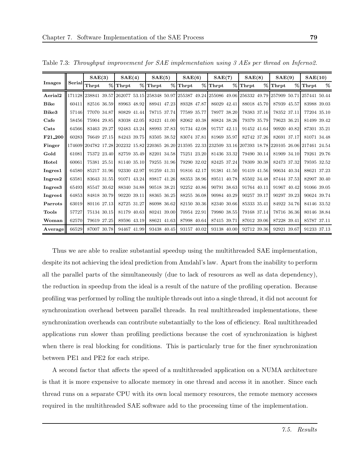|                     |        | SAE(3)       |      | SAE(4)      |   | SAE(5)      | SAE(6)                                              |   | SAE(7)      |             | SAE(8)                    |   | SAE(9)      |   | SAE(10)                                                                                                 |   |
|---------------------|--------|--------------|------|-------------|---|-------------|-----------------------------------------------------|---|-------------|-------------|---------------------------|---|-------------|---|---------------------------------------------------------------------------------------------------------|---|
| <b>Images</b>       | Serial | Thrpt        | $\%$ | Thrpt       | % | Thrpt       | $%$ Thrpt                                           | % | Thrpt       | %           | Thrpt                     | % | Thrpt       | % | Thrpt                                                                                                   | % |
| Aerial <sub>2</sub> | 171128 | 238841 39.57 |      |             |   |             | 262077 53.15 258348 50.97 255387 49.24 255086 49.06 |   |             |             | 256332 49.79 257909 50.71 |   |             |   | 257441 50.44                                                                                            |   |
| <b>Bike</b>         | 60411  | 82516 36.59  |      | 89963 48.92 |   | 88941 47.23 | 89328 47.87                                         |   | 86029 42.41 |             | 88018 45.70               |   | 87939 45.57 |   | 83988 39.03                                                                                             |   |
| Bike3               | 57146  | 77070 34.87  |      | 80829 41.44 |   | 78715 37.74 | 77589 35.77                                         |   |             | 78977 38.20 | 78383 37.16               |   | 78352 37.11 |   | 77204 35.10                                                                                             |   |
| Cafe                | 58456  | 75904 29.85  |      | 83038 42.05 |   | 82421 41.00 | 82062 40.38                                         |   | 80824 38.26 |             | 79379 35.79               |   | 79623 36.21 |   | 81499 39.42                                                                                             |   |
| Cats                | 64566  | 83463 29.27  |      | 92483 43.24 |   | 88993 37.83 | 91734 42.08                                         |   | 91757 42.11 |             | 91452 41.64               |   | 90920 40.82 |   | 87301 35.21                                                                                             |   |
| F21_200             | 60283  | 76649 27.15  |      | 84243 39.75 |   | 83505 38.52 | 83074 37.81                                         |   | 81969 35.97 |             | 82742 37.26               |   | 82691 37.17 |   | 81071 34.48                                                                                             |   |
| Finger              | 174609 |              |      |             |   |             |                                                     |   |             |             |                           |   |             |   | 204782 17.28 202232 15.82 220365 26.20 213595 22.33 232509 33.16 207393 18.78 220105 26.06 217461 24.54 |   |
| Gold                | 61081  | 75372 23.40  |      | 82759 35.49 |   | 82201 34.58 | 75251 23.20                                         |   | 81436 33.32 |             | 79490 30.14               |   | 81909 34.10 |   | 79261 29.76                                                                                             |   |
| Hotel               | 60061  | 75381 25.51  |      | 81140 35.10 |   | 79255 31.96 | 79290 32.02                                         |   | 82425 37.24 |             | 78309 30.38               |   | 82473 37.32 |   | 79595 32.52                                                                                             |   |
| Ingres1             | 64580  | 85217 31.96  |      | 92330 42.97 |   | 91259 41.31 | 91816 42.17                                         |   | 91381 41.50 |             | 91419 41.56               |   | 90634 40.34 |   | 88621 37.23                                                                                             |   |
| Ingres2             | 63581  | 83643 31.55  |      | 91071 43.24 |   | 89817 41.26 | 88353 38.96                                         |   | 89511 40.78 |             | 85502 34.48               |   | 87444 37.53 |   | 82907 30.40                                                                                             |   |
| Ingres <sub>3</sub> | 65493  | 85547 30.62  |      | 88340 34.88 |   | 90518 38.21 | 92252 40.86                                         |   | 90791 38.63 |             | 91764 40.11               |   | 91967 40.42 |   | 91066 39.05                                                                                             |   |
| Ingres4             | 64853  | 84818 30.79  |      | 90220 39.11 |   | 88365 36.25 | 88255 36.08                                         |   | 90984 40.29 |             | 90257 39.17               |   | 90297 39.23 |   | 90624 39.74                                                                                             |   |
| Parrots             | 63019  | 80116 27.13  |      | 82725 31.27 |   | 86098 36.62 | 82150 30.36                                         |   | 82340 30.66 |             | 85333 35.41               |   | 84922 34.76 |   | 84146 33.52                                                                                             |   |
| <b>Tools</b>        | 57727  | 75134 30.15  |      | 81179 40.63 |   | 80241 39.00 | 70954 22.91                                         |   |             | 79980 38.55 | 79168 37.14               |   | 78716 36.36 |   | 80146 38.84                                                                                             |   |
| Woman               | 62570  | 79619 27.25  |      | 89596 43.19 |   | 88621 41.63 | 87998 40.64                                         |   | 87415 39.71 |             | 87012 39.06               |   | 87228 39.41 |   | 85787 37.11                                                                                             |   |
| Average             | 66529  | 87007 30.78  |      | 94467 41.99 |   | 93438 40.45 | 93157 40.02                                         |   | 93138 40.00 |             | 92712 39.36               |   | 92921 39.67 |   | 91233 37.13                                                                                             |   |

Table 7.3: Throughput improvement for SAE implementation using 3 AEs per thread on Inferno2.

Thus we are able to realize substantial speedup using the multithreaded SAE implementation, despite its not achieving the ideal prediction from Amdahl's law. Apart from the inability to perform all the parallel parts of the simultaneously (due to lack of resources as well as data dependency), the reduction in speedup from the ideal is a result of the nature of the profiling operation. Because profiling was performed by rolling the multiple threads out into a single thread, it did not account for synchronization overhead between parallel threads. In real multithreaded implementations, these synchronization overheads can contribute substantially to the loss of efficiency. Real multithreaded applications run slower than profiling predictions because the cost of synchronization is highest when there is real blocking for conditions. This is particularly true for the finer synchronization between PE1 and PE2 for each stripe.

A second factor that affects the speed of a multithreaded application on a NUMA architecture is that it is more expensive to allocate memory in one thread and access it in another. Since each thread runs on a separate CPU with its own local memory resources, the remote memory accesses required in the multithreaded SAE software add to the processing time of the implementation.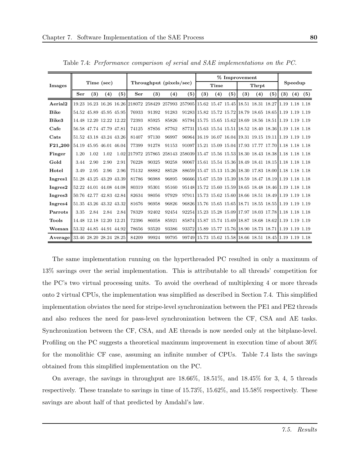|                                 |                         |      |                         |      |       |       |                                                                                                        |                                                          |     |      |     | % Improvement |       |     |     |         |     |
|---------------------------------|-------------------------|------|-------------------------|------|-------|-------|--------------------------------------------------------------------------------------------------------|----------------------------------------------------------|-----|------|-----|---------------|-------|-----|-----|---------|-----|
| Images                          |                         |      | Time (sec)              |      |       |       | Throughput (pixels/sec)                                                                                |                                                          |     | Time |     |               | Thrpt |     |     | Speedup |     |
|                                 | Ser                     | (3)  | (4)                     | (5)  | Ser   | (3)   | (4)                                                                                                    | (5)                                                      | (3) | (4)  | (5) | (3)           | (4)   | (5) | (3) | (4)     | (5) |
| Aerial <sub>2</sub>             |                         |      |                         |      |       |       | 19.23 16.23 16.26 16.26 218072 258429 257993 257905 15.62 15.47 15.45 18.51 18.31 18.27 1.19 1.18 1.18 |                                                          |     |      |     |               |       |     |     |         |     |
| <b>Bike</b>                     |                         |      | 54.52 45.89 45.95 45.95 |      | 76933 | 91392 | 91283                                                                                                  | 91283 15.82 15.72 15.72 18.79 18.65 18.65 1.19 1.19 1.19 |     |      |     |               |       |     |     |         |     |
| Bike3                           |                         |      | 14.48 12.20 12.22 12.22 |      | 72393 | 85925 | 85826                                                                                                  | 85794 15.75 15.65 15.62 18.69 18.56 18.51 1.19 1.19 1.19 |     |      |     |               |       |     |     |         |     |
| Cafe                            |                         |      | 56.58 47.74 47.79 47.81 |      | 74125 | 87856 | 87762                                                                                                  | 87731 15.63 15.54 15.51 18.52 18.40 18.36 1.19 1.18 1.18 |     |      |     |               |       |     |     |         |     |
| Cats                            |                         |      | 51.52 43.18 43.24 43.26 |      | 81407 | 97130 | 96997                                                                                                  | 96964 16.19 16.07 16.04 19.31 19.15 19.11 1.19 1.19 1.19 |     |      |     |               |       |     |     |         |     |
| F21_200 54.19 45.95 46.01 46.04 |                         |      |                         |      | 77399 | 91278 | 91153                                                                                                  | 91097 15.21 15.09 15.04 17.93 17.77 17.70 1.18 1.18 1.18 |     |      |     |               |       |     |     |         |     |
| Finger                          | 1.20                    | 1.02 | 1.02                    |      |       |       | 1.02 217972 257865 258143 258039 15.47 15.56 15.53 18.30 18.43 18.38 1.18 1.18 1.18                    |                                                          |     |      |     |               |       |     |     |         |     |
| Gold                            | 3.44                    | 2.90 | 2.90                    | 2.91 | 76228 | 90325 | 90258                                                                                                  | 90067 15.61 15.54 15.36 18.49 18.41 18.15 1.18 1.18 1.18 |     |      |     |               |       |     |     |         |     |
| Hotel                           | 3.49                    | 2.95 | 2.96                    | 2.96 | 75132 | 88882 | 88528                                                                                                  | 88659 15.47 15.13 15.26 18.30 17.83 18.00 1.18 1.18 1.18 |     |      |     |               |       |     |     |         |     |
| Ingres1                         |                         |      | 51.28 43.25 43.29 43.39 |      | 81786 | 96988 | 96895                                                                                                  | 96666 15.67 15.59 15.39 18.59 18.47 18.19 1.19 1.18 1.18 |     |      |     |               |       |     |     |         |     |
| Ingres2                         |                         |      | 52.22 44.01 44.08 44.08 |      | 80319 | 95301 | 95160                                                                                                  | 95148 15.72 15.60 15.59 18.65 18.48 18.46 1.19 1.18 1.18 |     |      |     |               |       |     |     |         |     |
| Ingres <sub>3</sub>             |                         |      | 50.76 42.77 42.83 42.84 |      | 82634 | 98056 | 97929                                                                                                  | 97911 15.73 15.62 15.60 18.66 18.51 18.49 1.19 1.19 1.18 |     |      |     |               |       |     |     |         |     |
| Ingres4                         |                         |      | 51.35 43.26 43.32 43.32 |      | 81676 | 96958 | 96826                                                                                                  | 96826 15.76 15.65 15.65 18.71 18.55 18.55 1.19 1.19 1.19 |     |      |     |               |       |     |     |         |     |
| Parrots                         | 3.35                    |      | 2.84 2.84 2.84          |      | 78329 | 92402 | 92454                                                                                                  | 92254 15.23 15.28 15.09 17.97 18.03 17.78 1.18 1.18 1.18 |     |      |     |               |       |     |     |         |     |
| Tools                           |                         |      | 14.48 12.18 12.20 12.21 |      | 72396 | 86058 | 85921                                                                                                  | 85874 15.87 15.74 15.69 18.87 18.68 18.62 1.19 1.19 1.19 |     |      |     |               |       |     |     |         |     |
| Woman                           | 53.32 44.85 44.91 44.92 |      |                         |      | 78656 | 93520 | 93386                                                                                                  | 93372 15.89 15.77 15.76 18.90 18.73 18.71 1.19 1.19 1.19 |     |      |     |               |       |     |     |         |     |
| Average 33.46 28.20 28.24 28.25 |                         |      |                         |      | 84209 | 99924 | 99795                                                                                                  | 99749 15.73 15.62 15.58 18.66 18.51 18.45 1.19 1.19 1.18 |     |      |     |               |       |     |     |         |     |

Table 7.4: Performance comparison of serial and SAE implementations on the PC.

The same implementation running on the hyperthreaded PC resulted in only a maximum of 13% savings over the serial implementation. This is attributable to all threads' competition for the PC's two virtual processing units. To avoid the overhead of multiplexing 4 or more threads onto 2 virtual CPUs, the implementation was simplified as described in Section 7.4. This simplified implementation obviates the need for stripe-level synchronization between the PE1 and PE2 threads and also reduces the need for pass-level synchronization between the CF, CSA and AE tasks. Synchronization between the CF, CSA, and AE threads is now needed only at the bitplane-level. Profiling on the PC suggests a theoretical maximum improvement in execution time of about 30% for the monolithic CF case, assuming an infinite number of CPUs. Table 7.4 lists the savings obtained from this simplified implementation on the PC.

On average, the savings in throughput are 18.66%, 18.51%, and 18.45% for 3, 4, 5 threads respectively. These translate to savings in time of 15.73%, 15.62%, and 15.58% respectively. These savings are about half of that predicted by Amdahl's law.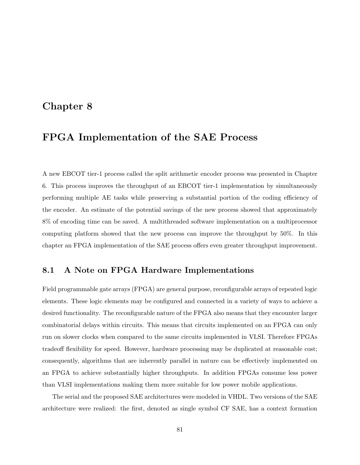## Chapter 8

# FPGA Implementation of the SAE Process

A new EBCOT tier-1 process called the split arithmetic encoder process was presented in Chapter 6. This process improves the throughput of an EBCOT tier-1 implementation by simultaneously performing multiple AE tasks while preserving a substantial portion of the coding efficiency of the encoder. An estimate of the potential savings of the new process showed that approximately 8% of encoding time can be saved. A multithreaded software implementation on a multiprocessor computing platform showed that the new process can improve the throughput by 50%. In this chapter an FPGA implementation of the SAE process offers even greater throughput improvement.

### 8.1 A Note on FPGA Hardware Implementations

Field programmable gate arrays (FPGA) are general purpose, reconfigurable arrays of repeated logic elements. These logic elements may be configured and connected in a variety of ways to achieve a desired functionality. The reconfigurable nature of the FPGA also means that they encounter larger combinatorial delays within circuits. This means that circuits implemented on an FPGA can only run on slower clocks when compared to the same circuits implemented in VLSI. Therefore FPGAs tradeoff flexibility for speed. However, hardware processing may be duplicated at reasonable cost; consequently, algorithms that are inherently parallel in nature can be effectively implemented on an FPGA to achieve substantially higher throughputs. In addition FPGAs consume less power than VLSI implementations making them more suitable for low power mobile applications.

The serial and the proposed SAE architectures were modeled in VHDL. Two versions of the SAE architecture were realized: the first, denoted as single symbol CF SAE, has a context formation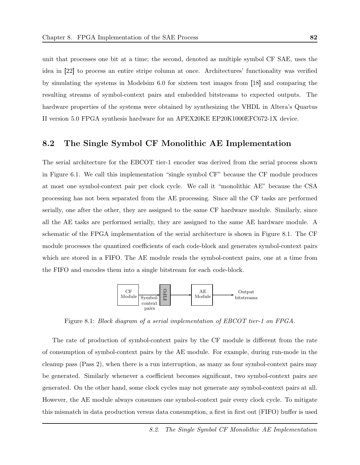unit that processes one bit at a time; the second, denoted as multiple symbol CF SAE, uses the idea in [22] to process an entire stripe column at once. Architectures' functionality was verified by simulating the systems in Modelsim 6.0 for sixteen test images from [18] and comparing the resulting streams of symbol-context pairs and embedded bitstreams to expected outputs. The hardware properties of the systems were obtained by synthesizing the VHDL in Altera's Quartus II version 5.0 FPGA synthesis hardware for an APEX20KE EP20K1000EFC672-1X device.

### 8.2 The Single Symbol CF Monolithic AE Implementation

The serial architecture for the EBCOT tier-1 encoder was derived from the serial process shown in Figure 6.1. We call this implementation "single symbol CF" because the CF module produces at most one symbol-context pair per clock cycle. We call it "monolithic AE" because the CSA processing has not been separated from the AE processing. Since all the CF tasks are performed serially, one after the other, they are assigned to the same CF hardware module. Similarly, since all the AE tasks are performed serially, they are assigned to the same AE hardware module. A schematic of the FPGA implementation of the serial architecture is shown in Figure 8.1. The CF module processes the quantized coefficients of each code-block and generates symbol-context pairs which are stored in a FIFO. The AE module reads the symbol-context pairs, one at a time from the FIFO and encodes them into a single bitstream for each code-block.



Figure 8.1: Block diagram of a serial implementation of EBCOT tier-1 on FPGA.

The rate of production of symbol-context pairs by the CF module is different from the rate of consumption of symbol-context pairs by the AE module. For example, during run-mode in the cleanup pass (Pass 2), when there is a run interruption, as many as four symbol-context pairs may be generated. Similarly whenever a coefficient becomes significant, two symbol-context pairs are generated. On the other hand, some clock cycles may not generate any symbol-context pairs at all. However, the AE module always consumes one symbol-context pair every clock cycle. To mitigate this mismatch in data production versus data consumption, a first in first out (FIFO) buffer is used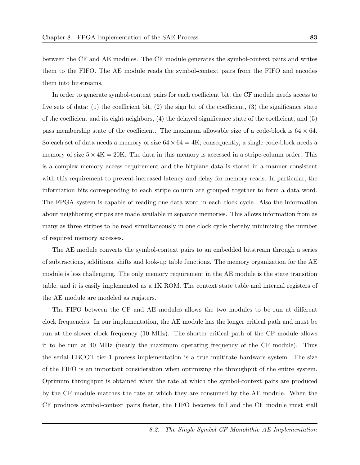between the CF and AE modules. The CF module generates the symbol-context pairs and writes them to the FIFO. The AE module reads the symbol-context pairs from the FIFO and encodes them into bitstreams.

In order to generate symbol-context pairs for each coefficient bit, the CF module needs access to five sets of data: (1) the coefficient bit, (2) the sign bit of the coefficient, (3) the significance state of the coefficient and its eight neighbors, (4) the delayed significance state of the coefficient, and (5) pass membership state of the coefficient. The maximum allowable size of a code-block is  $64 \times 64$ . So each set of data needs a memory of size  $64 \times 64 = 4$ K; consequently, a single code-block needs a memory of size  $5 \times 4K = 20K$ . The data in this memory is accessed in a stripe-column order. This is a complex memory access requirement and the bitplane data is stored in a manner consistent with this requirement to prevent increased latency and delay for memory reads. In particular, the information bits corresponding to each stripe column are grouped together to form a data word. The FPGA system is capable of reading one data word in each clock cycle. Also the information about neighboring stripes are made available in separate memories. This allows information from as many as three stripes to be read simultaneously in one clock cycle thereby minimizing the number of required memory accesses.

The AE module converts the symbol-context pairs to an embedded bitstream through a series of subtractions, additions, shifts and look-up table functions. The memory organization for the AE module is less challenging. The only memory requirement in the AE module is the state transition table, and it is easily implemented as a 1K ROM. The context state table and internal registers of the AE module are modeled as registers.

The FIFO between the CF and AE modules allows the two modules to be run at different clock frequencies. In our implementation, the AE module has the longer critical path and must be run at the slower clock frequency (10 MHz). The shorter critical path of the CF module allows it to be run at 40 MHz (nearly the maximum operating frequency of the CF module). Thus the serial EBCOT tier-1 process implementation is a true multirate hardware system. The size of the FIFO is an important consideration when optimizing the throughput of the entire system. Optimum throughput is obtained when the rate at which the symbol-context pairs are produced by the CF module matches the rate at which they are consumed by the AE module. When the CF produces symbol-context pairs faster, the FIFO becomes full and the CF module must stall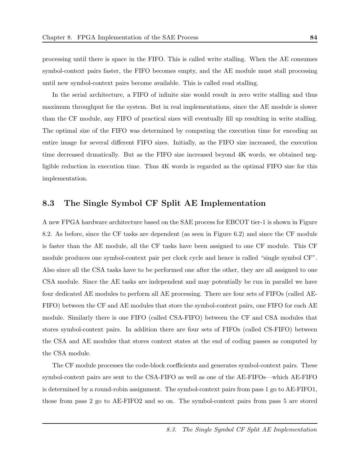processing until there is space in the FIFO. This is called write stalling. When the AE consumes symbol-context pairs faster, the FIFO becomes empty, and the AE module must stall processing until new symbol-context pairs become available. This is called read stalling.

In the serial architecture, a FIFO of infinite size would result in zero write stalling and thus maximum throughput for the system. But in real implementations, since the AE module is slower than the CF module, any FIFO of practical sizes will eventually fill up resulting in write stalling. The optimal size of the FIFO was determined by computing the execution time for encoding an entire image for several different FIFO sizes. Initially, as the FIFO size increased, the execution time decreased drmatically. But as the FIFO size increased beyond 4K words, we obtained negligible reduction in execution time. Thus 4K words is regarded as the optimal FIFO size for this implementation.

### 8.3 The Single Symbol CF Split AE Implementation

A new FPGA hardware architecture based on the SAE process for EBCOT tier-1 is shown in Figure 8.2. As before, since the CF tasks are dependent (as seen in Figure 6.2) and since the CF module is faster than the AE module, all the CF tasks have been assigned to one CF module. This CF module produces one symbol-context pair per clock cycle and hence is called "single symbol CF". Also since all the CSA tasks have to be performed one after the other, they are all assigned to one CSA module. Since the AE tasks are independent and may potentially be run in parallel we have four dedicated AE modules to perform all AE processing. There are four sets of FIFOs (called AE-FIFO) between the CF and AE modules that store the symbol-context pairs, one FIFO for each AE module. Similarly there is one FIFO (called CSA-FIFO) between the CF and CSA modules that stores symbol-context pairs. In addition there are four sets of FIFOs (called CS-FIFO) between the CSA and AE modules that stores context states at the end of coding passes as computed by the CSA module.

The CF module processes the code-block coefficients and generates symbol-context pairs. These symbol-context pairs are sent to the CSA-FIFO as well as one of the AE-FIFOs—which AE-FIFO is determined by a round-robin assignment. The symbol-context pairs from pass 1 go to AE-FIFO1, those from pass 2 go to AE-FIFO2 and so on. The symbol-context pairs from pass 5 are stored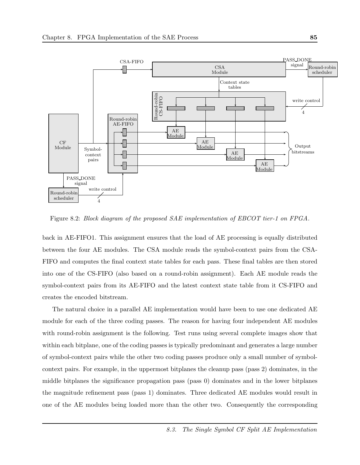

Figure 8.2: Block diagram of the proposed SAE implementation of EBCOT tier-1 on FPGA.

back in AE-FIFO1. This assignment ensures that the load of AE processing is equally distributed between the four AE modules. The CSA module reads the symbol-context pairs from the CSA-FIFO and computes the final context state tables for each pass. These final tables are then stored into one of the CS-FIFO (also based on a round-robin assignment). Each AE module reads the symbol-context pairs from its AE-FIFO and the latest context state table from it CS-FIFO and creates the encoded bitstream.

The natural choice in a parallel AE implementation would have been to use one dedicated AE module for each of the three coding passes. The reason for having four independent AE modules with round-robin assignment is the following. Test runs using several complete images show that within each bitplane, one of the coding passes is typically predominant and generates a large number of symbol-context pairs while the other two coding passes produce only a small number of symbolcontext pairs. For example, in the uppermost bitplanes the cleanup pass (pass 2) dominates, in the middle bitplanes the significance propagation pass (pass 0) dominates and in the lower bitplanes the magnitude refinement pass (pass 1) dominates. Three dedicated AE modules would result in one of the AE modules being loaded more than the other two. Consequently the corresponding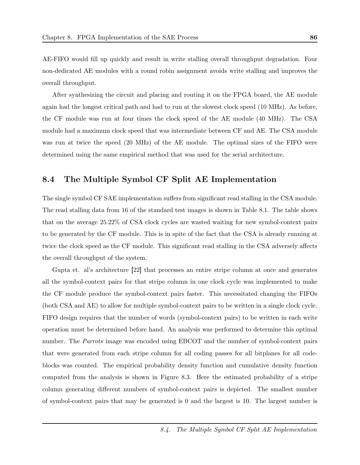AE-FIFO would fill up quickly and result in write stalling overall throughput degradation. Four non-dedicated AE modules with a round robin assignment avoids write stalling and improves the overall throughput.

After synthesizing the circuit and placing and routing it on the FPGA board, the AE module again had the longest critical path and had to run at the slowest clock speed (10 MHz). As before, the CF module was run at four times the clock speed of the AE module (40 MHz). The CSA module had a maximum clock speed that was intermediate between CF and AE. The CSA module was run at twice the speed (20 MHz) of the AE module. The optimal sizes of the FIFO were determined using the same empirical method that was used for the serial architecture.

#### 8.4 The Multiple Symbol CF Split AE Implementation

The single symbol CF SAE implementation suffers from significant read stalling in the CSA module. The read stalling data from 16 of the standard test images is shown in Table 8.1. The table shows that on the average 25.22% of CSA clock cycles are wasted waiting for new symbol-context pairs to be generated by the CF module. This is in spite of the fact that the CSA is already running at twice the clock speed as the CF module. This significant read stalling in the CSA adversely affects the overall throughput of the system.

Gupta et. al's architecture [22] that processes an entire stripe column at once and generates all the symbol-context pairs for that stripe column in one clock cycle was implemented to make the CF module produce the symbol-context pairs faster. This necessitated changing the FIFOs (both CSA and AE) to allow for multiple symbol-context pairs to be written in a single clock cycle. FIFO design requires that the number of words (symbol-context pairs) to be written in each write operation must be determined before hand. An analysis was performed to determine this optimal number. The *Parrots* image was encoded using EBCOT and the number of symbol-context pairs that were generated from each stripe column for all coding passes for all bitplanes for all codeblocks was counted. The empirical probability density function and cumulative density function computed from the analysis is shown in Figure 8.3. Here the estimated probability of a stripe column generating different numbers of symbol-context pairs is depicted. The smallest number of symbol-context pairs that may be generated is 0 and the largest is 10. The largest number is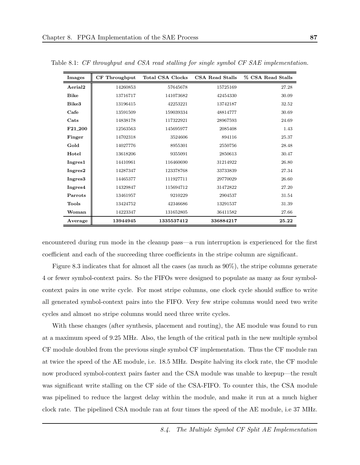| Images                | <b>CF</b> Throughput | <b>Total CSA Clocks</b> | CSA Read Stalls | % CSA Read Stalls |
|-----------------------|----------------------|-------------------------|-----------------|-------------------|
| Aerial <sub>2</sub>   | 14260853             | 57645678                | 15725169        | 27.28             |
| <b>Bike</b>           | 13716717             | 141073682               | 42454330        | 30.09             |
| Bike3                 | 13196415             | 42253221                | 13742187        | 32.52             |
| $\operatorname{Cafe}$ | 13591509             | 159039334               | 48814777        | 30.69             |
| Cats                  | 14838178             | 117322921               | 28967593        | 24.69             |
| F21 <sub>-200</sub>   | 12563563             | 145695977               | 2085408         | 1.43              |
| Finger                | 14702318             | 3524606                 | 894116          | 25.37             |
| Gold                  | 14027776             | 8955301                 | 2550756         | 28.48             |
| Hotel                 | 13618206             | 9355091                 | 2850613         | 30.47             |
| Ingres1               | 14410961             | 116460690               | 31214922        | 26.80             |
| Ingres2               | 14287347             | 123378768               | 33733839        | 27.34             |
| Ingres <sub>3</sub>   | 14465377             | 111927711               | 29770029        | 26.60             |
| Ingres4               | 14329847             | 115694712               | 31472822        | 27.20             |
| Parrots               | 13461957             | 9210229                 | 2904537         | 31.54             |
| <b>Tools</b>          | 13424752             | 42346686                | 13291537        | 31.39             |
| Woman                 | 14223347             | 131652805               | 36411582        | 27.66             |
| Average               | 13944945             | 1335537412              | 336884217       | 25.22             |

Table 8.1: CF throughput and CSA read stalling for single symbol CF SAE implementation.

encountered during run mode in the cleanup pass—a run interruption is experienced for the first coefficient and each of the succeeding three coefficients in the stripe column are significant.

Figure 8.3 indicates that for almost all the cases (as much as 90%), the stripe columns generate 4 or fewer symbol-context pairs. So the FIFOs were designed to populate as many as four symbolcontext pairs in one write cycle. For most stripe columns, one clock cycle should suffice to write all generated symbol-context pairs into the FIFO. Very few stripe columns would need two write cycles and almost no stripe columns would need three write cycles.

With these changes (after synthesis, placement and routing), the AE module was found to run at a maximum speed of 9.25 MHz. Also, the length of the critical path in the new multiple symbol CF module doubled from the previous single symbol CF implementation. Thus the CF module ran at twice the speed of the AE module, i.e. 18.5 MHz. Despite halving its clock rate, the CF module now produced symbol-context pairs faster and the CSA module was unable to keepup—the result was significant write stalling on the CF side of the CSA-FIFO. To counter this, the CSA module was pipelined to reduce the largest delay within the module, and make it run at a much higher clock rate. The pipelined CSA module ran at four times the speed of the AE module, i.e 37 MHz.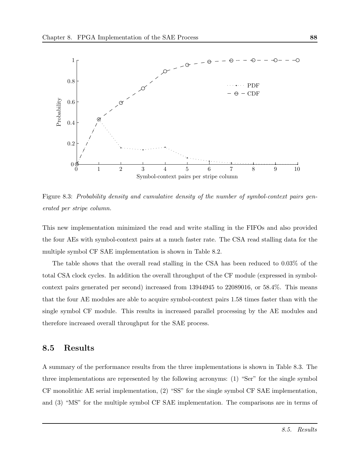

Figure 8.3: Probability density and cumulative density of the number of symbol-context pairs generated per stripe column.

This new implementation minimized the read and write stalling in the FIFOs and also provided the four AEs with symbol-context pairs at a much faster rate. The CSA read stalling data for the multiple symbol CF SAE implementation is shown in Table 8.2.

The table shows that the overall read stalling in the CSA has been reduced to 0.03% of the total CSA clock cycles. In addition the overall throughput of the CF module (expressed in symbolcontext pairs generated per second) increased from 13944945 to 22089016, or 58.4%. This means that the four AE modules are able to acquire symbol-context pairs 1.58 times faster than with the single symbol CF module. This results in increased parallel processing by the AE modules and therefore increased overall throughput for the SAE process.

#### 8.5 Results

A summary of the performance results from the three implementations is shown in Table 8.3. The three implementations are represented by the following acronyms: (1) "Ser" for the single symbol CF monolithic AE serial implementation, (2) "SS" for the single symbol CF SAE implementation, and (3) "MS" for the multiple symbol CF SAE implementation. The comparisons are in terms of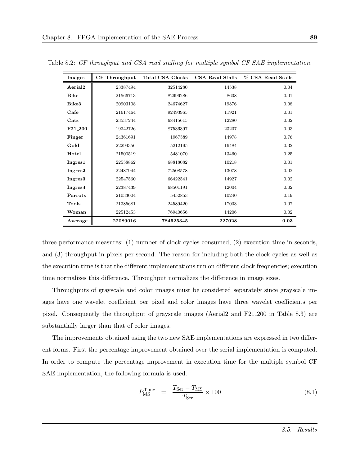| Images              | CF Throughput | <b>Total CSA Clocks</b> | CSA Read Stalls | % CSA Read Stalls |
|---------------------|---------------|-------------------------|-----------------|-------------------|
| Aerial <sub>2</sub> | 23387494      | 32514280                | 14538           | 0.04              |
| <b>Bike</b>         | 21566713      | 82996286                | 8608            | 0.01              |
| Bike3               | 20903108      | 24674627                | 19876           | 0.08              |
| Cafe                | 21617464      | 92493965                | 11921           | 0.01              |
| Cats                | 23537244      | 68415615                | 12280           | 0.02              |
| F21 <sub>-200</sub> | 19342726      | 87536397                | 23207           | 0.03              |
| Finger              | 24361691      | 1967589                 | 14978           | 0.76              |
| Gold                | 22294356      | 5212195                 | 16484           | 0.32              |
| Hotel               | 21500519      | 5481070                 | 13460           | 0.25              |
| Ingres1             | 22558862      | 68818082                | 10218           | 0.01              |
| Ingres2             | 22487944      | 72508578                | 13078           | 0.02              |
| Ingres3             | 22547560      | 66422541                | 14927           | 0.02              |
| Ingres4             | 22387439      | 68501191                | 12004           | 0.02              |
| Parrots             | 21033004      | 5452853                 | 10240           | 0.19              |
| Tools               | 21385681      | 24589420                | 17003           | 0.07              |
| Woman               | 22512453      | 76940656                | 14206           | 0.02              |
| Average             | 22089016      | 784525345               | 227028          | 0.03              |

Table 8.2: CF throughput and CSA read stalling for multiple symbol CF SAE implementation.

three performance measures: (1) number of clock cycles consumed, (2) execution time in seconds, and (3) throughput in pixels per second. The reason for including both the clock cycles as well as the execution time is that the different implementations run on different clock frequencies; execution time normalizes this difference. Throughput normalizes the difference in image sizes.

Throughputs of grayscale and color images must be considered separately since grayscale images have one wavelet coefficient per pixel and color images have three wavelet coefficients per pixel. Consequently the throughput of grayscale images (Aerial2 and F21 200 in Table 8.3) are substantially larger than that of color images.

The improvements obtained using the two new SAE implementations are expressed in two different forms. First the percentage improvement obtained over the serial implementation is computed. In order to compute the percentage improvement in execution time for the multiple symbol CF SAE implementation, the following formula is used.

$$
P_{\rm MS}^{\rm Time} = \frac{T_{\rm Ser} - T_{\rm MS}}{T_{\rm Ser}} \times 100 \tag{8.1}
$$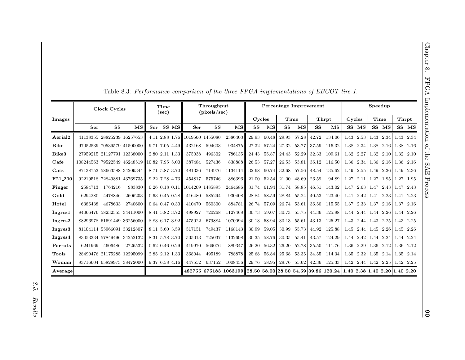|                       |                                             | Clock Cycles               |                            | Time<br>(sec) |  |                      | Throughput<br>(pixels/sec)     |        |                                                                                          | <b>Percentage Improvement</b> |                          |                         |                          |        |                                            | Speedup     |       |       |       |           |       |
|-----------------------|---------------------------------------------|----------------------------|----------------------------|---------------|--|----------------------|--------------------------------|--------|------------------------------------------------------------------------------------------|-------------------------------|--------------------------|-------------------------|--------------------------|--------|--------------------------------------------|-------------|-------|-------|-------|-----------|-------|
| <b>Images</b>         |                                             |                            |                            |               |  |                      |                                | Cycles |                                                                                          | Time                          |                          | Thrpt                   |                          | Cycles |                                            | <b>Time</b> |       | Thrpt |       |           |       |
|                       | Ser                                         | SS                         | $\overline{\text{MS}}$     | Ser           |  | SS MS                | Ser                            | SS     | $\overline{\mathbf{MS}}$                                                                 | ${\bf SS}$                    | $\overline{\mathbf{MS}}$ | ${\bf SS}$              | $\overline{\mathbf{MS}}$ | SS     | $\overline{\rm MS}$                        |             | SS MS |       | SS MS |           | SS MS |
| Aerial <sub>2</sub>   |                                             |                            | 41138355 28825239 16257653 |               |  |                      | 4.11 2.88 1.76 1019560 1455080 |        | 2386403                                                                                  |                               | 29.93 60.48              | 29.93 57.28             |                          |        | 42.72 134.06 1.43 2.53 1.43 2.34           |             |       |       |       | 1.43 2.34 |       |
| <b>Bike</b>           |                                             |                            | 97052539 70539579 41500000 |               |  | $9.71$ 7.05 4.49     | 432168                         | 594603 | 934875                                                                                   |                               | 27.32 57.24              | 27.32 53.77             |                          |        | 37.59 116.32 1.38 2.34 1.38 2.16 1.38 2.16 |             |       |       |       |           |       |
| Bike3                 |                                             |                            | 27959215 21127791 12338000 |               |  | $2.80$ $2.11$ $1.33$ | 375038                         | 496302 | 786135                                                                                   |                               | 24.43 55.87              | 24.43 52.29             |                          |        | 32.33 109.61 1.32 2.27 1.32 2.10 1.32 2.10 |             |       |       |       |           |       |
| $_{\rm Cafe}$         | 108244563 79522549 46248519 10.82 7.95 5.00 |                            |                            |               |  |                      | 387484                         | 527436 | 838888                                                                                   |                               | 26.53 57.27              |                         | 26.53 53.81              |        | 36.12 116.50 1.36 2.34 1.36 2.16 1.36 2.16 |             |       |       |       |           |       |
| $\operatorname{Cats}$ |                                             |                            | 87138753 58663588 34209344 |               |  | 8.71 5.87 3.70       | 481336                         | 714976 | 1134114                                                                                  |                               |                          | 32.68 60.74 32.68 57.56 |                          |        | 48.54 135.62 1.49 2.55 1.49 2.36 1.49 2.36 |             |       |       |       |           |       |
| F21_200               |                                             |                            | 92219518 72849881 43769735 |               |  | $9.22$ 7.28 4.73     | 454817                         | 575746 | 886396                                                                                   |                               | 21.00 52.54              | 21.00 48.69             |                          | 26.59  | $94.89$ 1.27 2.11 1.27 1.95 1.27 1.95      |             |       |       |       |           |       |
| Finger                | 2584713                                     | 1764216                    | 983830                     |               |  |                      | 0.26 0.18 0.11 1014209 1485895 |        | 2464686                                                                                  |                               |                          | 31.74 61.94 31.74 58.85 |                          |        | 46.51 143.02 1.47 2.63 1.47 2.43 1.47 2.43 |             |       |       |       |           |       |
| Gold                  | 6294280                                     | 4478846                    | 2606203                    |               |  | $0.63$ 0.45 0.28     | 416480                         | 585294 | 930408                                                                                   |                               | 28.84 58.59              | 28.84 55.24             |                          |        | 40.53 123.40 1.41 2.42 1.41 2.23 1.41 2.23 |             |       |       |       |           |       |
| Hotel                 | 6386438                                     | 4678633                    | 2740600                    |               |  | $0.64$ 0.47 0.30     | 410470                         | 560300 | 884781                                                                                   |                               | 26.74 57.09              | 26.74 53.61             |                          |        | 36.50 115.55 1.37 2.33 1.37 2.16 1.37 2.16 |             |       |       |       |           |       |
| Ingres1               |                                             |                            | 84066476 58232555 34411000 |               |  | 8.41 5.82 3.72       | 498927                         | 720268 | 1127468                                                                                  |                               | 30.73 59.07              | 30.73 55.75             |                          |        | 44.36 125.98 1.44 2.44 1.44 2.26 1.44 2.26 |             |       |       |       |           |       |
| Ingres2               |                                             |                            | 88296978 61691449 36256000 |               |  | 8.83 6.17 3.92       | 475022                         | 679884 | 1070094                                                                                  |                               | 30.13 58.94              | 30.13 55.61             |                          |        | 43.13 125.27 1.43 2.44 1.43 2.25 1.43 2.25 |             |       |       |       |           |       |
| Ingres <sub>3</sub>   | 81104114 55966091 33212807                  |                            |                            |               |  | 8.11 5.60 3.59       | 517151                         | 749437 | 1168143                                                                                  |                               | 30.99 59.05              | 30.99 55.73             |                          |        | 44.92 125.88 1.45 2.44 1.45 2.26 1.45 2.26 |             |       |       |       |           |       |
| Ingres4               |                                             |                            | 83053334 57849496 34252132 |               |  | 8.31 5.78 3.70       | 505013                         | 725037 | 1132698                                                                                  |                               | 30.35 58.76              | 30.35 55.41             |                          |        | 43.57 124.29 1.44 2.42 1.44 2.24 1.44 2.24 |             |       |       |       |           |       |
| Parrots               | 6241969                                     | 4606486                    | 2726532                    |               |  | $0.62$ 0.46 0.29     | 419970                         | 569076 | 889347                                                                                   |                               | 26.20 56.32              | 26.20 52.78             |                          |        | 35.50 111.76 1.36 2.29 1.36 2.12 1.36 2.12 |             |       |       |       |           |       |
| <b>Tools</b>          |                                             | 28490476 21175285 12295099 |                            |               |  | 2.85 2.12 1.33       | 368044                         | 495189 | 788878                                                                                   |                               | 25.68 56.84              | 25.68 53.35             |                          |        | 34.55 114.34 1.35 2.32 1.35 2.14 1.35 2.14 |             |       |       |       |           |       |
| Woman                 |                                             |                            | 93716604 65828973 38472000 |               |  | $9.37$ 6.58 4.16     | 447552                         | 637152 | 1008456                                                                                  |                               | 29.76 58.95              | 29.76 55.62             |                          |        | 42.36 125.33 1.42 2.44 1.42 2.25 1.42 2.25 |             |       |       |       |           |       |
| Average               |                                             |                            |                            |               |  |                      |                                |        | 482755 675183 1063199 28.50 58.00 28.50 54.59 39.86 120.24 1.40 2.38 1.40 2.20 1.40 2.20 |                               |                          |                         |                          |        |                                            |             |       |       |       |           |       |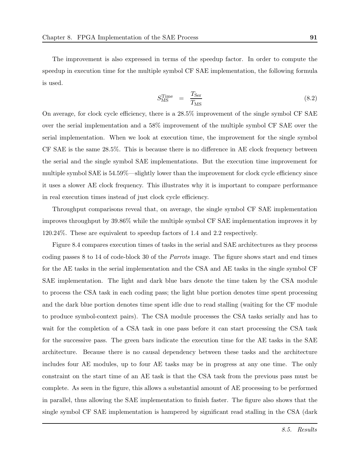The improvement is also expressed in terms of the speedup factor. In order to compute the speedup in execution time for the multiple symbol CF SAE implementation, the following formula is used.

$$
S_{\rm MS}^{\rm Time} = \frac{T_{\rm Ser}}{T_{\rm MS}} \tag{8.2}
$$

On average, for clock cycle efficiency, there is a 28.5% improvement of the single symbol CF SAE over the serial implementation and a 58% improvement of the multiple symbol CF SAE over the serial implementation. When we look at execution time, the improvement for the single symbol CF SAE is the same 28.5%. This is because there is no difference in AE clock frequency between the serial and the single symbol SAE implementations. But the execution time improvement for multiple symbol SAE is 54.59%—slightly lower than the improvement for clock cycle efficiency since it uses a slower AE clock frequency. This illustrates why it is important to compare performance in real execution times instead of just clock cycle efficiency.

Throughput comparisons reveal that, on average, the single symbol CF SAE implementation improves throughput by 39.86% while the multiple symbol CF SAE implementation improves it by 120.24%. These are equivalent to speedup factors of 1.4 and 2.2 respectively.

Figure 8.4 compares execution times of tasks in the serial and SAE architectures as they process coding passes 8 to 14 of code-block 30 of the Parrots image. The figure shows start and end times for the AE tasks in the serial implementation and the CSA and AE tasks in the single symbol CF SAE implementation. The light and dark blue bars denote the time taken by the CSA module to process the CSA task in each coding pass; the light blue portion denotes time spent processing and the dark blue portion denotes time spent idle due to read stalling (waiting for the CF module to produce symbol-context pairs). The CSA module processes the CSA tasks serially and has to wait for the completion of a CSA task in one pass before it can start processing the CSA task for the successive pass. The green bars indicate the execution time for the AE tasks in the SAE architecture. Because there is no causal dependency between these tasks and the architecture includes four AE modules, up to four AE tasks may be in progress at any one time. The only constraint on the start time of an AE task is that the CSA task from the previous pass must be complete. As seen in the figure, this allows a substantial amount of AE processing to be performed in parallel, thus allowing the SAE implementation to finish faster. The figure also shows that the single symbol CF SAE implementation is hampered by significant read stalling in the CSA (dark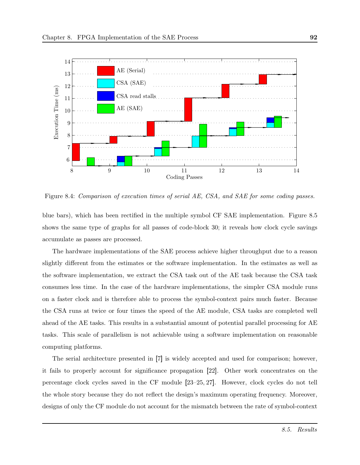

Figure 8.4: Comparison of execution times of serial AE, CSA, and SAE for some coding passes.

blue bars), which has been rectified in the multiple symbol CF SAE implementation. Figure 8.5 shows the same type of graphs for all passes of code-block 30; it reveals how clock cycle savings accumulate as passes are processed.

The hardware implementations of the SAE process achieve higher throughput due to a reason slightly different from the estimates or the software implementation. In the estimates as well as the software implementation, we extract the CSA task out of the AE task because the CSA task consumes less time. In the case of the hardware implementations, the simpler CSA module runs on a faster clock and is therefore able to process the symbol-context pairs much faster. Because the CSA runs at twice or four times the speed of the AE module, CSA tasks are completed well ahead of the AE tasks. This results in a substantial amount of potential parallel processing for AE tasks. This scale of parallelism is not achievable using a software implementation on reasonable computing platforms.

The serial architecture presented in [7] is widely accepted and used for comparison; however, it fails to properly account for significance propagation [22]. Other work concentrates on the percentage clock cycles saved in the CF module [23–25, 27]. However, clock cycles do not tell the whole story because they do not reflect the design's maximum operating frequency. Moreover, designs of only the CF module do not account for the mismatch between the rate of symbol-context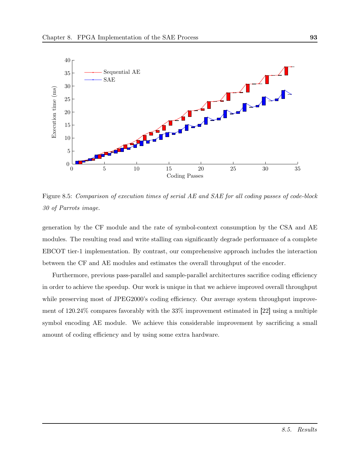

Figure 8.5: Comparison of execution times of serial AE and SAE for all coding passes of code-block 30 of Parrots image.

generation by the CF module and the rate of symbol-context consumption by the CSA and AE modules. The resulting read and write stalling can significantly degrade performance of a complete EBCOT tier-1 implementation. By contrast, our comprehensive approach includes the interaction between the CF and AE modules and estimates the overall throughput of the encoder.

Furthermore, previous pass-parallel and sample-parallel architectures sacrifice coding efficiency in order to achieve the speedup. Our work is unique in that we achieve improved overall throughput while preserving most of JPEG2000's coding efficiency. Our average system throughput improvement of 120.24% compares favorably with the 33% improvement estimated in [22] using a multiple symbol encoding AE module. We achieve this considerable improvement by sacrificing a small amount of coding efficiency and by using some extra hardware.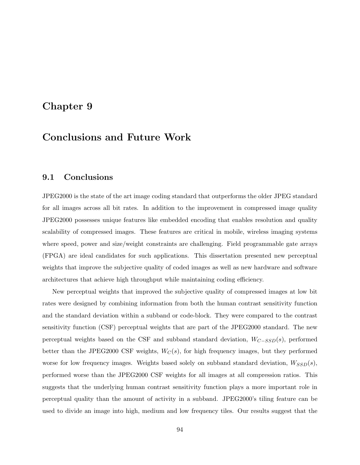## Chapter 9

# Conclusions and Future Work

#### 9.1 Conclusions

JPEG2000 is the state of the art image coding standard that outperforms the older JPEG standard for all images across all bit rates. In addition to the improvement in compressed image quality JPEG2000 possesses unique features like embedded encoding that enables resolution and quality scalability of compressed images. These features are critical in mobile, wireless imaging systems where speed, power and size/weight constraints are challenging. Field programmable gate arrays (FPGA) are ideal candidates for such applications. This dissertation presented new perceptual weights that improve the subjective quality of coded images as well as new hardware and software architectures that achieve high throughput while maintaining coding efficiency.

New perceptual weights that improved the subjective quality of compressed images at low bit rates were designed by combining information from both the human contrast sensitivity function and the standard deviation within a subband or code-block. They were compared to the contrast sensitivity function (CSF) perceptual weights that are part of the JPEG2000 standard. The new perceptual weights based on the CSF and subband standard deviation,  $W_{C-SSD}(s)$ , performed better than the JPEG2000 CSF weights,  $W_C(s)$ , for high frequency images, but they performed worse for low frequency images. Weights based solely on subband standard deviation,  $W_{SSD}(s)$ , performed worse than the JPEG2000 CSF weights for all images at all compression ratios. This suggests that the underlying human contrast sensitivity function plays a more important role in perceptual quality than the amount of activity in a subband. JPEG2000's tiling feature can be used to divide an image into high, medium and low frequency tiles. Our results suggest that the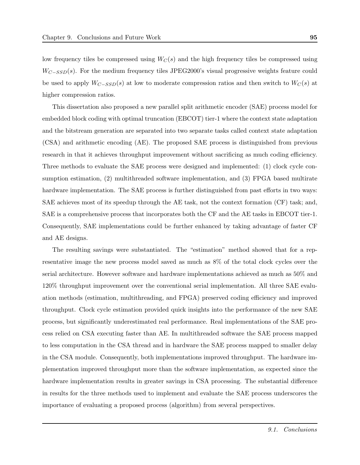low frequency tiles be compressed using  $W_C(s)$  and the high frequency tiles be compressed using  $W_{C-SSD}(s)$ . For the medium frequency tiles JPEG2000's visual progressive weights feature could be used to apply  $W_{C-SSD}(s)$  at low to moderate compression ratios and then switch to  $W_C(s)$  at higher compression ratios.

This dissertation also proposed a new parallel split arithmetic encoder (SAE) process model for embedded block coding with optimal truncation (EBCOT) tier-1 where the context state adaptation and the bitstream generation are separated into two separate tasks called context state adaptation (CSA) and arithmetic encoding (AE). The proposed SAE process is distinguished from previous research in that it achieves throughput improvement without sacrificing as much coding efficiency. Three methods to evaluate the SAE process were designed and implemented: (1) clock cycle consumption estimation, (2) multithreaded software implementation, and (3) FPGA based multirate hardware implementation. The SAE process is further distinguished from past efforts in two ways: SAE achieves most of its speedup through the AE task, not the context formation (CF) task; and, SAE is a comprehensive process that incorporates both the CF and the AE tasks in EBCOT tier-1. Consequently, SAE implementations could be further enhanced by taking advantage of faster CF and AE designs.

The resulting savings were substantiated. The "estimation" method showed that for a representative image the new process model saved as much as 8% of the total clock cycles over the serial architecture. However software and hardware implementations achieved as much as 50% and 120% throughput improvement over the conventional serial implementation. All three SAE evaluation methods (estimation, multithreading, and FPGA) preserved coding efficiency and improved throughput. Clock cycle estimation provided quick insights into the performance of the new SAE process, but significantly underestimated real performance. Real implementations of the SAE process relied on CSA executing faster than AE. In multithreaded software the SAE process mapped to less computation in the CSA thread and in hardware the SAE process mapped to smaller delay in the CSA module. Consequently, both implementations improved throughput. The hardware implementation improved throughput more than the software implementation, as expected since the hardware implementation results in greater savings in CSA processing. The substantial difference in results for the three methods used to implement and evaluate the SAE process underscores the importance of evaluating a proposed process (algorithm) from several perspectives.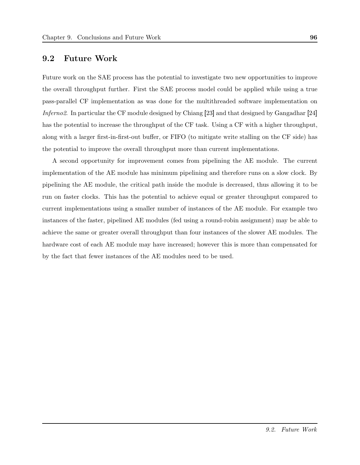## 9.2 Future Work

Future work on the SAE process has the potential to investigate two new opportunities to improve the overall throughput further. First the SAE process model could be applied while using a true pass-parallel CF implementation as was done for the multithreaded software implementation on Inferno2. In particular the CF module designed by Chiang [23] and that designed by Gangadhar [24] has the potential to increase the throughput of the CF task. Using a CF with a higher throughput, along with a larger first-in-first-out buffer, or FIFO (to mitigate write stalling on the CF side) has the potential to improve the overall throughput more than current implementations.

A second opportunity for improvement comes from pipelining the AE module. The current implementation of the AE module has minimum pipelining and therefore runs on a slow clock. By pipelining the AE module, the critical path inside the module is decreased, thus allowing it to be run on faster clocks. This has the potential to achieve equal or greater throughput compared to current implementations using a smaller number of instances of the AE module. For example two instances of the faster, pipelined AE modules (fed using a round-robin assignment) may be able to achieve the same or greater overall throughput than four instances of the slower AE modules. The hardware cost of each AE module may have increased; however this is more than compensated for by the fact that fewer instances of the AE modules need to be used.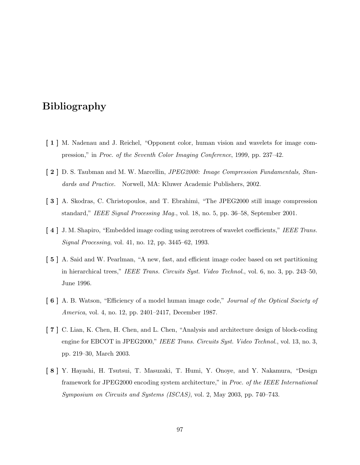## Bibliography

- [ 1 ] M. Nadenau and J. Reichel, "Opponent color, human vision and wavelets for image compression," in Proc. of the Seventh Color Imaging Conference, 1999, pp. 237–42.
- [ 2 ] D. S. Taubman and M. W. Marcellin, JPEG2000: Image Compression Fundamentals, Standards and Practice. Norwell, MA: Kluwer Academic Publishers, 2002.
- [ 3 ] A. Skodras, C. Christopoulos, and T. Ebrahimi, "The JPEG2000 still image compression standard," IEEE Signal Processing Mag., vol. 18, no. 5, pp. 36–58, September 2001.
- [4] J. M. Shapiro, "Embedded image coding using zerotrees of wavelet coefficients," IEEE Trans. Signal Processing, vol. 41, no. 12, pp. 3445–62, 1993.
- [ 5 ] A. Said and W. Pearlman, "A new, fast, and efficient image codec based on set partitioning in hierarchical trees," IEEE Trans. Circuits Syst. Video Technol., vol. 6, no. 3, pp. 243–50, June 1996.
- [ 6 ] A. B. Watson, "Efficiency of a model human image code," Journal of the Optical Society of America, vol. 4, no. 12, pp. 2401–2417, December 1987.
- [ 7 ] C. Lian, K. Chen, H. Chen, and L. Chen, "Analysis and architecture design of block-coding engine for EBCOT in JPEG2000," IEEE Trans. Circuits Syst. Video Technol., vol. 13, no. 3, pp. 219–30, March 2003.
- [ 8 ] Y. Hayashi, H. Tsutsui, T. Masuzaki, T. Humi, Y. Onoye, and Y. Nakamura, "Design framework for JPEG2000 encoding system architecture," in Proc. of the IEEE International Symposium on Circuits and Systems (ISCAS), vol. 2, May 2003, pp. 740–743.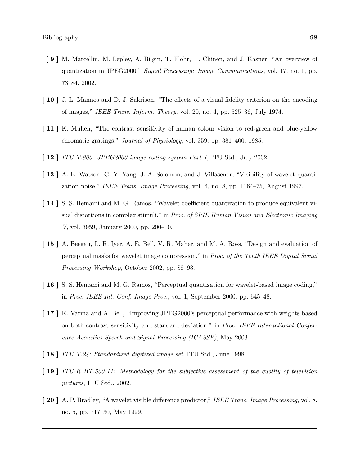- [ 9 ] M. Marcellin, M. Lepley, A. Bilgin, T. Flohr, T. Chinen, and J. Kasner, "An overview of quantization in JPEG2000," Signal Processing: Image Communications, vol. 17, no. 1, pp. 73–84, 2002.
- [ 10 ] J. L. Mannos and D. J. Sakrison, "The effects of a visual fidelity criterion on the encoding of images," IEEE Trans. Inform. Theory, vol. 20, no. 4, pp. 525–36, July 1974.
- [ 11 ] K. Mullen, "The contrast sensitivity of human colour vision to red-green and blue-yellow chromatic gratings," Journal of Physiology, vol. 359, pp. 381–400, 1985.
- [ **12** ] ITU T.800: JPEG2000 image coding system Part 1, ITU Std., July 2002.
- [ 13 ] A. B. Watson, G. Y. Yang, J. A. Solomon, and J. Villasenor, "Visibility of wavelet quantization noise," IEEE Trans. Image Processing, vol. 6, no. 8, pp. 1164–75, August 1997.
- [ 14 ] S. S. Hemami and M. G. Ramos, "Wavelet coefficient quantization to produce equivalent visual distortions in complex stimuli," in Proc. of SPIE Human Vision and Electronic Imaging V, vol. 3959, January 2000, pp. 200–10.
- [ 15 ] A. Beegan, L. R. Iyer, A. E. Bell, V. R. Maher, and M. A. Ross, "Design and evaluation of perceptual masks for wavelet image compression," in Proc. of the Tenth IEEE Digital Signal Processing Workshop, October 2002, pp. 88–93.
- [ 16 ] S. S. Hemami and M. G. Ramos, "Perceptual quantization for wavelet-based image coding," in Proc. IEEE Int. Conf. Image Proc., vol. 1, September 2000, pp. 645–48.
- [ 17 ] K. Varma and A. Bell, "Improving JPEG2000's perceptual performance with weights based on both contrast sensitivity and standard deviation." in Proc. IEEE International Conference Acoustics Speech and Signal Processing (ICASSP), May 2003.
- [ **18** ] ITU T.24: Standardized digitized image set, ITU Std., June 1998.
- [ 19 ] ITU-R BT.500-11: Methodology for the subjective assessment of the quality of television pictures, ITU Std., 2002.
- [ 20 ] A. P. Bradley, "A wavelet visible difference predictor," IEEE Trans. Image Processing, vol. 8, no. 5, pp. 717–30, May 1999.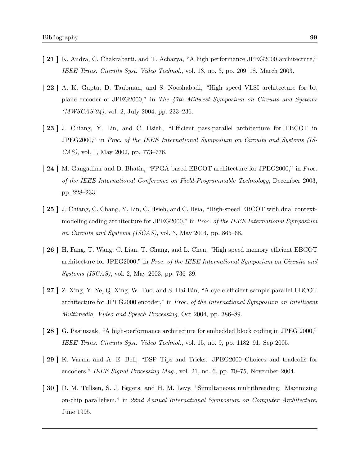- [ 21 ] K. Andra, C. Chakrabarti, and T. Acharya, "A high performance JPEG2000 architecture," IEEE Trans. Circuits Syst. Video Technol., vol. 13, no. 3, pp. 209–18, March 2003.
- [ 22 ] A. K. Gupta, D. Taubman, and S. Nooshabadi, "High speed VLSI architecture for bit plane encoder of JPEG2000," in The 47th Midwest Symposium on Circuits and Systems  $(MWSCAS'04)$ , vol. 2, July 2004, pp. 233–236.
- [ 23 ] J. Chiang, Y. Lin, and C. Hsieh, "Efficient pass-parallel architecture for EBCOT in JPEG2000," in Proc. of the IEEE International Symposium on Circuits and Systems (IS-CAS), vol. 1, May 2002, pp. 773–776.
- [ 24 ] M. Gangadhar and D. Bhatia, "FPGA based EBCOT architecture for JPEG2000," in *Proc.* of the IEEE International Conference on Field-Programmable Technology, December 2003, pp. 228–233.
- [ 25 ] J. Chiang, C. Chang, Y. Lin, C. Hsieh, and C. Hsia, "High-speed EBCOT with dual contextmodeling coding architecture for JPEG2000," in Proc. of the IEEE International Symposium on Circuits and Systems (ISCAS), vol. 3, May 2004, pp. 865–68.
- [ 26 ] H. Fang, T. Wang, C. Lian, T. Chang, and L. Chen, "High speed memory efficient EBCOT architecture for JPEG2000," in Proc. of the IEEE International Symposium on Circuits and Systems (ISCAS), vol. 2, May 2003, pp. 736–39.
- [ 27 ] Z. Xing, Y. Ye, Q. Xing, W. Tuo, and S. Hai-Bin, "A cycle-efficient sample-parallel EBCOT architecture for JPEG2000 encoder," in Proc. of the International Symposium on Intelligent Multimedia, Video and Speech Processing, Oct 2004, pp. 386–89.
- [ 28 ] G. Pastuszak, "A high-performance architecture for embedded block coding in JPEG 2000," IEEE Trans. Circuits Syst. Video Technol., vol. 15, no. 9, pp. 1182–91, Sep 2005.
- [ 29 ] K. Varma and A. E. Bell, "DSP Tips and Tricks: JPEG2000–Choices and tradeoffs for encoders." IEEE Signal Processing Mag., vol. 21, no. 6, pp. 70–75, November 2004.
- [ 30 ] D. M. Tullsen, S. J. Eggers, and H. M. Levy, "Simultaneous multithreading: Maximizing on-chip parallelism," in 22nd Annual International Symposium on Computer Architecture, June 1995.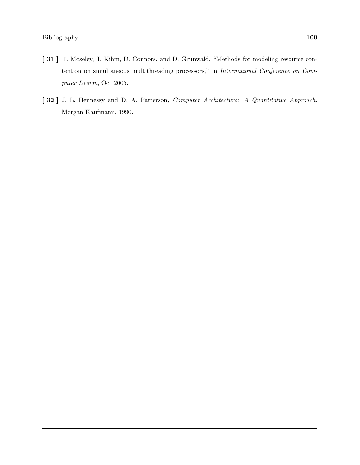- [ 31 ] T. Moseley, J. Kihm, D. Connors, and D. Grunwald, "Methods for modeling resource contention on simultaneous multithreading processors," in International Conference on Computer Design, Oct 2005.
- [ 32 ] J. L. Hennessy and D. A. Patterson, Computer Architecture: A Quantitative Approach. Morgan Kaufmann, 1990.